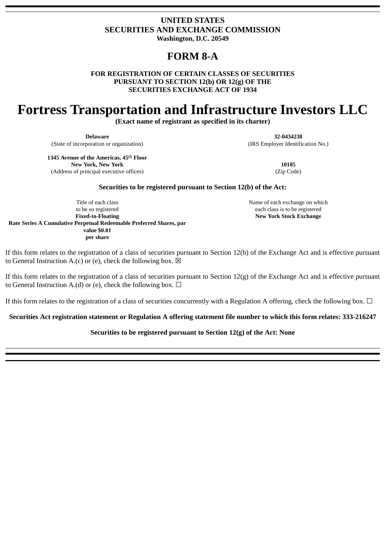# **UNITED STATES SECURITIES AND EXCHANGE COMMISSION**

**Washington, D.C. 20549**

# **FORM 8-A**

**FOR REGISTRATION OF CERTAIN CLASSES OF SECURITIES PURSUANT TO SECTION 12(b) OR 12(g) OF THE SECURITIES EXCHANGE ACT OF 1934**

# **Fortress Transportation and Infrastructure Investors LLC**

**(Exact name of registrant as specified in its charter)**

**Delaware** (State of incorporation or organization)

**32-0434238** (IRS Employer Identification No.)

**1345 Avenue of the Americas, 45**th **Floor New York, New York** (Address of principal executive offices)

**10105** (Zip Code)

# **Securities to be registered pursuant to Section 12(b) of the Act:**

Title of each class to be so registered **Fixed‐to‐Floating Rate Series A Cumulative Perpetual Redeemable Preferred Shares, par value \$0.01 per share**

Name of each exchange on which each class is to be registered **New York Stock Exchange**

If this form relates to the registration of a class of securities pursuant to Section 12(b) of the Exchange Act and is effective pursuant to General Instruction A.(c) or (e), check the following box.  $\boxtimes$ 

If this form relates to the registration of a class of securities pursuant to Section  $12(g)$  of the Exchange Act and is effective pursuant to General Instruction A.(d) or (e), check the following box.  $\Box$ 

If this form relates to the registration of a class of securities concurrently with a Regulation A offering, check the following box.  $\Box$ 

# **Securities Act registration statement or Regulation A offering statement file number to which this form relates: 333-216247**

# **Securities to be registered pursuant to Section 12(g) of the Act: None**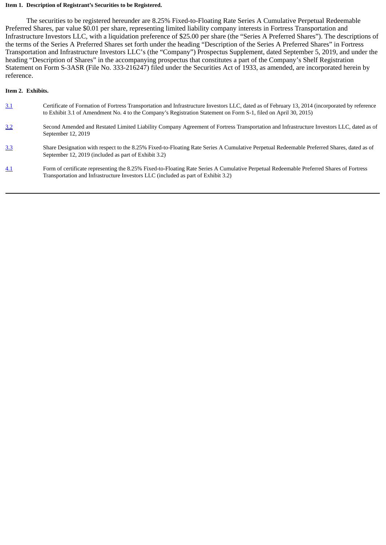#### **Item 1. Description of Registrant's Securities to be Registered.**

The securities to be registered hereunder are 8.25% Fixed-to-Floating Rate Series A Cumulative Perpetual Redeemable Preferred Shares, par value \$0.01 per share, representing limited liability company interests in Fortress Transportation and Infrastructure Investors LLC, with a liquidation preference of \$25.00 per share (the "Series A Preferred Shares"). The descriptions of the terms of the Series A Preferred Shares set forth under the heading "Description of the Series A Preferred Shares" in Fortress Transportation and Infrastructure Investors LLC's (the "Company") Prospectus Supplement, dated September 5, 2019, and under the heading "Description of Shares" in the accompanying prospectus that constitutes a part of the Company's Shelf Registration Statement on Form S-3ASR (File No. 333-216247) filed under the Securities Act of 1933, as amended, are incorporated herein by reference.

# **Item 2. Exhibits.**

- [3.1](http://www.sec.gov/Archives/edgar/data/1590364/000119312515163776/d616610dex31.htm) Certificate of Formation of Fortress Transportation and Infrastructure Investors LLC, dated as of February 13, 2014 (incorporated by reference to Exhibit 3.1 of Amendment No. 4 to the Company's Registration Statement on Form S-1, filed on April 30, 2015)
- 3.2 Second Amended and Restated Limited Liability Company Agreement of Fortress Transportation and Infrastructure Investors LLC, dated as of September 12, 2019
- [3.3](file:///data/convert/ex3_2.htm#Exhibit3.3) Share Designation with respect to the 8.25% Fixed-to-Floating Rate Series A Cumulative Perpetual Redeemable Preferred Shares, dated as of September 12, 2019 (included as part of Exhibit 3.2)
- [4.1](file:///data/convert/ex3_2.htm#Exhibit4.1) Form of certificate representing the 8.25% Fixed-to-Floating Rate Series A Cumulative Perpetual Redeemable Preferred Shares of Fortress Transportation and Infrastructure Investors LLC (included as part of Exhibit 3.2)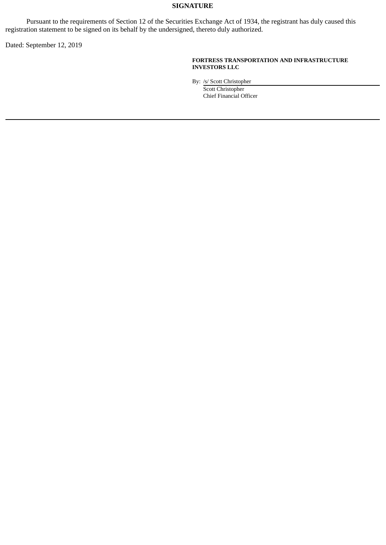# **SIGNATURE**

Pursuant to the requirements of Section 12 of the Securities Exchange Act of 1934, the registrant has duly caused this registration statement to be signed on its behalf by the undersigned, thereto duly authorized.

Dated: September 12, 2019

## **FORTRESS TRANSPORTATION AND INFRASTRUCTURE INVESTORS LLC**

By: /s/ Scott Christopher

Scott Christopher Chief Financial Officer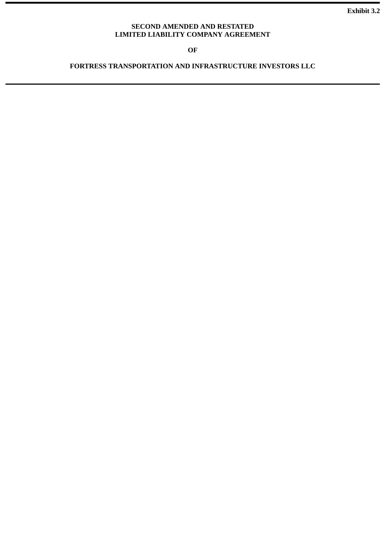**Exhibit 3.2**

# **SECOND AMENDED AND RESTATED LIMITED LIABILITY COMPANY AGREEMENT**

**OF**

**FORTRESS TRANSPORTATION AND INFRASTRUCTURE INVESTORS LLC**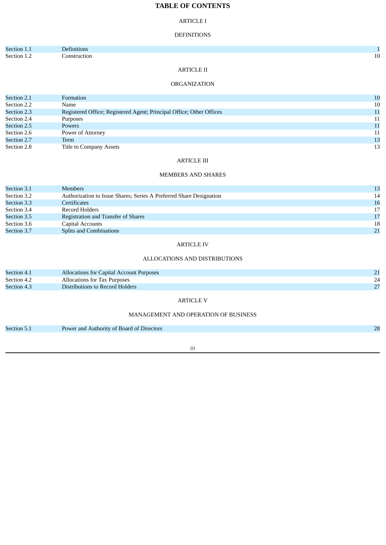# **TABLE OF CONTENTS**

#### ARTICLE I

#### DEFINITIONS

| Section 1.1 | Definitions  |    |
|-------------|--------------|----|
| Section 1.2 | Construction | 10 |
|             |              |    |

# ARTICLE II

# ORGANIZATION

| Section 2.1 | Formation                                                            | 10 |
|-------------|----------------------------------------------------------------------|----|
| Section 2.2 | Name                                                                 | 10 |
| Section 2.3 | Registered Office; Registered Agent; Principal Office; Other Offices | 11 |
| Section 2.4 | Purposes                                                             | 11 |
| Section 2.5 | <b>Powers</b>                                                        | 11 |
| Section 2.6 | Power of Attorney                                                    | 11 |
| Section 2.7 | Term                                                                 | 13 |
| Section 2.8 | Title to Company Assets                                              | 13 |

#### ARTICLE III

#### MEMBERS AND SHARES

| Section 3.1 | <b>Members</b>                                                      | 13 |
|-------------|---------------------------------------------------------------------|----|
| Section 3.2 | Authorization to Issue Shares; Series A Preferred Share Designation | 14 |
| Section 3.3 | Certificates                                                        | 16 |
| Section 3.4 | Record Holders                                                      | 17 |
| Section 3.5 | Registration and Transfer of Shares                                 | 17 |
| Section 3.6 | Capital Accounts                                                    | 18 |
| Section 3.7 | <b>Splits and Combinations</b>                                      | 21 |

#### ARTICLE IV

#### ALLOCATIONS AND DISTRIBUTIONS

| Section 4.2<br>Allocations for Tax Purposes    | 24 |
|------------------------------------------------|----|
| Section 4.3<br>Distributions to Record Holders | 27 |

#### ARTICLE V

#### MANAGEMENT AND OPERATION OF BUSINESS

| Section 5.1 | Power and Authority of Board of Directors |  |
|-------------|-------------------------------------------|--|
|-------------|-------------------------------------------|--|

(i)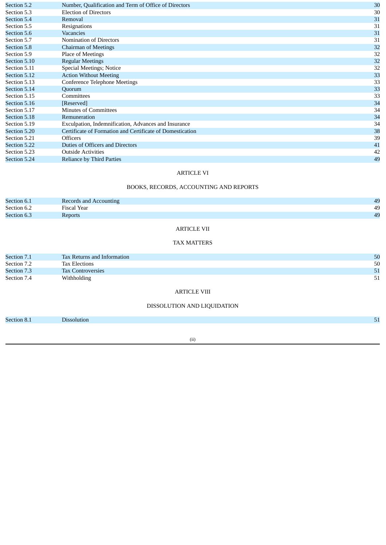| Section 5.2  | Number, Qualification and Term of Office of Directors     | 30 |
|--------------|-----------------------------------------------------------|----|
| Section 5.3  | <b>Election of Directors</b>                              | 30 |
| Section 5.4  | Removal                                                   | 31 |
| Section 5.5  | Resignations                                              | 31 |
| Section 5.6  | <b>Vacancies</b>                                          | 31 |
| Section 5.7  | Nomination of Directors                                   | 31 |
| Section 5.8  | <b>Chairman of Meetings</b>                               | 32 |
| Section 5.9  | Place of Meetings                                         | 32 |
| Section 5.10 | <b>Regular Meetings</b>                                   | 32 |
| Section 5.11 | Special Meetings; Notice                                  | 32 |
| Section 5.12 | <b>Action Without Meeting</b>                             | 33 |
| Section 5.13 | <b>Conference Telephone Meetings</b>                      | 33 |
| Section 5.14 | Quorum                                                    | 33 |
| Section 5.15 | <b>Committees</b>                                         | 33 |
| Section 5.16 | [Reserved]                                                | 34 |
| Section 5.17 | <b>Minutes of Committees</b>                              | 34 |
| Section 5.18 | Remuneration                                              | 34 |
| Section 5.19 | Exculpation, Indemnification, Advances and Insurance      | 34 |
| Section 5.20 | Certificate of Formation and Certificate of Domestication | 38 |
| Section 5.21 | <b>Officers</b>                                           | 39 |
| Section 5.22 | Duties of Officers and Directors                          | 41 |
| Section 5.23 | <b>Outside Activities</b>                                 | 42 |
| Section 5.24 | <b>Reliance by Third Parties</b>                          | 49 |

#### ARTICLE VI

# BOOKS, RECORDS, ACCOUNTING AND REPORTS

| Section 6.1 | Records and Accounting | 49 |
|-------------|------------------------|----|
| Section 6.2 | Fiscal Year            | 49 |
| Section 6.3 | <b>Reports</b>         | 49 |
|             |                        |    |

# ARTICLE VII

#### TAX MATTERS

|             | 50                                                                                     |
|-------------|----------------------------------------------------------------------------------------|
|             | 50                                                                                     |
|             | 51                                                                                     |
| Withholding | 51                                                                                     |
|             | <b>Tax Returns and Information</b><br><b>Tax Elections</b><br><b>Tax Controversies</b> |

# ARTICLE VIII

# DISSOLUTION AND LIQUIDATION

Section 8.1 **Dissolution** 51

(ii)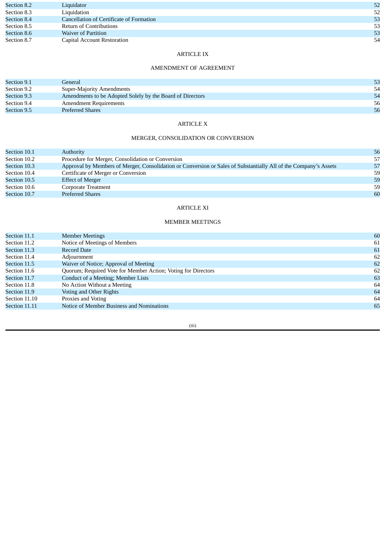| Section 8.2 | Liquidator                               | 52 |
|-------------|------------------------------------------|----|
| Section 8.3 | Liquidation                              | 52 |
| Section 8.4 | Cancellation of Certificate of Formation | 53 |
| Section 8.5 | <b>Return of Contributions</b>           | 53 |
| Section 8.6 | <b>Waiver of Partition</b>               | 53 |
| Section 8.7 | <b>Capital Account Restoration</b>       | 54 |

# ARTICLE IX

# AMENDMENT OF AGREEMENT

| Section 9.1 | General                                                   | 53 |
|-------------|-----------------------------------------------------------|----|
| Section 9.2 | Super-Majority Amendments                                 | 54 |
| Section 9.3 | Amendments to be Adopted Solely by the Board of Directors | 54 |
| Section 9.4 | <b>Amendment Requirements</b>                             | 56 |
| Section 9.5 | <b>Preferred Shares</b>                                   | 56 |

# ARTICLE X

## MERGER, CONSOLIDATION OR CONVERSION

| 56 |
|----|
| 57 |
| 57 |
| 59 |
| 59 |
| 59 |
| 60 |
|    |

# ARTICLE XI

#### MEMBER MEETINGS

| Section 11.1  | <b>Member Meetings</b>                                        | 60 |
|---------------|---------------------------------------------------------------|----|
| Section 11.2  | Notice of Meetings of Members                                 | 61 |
| Section 11.3  | <b>Record Date</b>                                            | 61 |
| Section 11.4  | Adjournment                                                   | 62 |
| Section 11.5  | Waiver of Notice; Approval of Meeting                         | 62 |
| Section 11.6  | Quorum; Required Vote for Member Action; Voting for Directors | 62 |
| Section 11.7  | Conduct of a Meeting; Member Lists                            | 63 |
| Section 11.8  | No Action Without a Meeting                                   | 64 |
| Section 11.9  | Voting and Other Rights                                       | 64 |
| Section 11.10 | Proxies and Voting                                            | 64 |
| Section 11.11 | Notice of Member Business and Nominations                     | 65 |
|               |                                                               |    |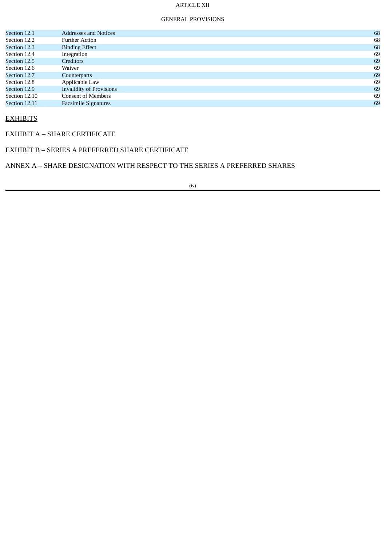# ARTICLE XII

#### GENERAL PROVISIONS

| Section 12.1  | <b>Addresses and Notices</b>    | 68 |
|---------------|---------------------------------|----|
| Section 12.2  | <b>Further Action</b>           | 68 |
| Section 12.3  | <b>Binding Effect</b>           | 68 |
| Section 12.4  | Integration                     | 69 |
| Section 12.5  | <b>Creditors</b>                | 69 |
| Section 12.6  | Waiver                          | 69 |
| Section 12.7  | Counterparts                    | 69 |
| Section 12.8  | Applicable Law                  | 69 |
| Section 12.9  | <b>Invalidity of Provisions</b> | 69 |
| Section 12.10 | <b>Consent of Members</b>       | 69 |
| Section 12.11 | <b>Facsimile Signatures</b>     | 69 |
|               |                                 |    |

# **EXHIBITS**

EXHIBIT A – SHARE CERTIFICATE

# EXHIBIT B – SERIES A PREFERRED SHARE CERTIFICATE

ANNEX A – SHARE DESIGNATION WITH RESPECT TO THE SERIES A PREFERRED SHARES

(iv)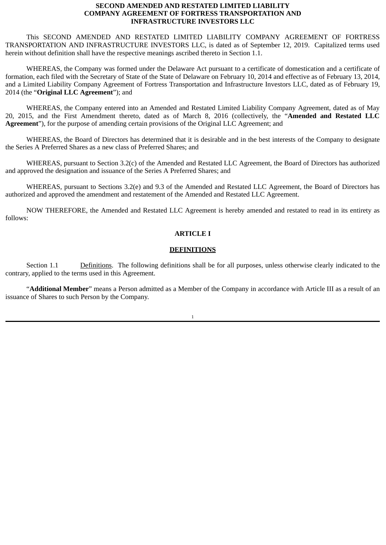# **SECOND AMENDED AND RESTATED LIMITED LIABILITY COMPANY AGREEMENT OF FORTRESS TRANSPORTATION AND INFRASTRUCTURE INVESTORS LLC**

This SECOND AMENDED AND RESTATED LIMITED LIABILITY COMPANY AGREEMENT OF FORTRESS TRANSPORTATION AND INFRASTRUCTURE INVESTORS LLC, is dated as of September 12, 2019. Capitalized terms used herein without definition shall have the respective meanings ascribed thereto in Section 1.1.

WHEREAS, the Company was formed under the Delaware Act pursuant to a certificate of domestication and a certificate of formation, each filed with the Secretary of State of the State of Delaware on February 10, 2014 and effective as of February 13, 2014, and a Limited Liability Company Agreement of Fortress Transportation and Infrastructure Investors LLC, dated as of February 19, 2014 (the "**Original LLC Agreement**"); and

WHEREAS, the Company entered into an Amended and Restated Limited Liability Company Agreement, dated as of May 20, 2015, and the First Amendment thereto, dated as of March 8, 2016 (collectively, the "**Amended and Restated LLC Agreement**"), for the purpose of amending certain provisions of the Original LLC Agreement; and

WHEREAS, the Board of Directors has determined that it is desirable and in the best interests of the Company to designate the Series A Preferred Shares as a new class of Preferred Shares; and

WHEREAS, pursuant to Section 3.2(c) of the Amended and Restated LLC Agreement, the Board of Directors has authorized and approved the designation and issuance of the Series A Preferred Shares; and

WHEREAS, pursuant to Sections 3.2(e) and 9.3 of the Amended and Restated LLC Agreement, the Board of Directors has authorized and approved the amendment and restatement of the Amended and Restated LLC Agreement.

NOW THEREFORE, the Amended and Restated LLC Agreement is hereby amended and restated to read in its entirety as follows:

#### **ARTICLE I**

#### **DEFINITIONS**

Section 1.1 Definitions. The following definitions shall be for all purposes, unless otherwise clearly indicated to the contrary, applied to the terms used in this Agreement.

"**Additional Member**" means a Person admitted as a Member of the Company in accordance with Article III as a result of an issuance of Shares to such Person by the Company.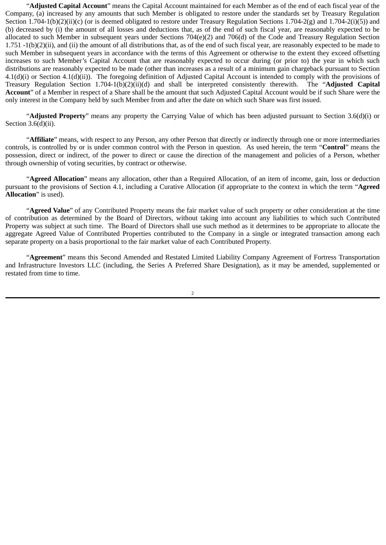"**Adjusted Capital Account**" means the Capital Account maintained for each Member as of the end of each fiscal year of the Company, (a) increased by any amounts that such Member is obligated to restore under the standards set by Treasury Regulation Section 1.704-1(b)(2)(ii)(c) (or is deemed obligated to restore under Treasury Regulation Sections 1.704-2(g) and 1.704-2(i)(5)) and (b) decreased by (i) the amount of all losses and deductions that, as of the end of such fiscal year, are reasonably expected to be allocated to such Member in subsequent years under Sections 704(e)(2) and 706(d) of the Code and Treasury Regulation Section 1.751 -1(b)(2)(ii), and (ii) the amount of all distributions that, as of the end of such fiscal year, are reasonably expected to be made to such Member in subsequent years in accordance with the terms of this Agreement or otherwise to the extent they exceed offsetting increases to such Member's Capital Account that are reasonably expected to occur during (or prior to) the year in which such distributions are reasonably expected to be made (other than increases as a result of a minimum gain chargeback pursuant to Section 4.1(d)(i) or Section 4.1(d)(ii)). The foregoing definition of Adjusted Capital Account is intended to comply with the provisions of Treasury Regulation Section 1.704-1(b)(2)(ii)(d) and shall be interpreted consistently therewith. The "**Adjusted Capital Account**" of a Member in respect of a Share shall be the amount that such Adjusted Capital Account would be if such Share were the only interest in the Company held by such Member from and after the date on which such Share was first issued.

"**Adjusted Property**" means any property the Carrying Value of which has been adjusted pursuant to Section 3.6(d)(i) or Section 3.6(d)(ii).

"**Affiliate**" means, with respect to any Person, any other Person that directly or indirectly through one or more intermediaries controls, is controlled by or is under common control with the Person in question. As used herein, the term "**Control**" means the possession, direct or indirect, of the power to direct or cause the direction of the management and policies of a Person, whether through ownership of voting securities, by contract or otherwise.

"**Agreed Allocation**" means any allocation, other than a Required Allocation, of an item of income, gain, loss or deduction pursuant to the provisions of Section 4.1, including a Curative Allocation (if appropriate to the context in which the term "**Agreed Allocation**" is used).

"**Agreed Value**" of any Contributed Property means the fair market value of such property or other consideration at the time of contribution as determined by the Board of Directors, without taking into account any liabilities to which such Contributed Property was subject at such time. The Board of Directors shall use such method as it determines to be appropriate to allocate the aggregate Agreed Value of Contributed Properties contributed to the Company in a single or integrated transaction among each separate property on a basis proportional to the fair market value of each Contributed Property.

"**Agreement**" means this Second Amended and Restated Limited Liability Company Agreement of Fortress Transportation and Infrastructure Investors LLC (including, the Series A Preferred Share Designation), as it may be amended, supplemented or restated from time to time.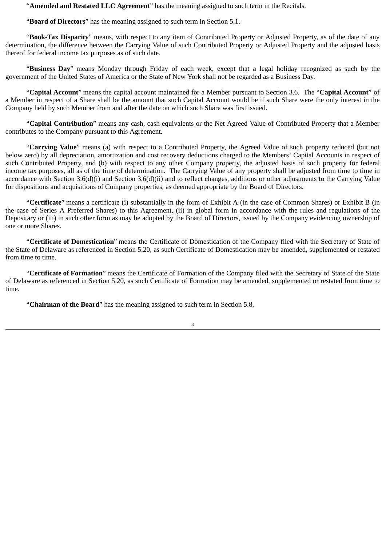"**Amended and Restated LLC Agreement**" has the meaning assigned to such term in the Recitals.

"**Board of Directors**" has the meaning assigned to such term in Section 5.1.

"**Book-Tax Disparity**" means, with respect to any item of Contributed Property or Adjusted Property, as of the date of any determination, the difference between the Carrying Value of such Contributed Property or Adjusted Property and the adjusted basis thereof for federal income tax purposes as of such date.

"**Business Day**" means Monday through Friday of each week, except that a legal holiday recognized as such by the government of the United States of America or the State of New York shall not be regarded as a Business Day.

"**Capital Account**" means the capital account maintained for a Member pursuant to Section 3.6. The "**Capital Account**" of a Member in respect of a Share shall be the amount that such Capital Account would be if such Share were the only interest in the Company held by such Member from and after the date on which such Share was first issued.

"**Capital Contribution**" means any cash, cash equivalents or the Net Agreed Value of Contributed Property that a Member contributes to the Company pursuant to this Agreement.

"**Carrying Value**" means (a) with respect to a Contributed Property, the Agreed Value of such property reduced (but not below zero) by all depreciation, amortization and cost recovery deductions charged to the Members' Capital Accounts in respect of such Contributed Property, and (b) with respect to any other Company property, the adjusted basis of such property for federal income tax purposes, all as of the time of determination. The Carrying Value of any property shall be adjusted from time to time in accordance with Section 3.6(d)(i) and Section 3.6(d)(ii) and to reflect changes, additions or other adjustments to the Carrying Value for dispositions and acquisitions of Company properties, as deemed appropriate by the Board of Directors.

"**Certificate**" means a certificate (i) substantially in the form of Exhibit A (in the case of Common Shares) or Exhibit B (in the case of Series A Preferred Shares) to this Agreement, (ii) in global form in accordance with the rules and regulations of the Depositary or (iii) in such other form as may be adopted by the Board of Directors, issued by the Company evidencing ownership of one or more Shares.

"**Certificate of Domestication**" means the Certificate of Domestication of the Company filed with the Secretary of State of the State of Delaware as referenced in Section 5.20, as such Certificate of Domestication may be amended, supplemented or restated from time to time.

"**Certificate of Formation**" means the Certificate of Formation of the Company filed with the Secretary of State of the State of Delaware as referenced in Section 5.20, as such Certificate of Formation may be amended, supplemented or restated from time to time.

"**Chairman of the Board**" has the meaning assigned to such term in Section 5.8.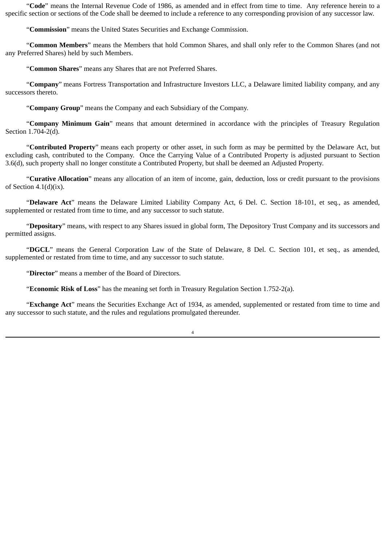"**Code**" means the Internal Revenue Code of 1986, as amended and in effect from time to time. Any reference herein to a specific section or sections of the Code shall be deemed to include a reference to any corresponding provision of any successor law.

"**Commission**" means the United States Securities and Exchange Commission.

"**Common Members**" means the Members that hold Common Shares, and shall only refer to the Common Shares (and not any Preferred Shares) held by such Members.

"**Common Shares**" means any Shares that are not Preferred Shares.

"**Company**" means Fortress Transportation and Infrastructure Investors LLC, a Delaware limited liability company, and any successors thereto.

"**Company Group**" means the Company and each Subsidiary of the Company.

"**Company Minimum Gain**" means that amount determined in accordance with the principles of Treasury Regulation Section 1.704-2(d).

"**Contributed Property**" means each property or other asset, in such form as may be permitted by the Delaware Act, but excluding cash, contributed to the Company. Once the Carrying Value of a Contributed Property is adjusted pursuant to Section 3.6(d), such property shall no longer constitute a Contributed Property, but shall be deemed an Adjusted Property.

"**Curative Allocation**" means any allocation of an item of income, gain, deduction, loss or credit pursuant to the provisions of Section 4.1(d)(ix).

"**Delaware Act**" means the Delaware Limited Liability Company Act, 6 Del. C. Section 18-101, et seq., as amended, supplemented or restated from time to time, and any successor to such statute.

"**Depositary**" means, with respect to any Shares issued in global form, The Depository Trust Company and its successors and permitted assigns.

"**DGCL**" means the General Corporation Law of the State of Delaware, 8 Del. C. Section 101, et seq., as amended, supplemented or restated from time to time, and any successor to such statute.

"**Director**" means a member of the Board of Directors.

"**Economic Risk of Loss**" has the meaning set forth in Treasury Regulation Section 1.752-2(a).

"**Exchange Act**" means the Securities Exchange Act of 1934, as amended, supplemented or restated from time to time and any successor to such statute, and the rules and regulations promulgated thereunder.

 $\overline{A}$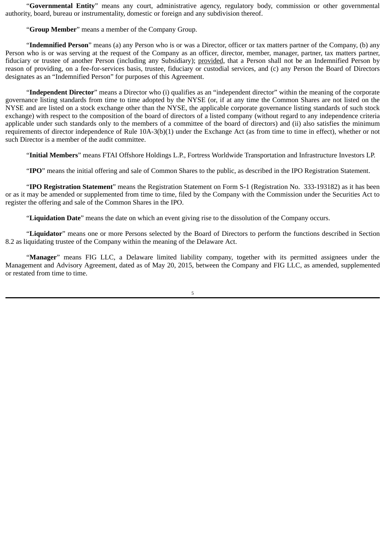"**Governmental Entity**" means any court, administrative agency, regulatory body, commission or other governmental authority, board, bureau or instrumentality, domestic or foreign and any subdivision thereof.

"**Group Member**" means a member of the Company Group.

"**Indemnified Person**" means (a) any Person who is or was a Director, officer or tax matters partner of the Company, (b) any Person who is or was serving at the request of the Company as an officer, director, member, manager, partner, tax matters partner, fiduciary or trustee of another Person (including any Subsidiary); provided, that a Person shall not be an Indemnified Person by reason of providing, on a fee-for-services basis, trustee, fiduciary or custodial services, and (c) any Person the Board of Directors designates as an "Indemnified Person" for purposes of this Agreement.

"**Independent Director**" means a Director who (i) qualifies as an "independent director" within the meaning of the corporate governance listing standards from time to time adopted by the NYSE (or, if at any time the Common Shares are not listed on the NYSE and are listed on a stock exchange other than the NYSE, the applicable corporate governance listing standards of such stock exchange) with respect to the composition of the board of directors of a listed company (without regard to any independence criteria applicable under such standards only to the members of a committee of the board of directors) and (ii) also satisfies the minimum requirements of director independence of Rule 10A-3(b)(1) under the Exchange Act (as from time to time in effect), whether or not such Director is a member of the audit committee.

"**Initial Members**" means FTAI Offshore Holdings L.P., Fortress Worldwide Transportation and Infrastructure Investors LP.

"**IPO**" means the initial offering and sale of Common Shares to the public, as described in the IPO Registration Statement.

"**IPO Registration Statement**" means the Registration Statement on Form S-1 (Registration No. 333-193182) as it has been or as it may be amended or supplemented from time to time, filed by the Company with the Commission under the Securities Act to register the offering and sale of the Common Shares in the IPO.

"**Liquidation Date**" means the date on which an event giving rise to the dissolution of the Company occurs.

"**Liquidator**" means one or more Persons selected by the Board of Directors to perform the functions described in Section 8.2 as liquidating trustee of the Company within the meaning of the Delaware Act.

"**Manager**" means FIG LLC, a Delaware limited liability company, together with its permitted assignees under the Management and Advisory Agreement, dated as of May 20, 2015, between the Company and FIG LLC, as amended, supplemented or restated from time to time.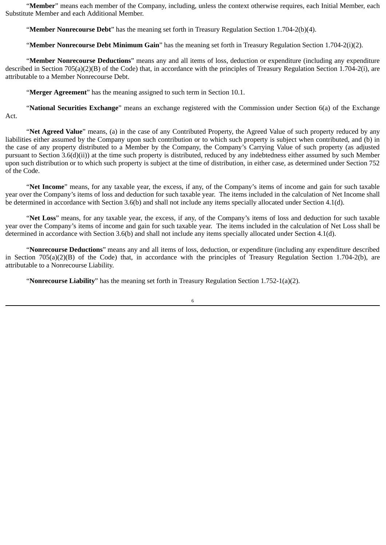"**Member**" means each member of the Company, including, unless the context otherwise requires, each Initial Member, each Substitute Member and each Additional Member.

"**Member Nonrecourse Debt**" has the meaning set forth in Treasury Regulation Section 1.704-2(b)(4).

"**Member Nonrecourse Debt Minimum Gain**" has the meaning set forth in Treasury Regulation Section 1.704-2(i)(2).

"**Member Nonrecourse Deductions**" means any and all items of loss, deduction or expenditure (including any expenditure described in Section 705(a)(2)(B) of the Code) that, in accordance with the principles of Treasury Regulation Section 1.704-2(i), are attributable to a Member Nonrecourse Debt.

"**Merger Agreement**" has the meaning assigned to such term in Section 10.1.

"**National Securities Exchange**" means an exchange registered with the Commission under Section 6(a) of the Exchange Act.

"**Net Agreed Value**" means, (a) in the case of any Contributed Property, the Agreed Value of such property reduced by any liabilities either assumed by the Company upon such contribution or to which such property is subject when contributed, and (b) in the case of any property distributed to a Member by the Company, the Company's Carrying Value of such property (as adjusted pursuant to Section 3.6(d)(ii)) at the time such property is distributed, reduced by any indebtedness either assumed by such Member upon such distribution or to which such property is subject at the time of distribution, in either case, as determined under Section 752 of the Code.

"**Net Income**" means, for any taxable year, the excess, if any, of the Company's items of income and gain for such taxable year over the Company's items of loss and deduction for such taxable year. The items included in the calculation of Net Income shall be determined in accordance with Section 3.6(b) and shall not include any items specially allocated under Section 4.1(d).

"**Net Loss**" means, for any taxable year, the excess, if any, of the Company's items of loss and deduction for such taxable year over the Company's items of income and gain for such taxable year. The items included in the calculation of Net Loss shall be determined in accordance with Section 3.6(b) and shall not include any items specially allocated under Section 4.1(d).

"**Nonrecourse Deductions**" means any and all items of loss, deduction, or expenditure (including any expenditure described in Section 705(a)(2)(B) of the Code) that, in accordance with the principles of Treasury Regulation Section 1.704-2(b), are attributable to a Nonrecourse Liability.

"**Nonrecourse Liability**" has the meaning set forth in Treasury Regulation Section 1.752-1(a)(2).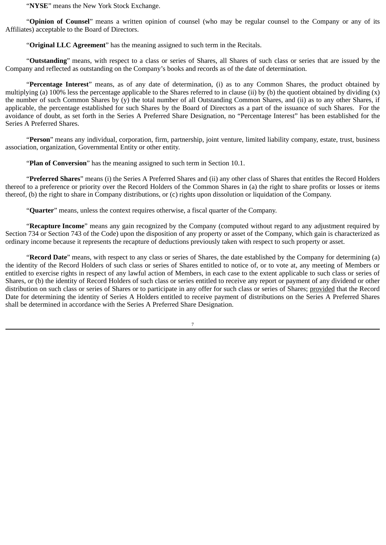"**NYSE**" means the New York Stock Exchange.

"**Opinion of Counsel**" means a written opinion of counsel (who may be regular counsel to the Company or any of its Affiliates) acceptable to the Board of Directors.

"**Original LLC Agreement**" has the meaning assigned to such term in the Recitals.

"**Outstanding**" means, with respect to a class or series of Shares, all Shares of such class or series that are issued by the Company and reflected as outstanding on the Company's books and records as of the date of determination.

"**Percentage Interest**" means, as of any date of determination, (i) as to any Common Shares, the product obtained by multiplying (a) 100% less the percentage applicable to the Shares referred to in clause (ii) by (b) the quotient obtained by dividing  $(x)$ the number of such Common Shares by (y) the total number of all Outstanding Common Shares, and (ii) as to any other Shares, if applicable, the percentage established for such Shares by the Board of Directors as a part of the issuance of such Shares. For the avoidance of doubt, as set forth in the Series A Preferred Share Designation, no "Percentage Interest" has been established for the Series A Preferred Shares.

"**Person**" means any individual, corporation, firm, partnership, joint venture, limited liability company, estate, trust, business association, organization, Governmental Entity or other entity.

"**Plan of Conversion**" has the meaning assigned to such term in Section 10.1.

"**Preferred Shares**" means (i) the Series A Preferred Shares and (ii) any other class of Shares that entitles the Record Holders thereof to a preference or priority over the Record Holders of the Common Shares in (a) the right to share profits or losses or items thereof, (b) the right to share in Company distributions, or (c) rights upon dissolution or liquidation of the Company.

"**Quarter**" means, unless the context requires otherwise, a fiscal quarter of the Company.

"**Recapture Income**" means any gain recognized by the Company (computed without regard to any adjustment required by Section 734 or Section 743 of the Code) upon the disposition of any property or asset of the Company, which gain is characterized as ordinary income because it represents the recapture of deductions previously taken with respect to such property or asset.

"**Record Date**" means, with respect to any class or series of Shares, the date established by the Company for determining (a) the identity of the Record Holders of such class or series of Shares entitled to notice of, or to vote at, any meeting of Members or entitled to exercise rights in respect of any lawful action of Members, in each case to the extent applicable to such class or series of Shares, or (b) the identity of Record Holders of such class or series entitled to receive any report or payment of any dividend or other distribution on such class or series of Shares or to participate in any offer for such class or series of Shares; provided that the Record Date for determining the identity of Series A Holders entitled to receive payment of distributions on the Series A Preferred Shares shall be determined in accordance with the Series A Preferred Share Designation.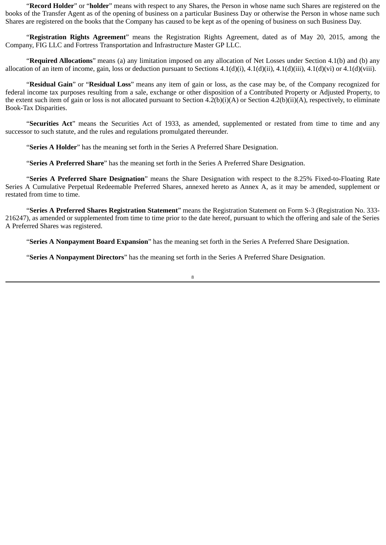"**Record Holder**" or "**holder**" means with respect to any Shares, the Person in whose name such Shares are registered on the books of the Transfer Agent as of the opening of business on a particular Business Day or otherwise the Person in whose name such Shares are registered on the books that the Company has caused to be kept as of the opening of business on such Business Day.

"**Registration Rights Agreement**" means the Registration Rights Agreement, dated as of May 20, 2015, among the Company, FIG LLC and Fortress Transportation and Infrastructure Master GP LLC.

"**Required Allocations**" means (a) any limitation imposed on any allocation of Net Losses under Section 4.1(b) and (b) any allocation of an item of income, gain, loss or deduction pursuant to Sections 4.1(d)(i), 4.1(d)(ii), 4.1(d)(iii), 4.1(d)(vi) or 4.1(d)(viii).

"**Residual Gain**" or "**Residual Loss**" means any item of gain or loss, as the case may be, of the Company recognized for federal income tax purposes resulting from a sale, exchange or other disposition of a Contributed Property or Adjusted Property, to the extent such item of gain or loss is not allocated pursuant to Section 4.2(b)(i)(A) or Section 4.2(b)(ii)(A), respectively, to eliminate Book-Tax Disparities.

"**Securities Act**" means the Securities Act of 1933, as amended, supplemented or restated from time to time and any successor to such statute, and the rules and regulations promulgated thereunder.

"**Series A Holder**" has the meaning set forth in the Series A Preferred Share Designation.

"**Series A Preferred Share**" has the meaning set forth in the Series A Preferred Share Designation.

"**Series A Preferred Share Designation**" means the Share Designation with respect to the 8.25% Fixed-to-Floating Rate Series A Cumulative Perpetual Redeemable Preferred Shares, annexed hereto as Annex A, as it may be amended, supplement or restated from time to time.

"**Series A Preferred Shares Registration Statement**" means the Registration Statement on Form S-3 (Registration No. 333- 216247), as amended or supplemented from time to time prior to the date hereof, pursuant to which the offering and sale of the Series A Preferred Shares was registered.

"**Series A Nonpayment Board Expansion**" has the meaning set forth in the Series A Preferred Share Designation.

"**Series A Nonpayment Directors**" has the meaning set forth in the Series A Preferred Share Designation.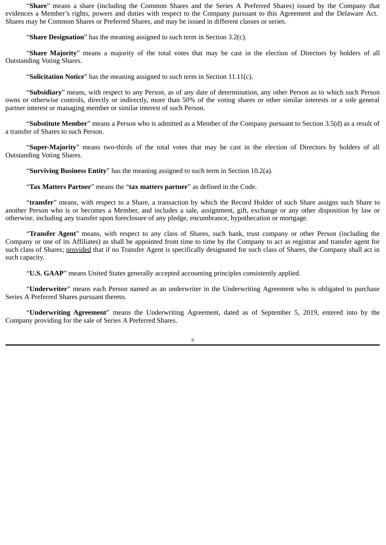"**Share**" means a share (including the Common Shares and the Series A Preferred Shares) issued by the Company that evidences a Member's rights, powers and duties with respect to the Company pursuant to this Agreement and the Delaware Act. Shares may be Common Shares or Preferred Shares, and may be issued in different classes or series.

"**Share Designation**" has the meaning assigned to such term in Section 3.2(c).

"**Share Majority**" means a majority of the total votes that may be cast in the election of Directors by holders of all Outstanding Voting Shares.

"**Solicitation Notice**" has the meaning assigned to such term in Section 11.11(c).

"**Subsidiary**" means, with respect to any Person, as of any date of determination, any other Person as to which such Person owns or otherwise controls, directly or indirectly, more than 50% of the voting shares or other similar interests or a sole general partner interest or managing member or similar interest of such Person.

"**Substitute Member**" means a Person who is admitted as a Member of the Company pursuant to Section 3.5(d) as a result of a transfer of Shares to such Person.

"**Super-Majority**" means two-thirds of the total votes that may be cast in the election of Directors by holders of all Outstanding Voting Shares.

"**Surviving Business Entity**" has the meaning assigned to such term in Section 10.2(a).

"**Tax Matters Partner**" means the "**tax matters partner**" as defined in the Code.

"**transfer**" means, with respect to a Share, a transaction by which the Record Holder of such Share assigns such Share to another Person who is or becomes a Member, and includes a sale, assignment, gift, exchange or any other disposition by law or otherwise, including any transfer upon foreclosure of any pledge, encumbrance, hypothecation or mortgage.

"**Transfer Agent**" means, with respect to any class of Shares, such bank, trust company or other Person (including the Company or one of its Affiliates) as shall be appointed from time to time by the Company to act as registrar and transfer agent for such class of Shares; provided that if no Transfer Agent is specifically designated for such class of Shares, the Company shall act in such capacity.

"**U.S. GAAP**" means United States generally accepted accounting principles consistently applied.

"**Underwriter**" means each Person named as an underwriter in the Underwriting Agreement who is obligated to purchase Series A Preferred Shares pursuant thereto.

"**Underwriting Agreement**" means the Underwriting Agreement, dated as of September 5, 2019, entered into by the Company providing for the sale of Series A Preferred Shares.

 $\alpha$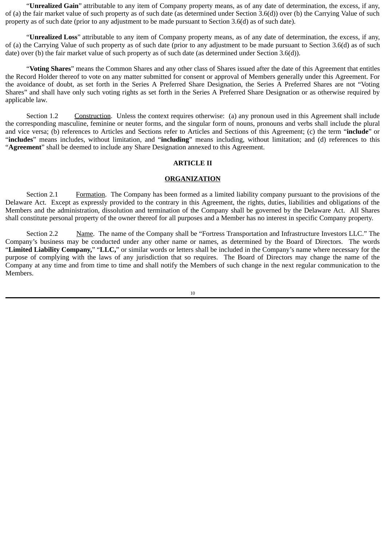"**Unrealized Gain**" attributable to any item of Company property means, as of any date of determination, the excess, if any, of (a) the fair market value of such property as of such date (as determined under Section 3.6(d)) over (b) the Carrying Value of such property as of such date (prior to any adjustment to be made pursuant to Section 3.6(d) as of such date).

"**Unrealized Loss**" attributable to any item of Company property means, as of any date of determination, the excess, if any, of (a) the Carrying Value of such property as of such date (prior to any adjustment to be made pursuant to Section 3.6(d) as of such date) over (b) the fair market value of such property as of such date (as determined under Section 3.6(d)).

"**Voting Shares**" means the Common Shares and any other class of Shares issued after the date of this Agreement that entitles the Record Holder thereof to vote on any matter submitted for consent or approval of Members generally under this Agreement. For the avoidance of doubt, as set forth in the Series A Preferred Share Designation, the Series A Preferred Shares are not "Voting Shares" and shall have only such voting rights as set forth in the Series A Preferred Share Designation or as otherwise required by applicable law.

Section 1.2 Construction. Unless the context requires otherwise: (a) any pronoun used in this Agreement shall include the corresponding masculine, feminine or neuter forms, and the singular form of nouns, pronouns and verbs shall include the plural and vice versa; (b) references to Articles and Sections refer to Articles and Sections of this Agreement; (c) the term "**include**" or "**includes**" means includes, without limitation, and "**including**" means including, without limitation; and (d) references to this "**Agreement**" shall be deemed to include any Share Designation annexed to this Agreement.

#### **ARTICLE II**

#### **ORGANIZATION**

Section 2.1 Formation. The Company has been formed as a limited liability company pursuant to the provisions of the Delaware Act. Except as expressly provided to the contrary in this Agreement, the rights, duties, liabilities and obligations of the Members and the administration, dissolution and termination of the Company shall be governed by the Delaware Act. All Shares shall constitute personal property of the owner thereof for all purposes and a Member has no interest in specific Company property.

Section 2.2 Mame. The name of the Company shall be "Fortress Transportation and Infrastructure Investors LLC." The Company's business may be conducted under any other name or names, as determined by the Board of Directors. The words "**Limited Liability Company,**" "**LLC,**" or similar words or letters shall be included in the Company's name where necessary for the purpose of complying with the laws of any jurisdiction that so requires. The Board of Directors may change the name of the Company at any time and from time to time and shall notify the Members of such change in the next regular communication to the Members.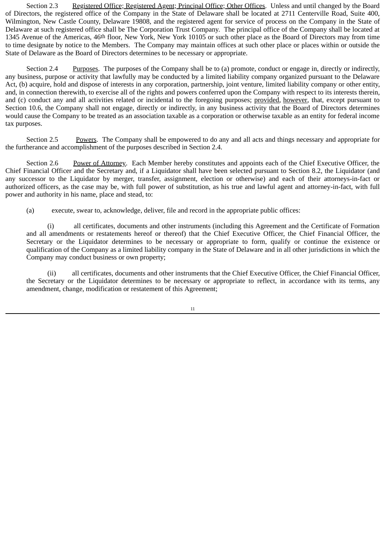Section 2.3 Registered Office; Registered Agent; Principal Office; Other Offices. Unless and until changed by the Board of Directors, the registered office of the Company in the State of Delaware shall be located at 2711 Centerville Road, Suite 400, Wilmington, New Castle County, Delaware 19808, and the registered agent for service of process on the Company in the State of Delaware at such registered office shall be The Corporation Trust Company. The principal office of the Company shall be located at 1345 Avenue of the Americas, 46th floor, New York, New York 10105 or such other place as the Board of Directors may from time to time designate by notice to the Members. The Company may maintain offices at such other place or places within or outside the State of Delaware as the Board of Directors determines to be necessary or appropriate.

Section 2.4 Purposes. The purposes of the Company shall be to (a) promote, conduct or engage in, directly or indirectly, any business, purpose or activity that lawfully may be conducted by a limited liability company organized pursuant to the Delaware Act, (b) acquire, hold and dispose of interests in any corporation, partnership, joint venture, limited liability company or other entity, and, in connection therewith, to exercise all of the rights and powers conferred upon the Company with respect to its interests therein, and (c) conduct any and all activities related or incidental to the foregoing purposes; provided, however, that, except pursuant to Section 10.6, the Company shall not engage, directly or indirectly, in any business activity that the Board of Directors determines would cause the Company to be treated as an association taxable as a corporation or otherwise taxable as an entity for federal income tax purposes.

Section 2.5 Powers. The Company shall be empowered to do any and all acts and things necessary and appropriate for the furtherance and accomplishment of the purposes described in Section 2.4.

Section 2.6 Power of Attorney. Each Member hereby constitutes and appoints each of the Chief Executive Officer, the Chief Financial Officer and the Secretary and, if a Liquidator shall have been selected pursuant to Section 8.2, the Liquidator (and any successor to the Liquidator by merger, transfer, assignment, election or otherwise) and each of their attorneys-in-fact or authorized officers, as the case may be, with full power of substitution, as his true and lawful agent and attorney-in-fact, with full power and authority in his name, place and stead, to:

(a) execute, swear to, acknowledge, deliver, file and record in the appropriate public offices:

(i) all certificates, documents and other instruments (including this Agreement and the Certificate of Formation and all amendments or restatements hereof or thereof) that the Chief Executive Officer, the Chief Financial Officer, the Secretary or the Liquidator determines to be necessary or appropriate to form, qualify or continue the existence or qualification of the Company as a limited liability company in the State of Delaware and in all other jurisdictions in which the Company may conduct business or own property;

(ii) all certificates, documents and other instruments that the Chief Executive Officer, the Chief Financial Officer, the Secretary or the Liquidator determines to be necessary or appropriate to reflect, in accordance with its terms, any amendment, change, modification or restatement of this Agreement;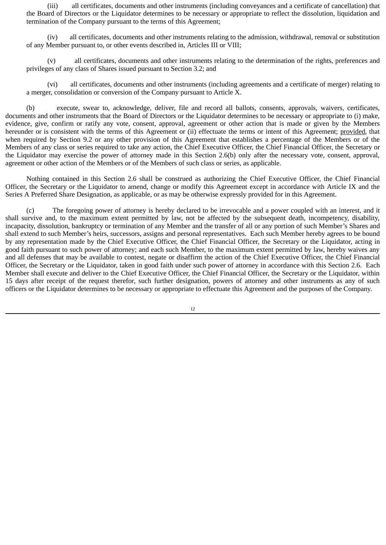(iii) all certificates, documents and other instruments (including conveyances and a certificate of cancellation) that the Board of Directors or the Liquidator determines to be necessary or appropriate to reflect the dissolution, liquidation and termination of the Company pursuant to the terms of this Agreement;

(iv) all certificates, documents and other instruments relating to the admission, withdrawal, removal or substitution of any Member pursuant to, or other events described in, Articles III or VIII;

(v) all certificates, documents and other instruments relating to the determination of the rights, preferences and privileges of any class of Shares issued pursuant to Section 3.2; and

(vi) all certificates, documents and other instruments (including agreements and a certificate of merger) relating to a merger, consolidation or conversion of the Company pursuant to Article X.

(b) execute, swear to, acknowledge, deliver, file and record all ballots, consents, approvals, waivers, certificates, documents and other instruments that the Board of Directors or the Liquidator determines to be necessary or appropriate to (i) make, evidence, give, confirm or ratify any vote, consent, approval, agreement or other action that is made or given by the Members hereunder or is consistent with the terms of this Agreement or (ii) effectuate the terms or intent of this Agreement; provided, that when required by Section 9.2 or any other provision of this Agreement that establishes a percentage of the Members or of the Members of any class or series required to take any action, the Chief Executive Officer, the Chief Financial Officer, the Secretary or the Liquidator may exercise the power of attorney made in this Section 2.6(b) only after the necessary vote, consent, approval, agreement or other action of the Members or of the Members of such class or series, as applicable.

Nothing contained in this Section 2.6 shall be construed as authorizing the Chief Executive Officer, the Chief Financial Officer, the Secretary or the Liquidator to amend, change or modify this Agreement except in accordance with Article IX and the Series A Preferred Share Designation, as applicable, or as may be otherwise expressly provided for in this Agreement.

(c) The foregoing power of attorney is hereby declared to be irrevocable and a power coupled with an interest, and it shall survive and, to the maximum extent permitted by law, not be affected by the subsequent death, incompetency, disability, incapacity, dissolution, bankruptcy or termination of any Member and the transfer of all or any portion of such Member's Shares and shall extend to such Member's heirs, successors, assigns and personal representatives. Each such Member hereby agrees to be bound by any representation made by the Chief Executive Officer, the Chief Financial Officer, the Secretary or the Liquidator, acting in good faith pursuant to such power of attorney; and each such Member, to the maximum extent permitted by law, hereby waives any and all defenses that may be available to contest, negate or disaffirm the action of the Chief Executive Officer, the Chief Financial Officer, the Secretary or the Liquidator, taken in good faith under such power of attorney in accordance with this Section 2.6. Each Member shall execute and deliver to the Chief Executive Officer, the Chief Financial Officer, the Secretary or the Liquidator, within 15 days after receipt of the request therefor, such further designation, powers of attorney and other instruments as any of such officers or the Liquidator determines to be necessary or appropriate to effectuate this Agreement and the purposes of the Company.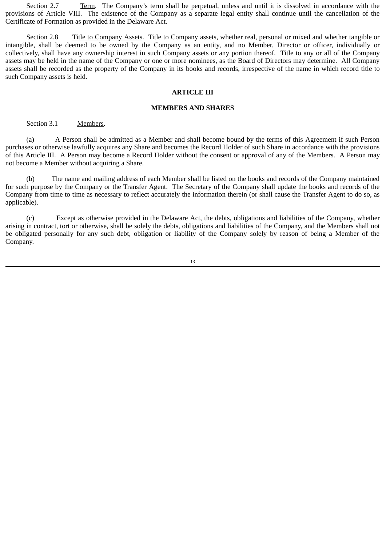Section 2.7 Term. The Company's term shall be perpetual, unless and until it is dissolved in accordance with the provisions of Article VIII. The existence of the Company as a separate legal entity shall continue until the cancellation of the Certificate of Formation as provided in the Delaware Act.

Section 2.8 Title to Company Assets. Title to Company assets, whether real, personal or mixed and whether tangible or intangible, shall be deemed to be owned by the Company as an entity, and no Member, Director or officer, individually or collectively, shall have any ownership interest in such Company assets or any portion thereof. Title to any or all of the Company assets may be held in the name of the Company or one or more nominees, as the Board of Directors may determine. All Company assets shall be recorded as the property of the Company in its books and records, irrespective of the name in which record title to such Company assets is held.

#### **ARTICLE III**

#### **MEMBERS AND SHARES**

# Section 3.1 Members.

(a) A Person shall be admitted as a Member and shall become bound by the terms of this Agreement if such Person purchases or otherwise lawfully acquires any Share and becomes the Record Holder of such Share in accordance with the provisions of this Article III. A Person may become a Record Holder without the consent or approval of any of the Members. A Person may not become a Member without acquiring a Share.

(b) The name and mailing address of each Member shall be listed on the books and records of the Company maintained for such purpose by the Company or the Transfer Agent. The Secretary of the Company shall update the books and records of the Company from time to time as necessary to reflect accurately the information therein (or shall cause the Transfer Agent to do so, as applicable).

(c) Except as otherwise provided in the Delaware Act, the debts, obligations and liabilities of the Company, whether arising in contract, tort or otherwise, shall be solely the debts, obligations and liabilities of the Company, and the Members shall not be obligated personally for any such debt, obligation or liability of the Company solely by reason of being a Member of the Company.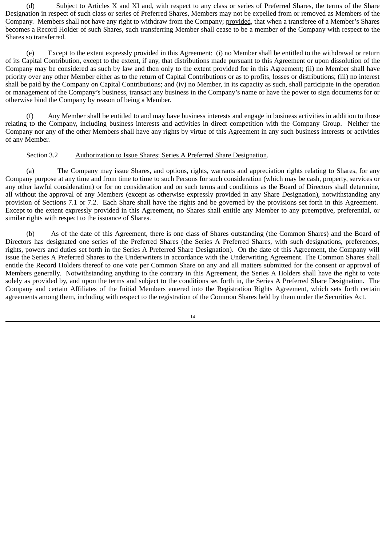(d) Subject to Articles X and XI and, with respect to any class or series of Preferred Shares, the terms of the Share Designation in respect of such class or series of Preferred Shares, Members may not be expelled from or removed as Members of the Company. Members shall not have any right to withdraw from the Company; provided, that when a transferee of a Member's Shares becomes a Record Holder of such Shares, such transferring Member shall cease to be a member of the Company with respect to the Shares so transferred.

(e) Except to the extent expressly provided in this Agreement: (i) no Member shall be entitled to the withdrawal or return of its Capital Contribution, except to the extent, if any, that distributions made pursuant to this Agreement or upon dissolution of the Company may be considered as such by law and then only to the extent provided for in this Agreement; (ii) no Member shall have priority over any other Member either as to the return of Capital Contributions or as to profits, losses or distributions; (iii) no interest shall be paid by the Company on Capital Contributions; and (iv) no Member, in its capacity as such, shall participate in the operation or management of the Company's business, transact any business in the Company's name or have the power to sign documents for or otherwise bind the Company by reason of being a Member.

(f) Any Member shall be entitled to and may have business interests and engage in business activities in addition to those relating to the Company, including business interests and activities in direct competition with the Company Group. Neither the Company nor any of the other Members shall have any rights by virtue of this Agreement in any such business interests or activities of any Member.

# Section 3.2 Authorization to Issue Shares; Series A Preferred Share Designation.

(a) The Company may issue Shares, and options, rights, warrants and appreciation rights relating to Shares, for any Company purpose at any time and from time to time to such Persons for such consideration (which may be cash, property, services or any other lawful consideration) or for no consideration and on such terms and conditions as the Board of Directors shall determine, all without the approval of any Members (except as otherwise expressly provided in any Share Designation), notwithstanding any provision of Sections 7.1 or 7.2. Each Share shall have the rights and be governed by the provisions set forth in this Agreement. Except to the extent expressly provided in this Agreement, no Shares shall entitle any Member to any preemptive, preferential, or similar rights with respect to the issuance of Shares.

(b) As of the date of this Agreement, there is one class of Shares outstanding (the Common Shares) and the Board of Directors has designated one series of the Preferred Shares (the Series A Preferred Shares, with such designations, preferences, rights, powers and duties set forth in the Series A Preferred Share Designation). On the date of this Agreement, the Company will issue the Series A Preferred Shares to the Underwriters in accordance with the Underwriting Agreement. The Common Shares shall entitle the Record Holders thereof to one vote per Common Share on any and all matters submitted for the consent or approval of Members generally. Notwithstanding anything to the contrary in this Agreement, the Series A Holders shall have the right to vote solely as provided by, and upon the terms and subject to the conditions set forth in, the Series A Preferred Share Designation. The Company and certain Affiliates of the Initial Members entered into the Registration Rights Agreement, which sets forth certain agreements among them, including with respect to the registration of the Common Shares held by them under the Securities Act.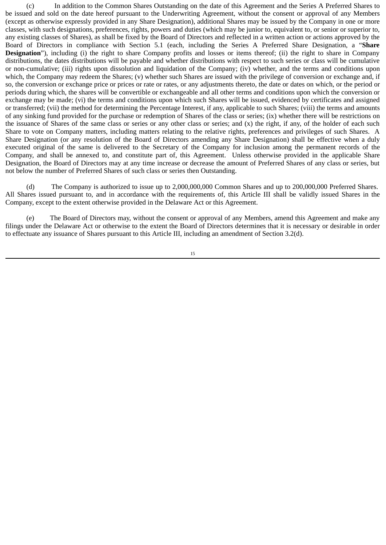(c) In addition to the Common Shares Outstanding on the date of this Agreement and the Series A Preferred Shares to be issued and sold on the date hereof pursuant to the Underwriting Agreement, without the consent or approval of any Members (except as otherwise expressly provided in any Share Designation), additional Shares may be issued by the Company in one or more classes, with such designations, preferences, rights, powers and duties (which may be junior to, equivalent to, or senior or superior to, any existing classes of Shares), as shall be fixed by the Board of Directors and reflected in a written action or actions approved by the Board of Directors in compliance with Section 5.1 (each, including the Series A Preferred Share Designation, a "**Share Designation**"), including (i) the right to share Company profits and losses or items thereof; (ii) the right to share in Company distributions, the dates distributions will be payable and whether distributions with respect to such series or class will be cumulative or non-cumulative; (iii) rights upon dissolution and liquidation of the Company; (iv) whether, and the terms and conditions upon which, the Company may redeem the Shares; (y) whether such Shares are issued with the privilege of conversion or exchange and, if so, the conversion or exchange price or prices or rate or rates, or any adjustments thereto, the date or dates on which, or the period or periods during which, the shares will be convertible or exchangeable and all other terms and conditions upon which the conversion or exchange may be made; (vi) the terms and conditions upon which such Shares will be issued, evidenced by certificates and assigned or transferred; (vii) the method for determining the Percentage Interest, if any, applicable to such Shares; (viii) the terms and amounts of any sinking fund provided for the purchase or redemption of Shares of the class or series; (ix) whether there will be restrictions on the issuance of Shares of the same class or series or any other class or series; and (x) the right, if any, of the holder of each such Share to vote on Company matters, including matters relating to the relative rights, preferences and privileges of such Shares. A Share Designation (or any resolution of the Board of Directors amending any Share Designation) shall be effective when a duly executed original of the same is delivered to the Secretary of the Company for inclusion among the permanent records of the Company, and shall be annexed to, and constitute part of, this Agreement. Unless otherwise provided in the applicable Share Designation, the Board of Directors may at any time increase or decrease the amount of Preferred Shares of any class or series, but not below the number of Preferred Shares of such class or series then Outstanding.

(d) The Company is authorized to issue up to 2,000,000,000 Common Shares and up to 200,000,000 Preferred Shares. All Shares issued pursuant to, and in accordance with the requirements of, this Article III shall be validly issued Shares in the Company, except to the extent otherwise provided in the Delaware Act or this Agreement.

(e) The Board of Directors may, without the consent or approval of any Members, amend this Agreement and make any filings under the Delaware Act or otherwise to the extent the Board of Directors determines that it is necessary or desirable in order to effectuate any issuance of Shares pursuant to this Article III, including an amendment of Section 3.2(d).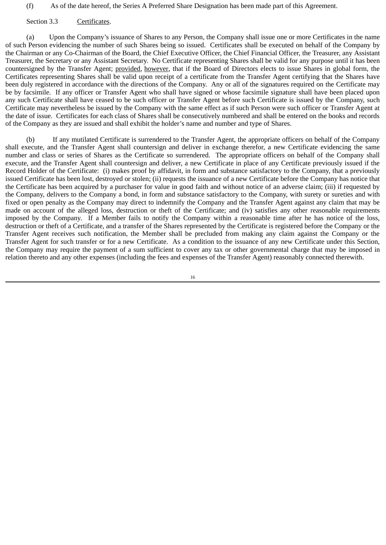(f) As of the date hereof, the Series A Preferred Share Designation has been made part of this Agreement.

Section 3.3 Certificates.

(a) Upon the Company's issuance of Shares to any Person, the Company shall issue one or more Certificates in the name of such Person evidencing the number of such Shares being so issued. Certificates shall be executed on behalf of the Company by the Chairman or any Co-Chairman of the Board, the Chief Executive Officer, the Chief Financial Officer, the Treasurer, any Assistant Treasurer, the Secretary or any Assistant Secretary. No Certificate representing Shares shall be valid for any purpose until it has been countersigned by the Transfer Agent; provided, however, that if the Board of Directors elects to issue Shares in global form, the Certificates representing Shares shall be valid upon receipt of a certificate from the Transfer Agent certifying that the Shares have been duly registered in accordance with the directions of the Company. Any or all of the signatures required on the Certificate may be by facsimile. If any officer or Transfer Agent who shall have signed or whose facsimile signature shall have been placed upon any such Certificate shall have ceased to be such officer or Transfer Agent before such Certificate is issued by the Company, such Certificate may nevertheless be issued by the Company with the same effect as if such Person were such officer or Transfer Agent at the date of issue. Certificates for each class of Shares shall be consecutively numbered and shall be entered on the books and records of the Company as they are issued and shall exhibit the holder's name and number and type of Shares.

(b) If any mutilated Certificate is surrendered to the Transfer Agent, the appropriate officers on behalf of the Company shall execute, and the Transfer Agent shall countersign and deliver in exchange therefor, a new Certificate evidencing the same number and class or series of Shares as the Certificate so surrendered. The appropriate officers on behalf of the Company shall execute, and the Transfer Agent shall countersign and deliver, a new Certificate in place of any Certificate previously issued if the Record Holder of the Certificate: (i) makes proof by affidavit, in form and substance satisfactory to the Company, that a previously issued Certificate has been lost, destroyed or stolen; (ii) requests the issuance of a new Certificate before the Company has notice that the Certificate has been acquired by a purchaser for value in good faith and without notice of an adverse claim; (iii) if requested by the Company, delivers to the Company a bond, in form and substance satisfactory to the Company, with surety or sureties and with fixed or open penalty as the Company may direct to indemnify the Company and the Transfer Agent against any claim that may be made on account of the alleged loss, destruction or theft of the Certificate; and (iv) satisfies any other reasonable requirements imposed by the Company. If a Member fails to notify the Company within a reasonable time after he has notice of the loss, destruction or theft of a Certificate, and a transfer of the Shares represented by the Certificate is registered before the Company or the Transfer Agent receives such notification, the Member shall be precluded from making any claim against the Company or the Transfer Agent for such transfer or for a new Certificate. As a condition to the issuance of any new Certificate under this Section, the Company may require the payment of a sum sufficient to cover any tax or other governmental charge that may be imposed in relation thereto and any other expenses (including the fees and expenses of the Transfer Agent) reasonably connected therewith.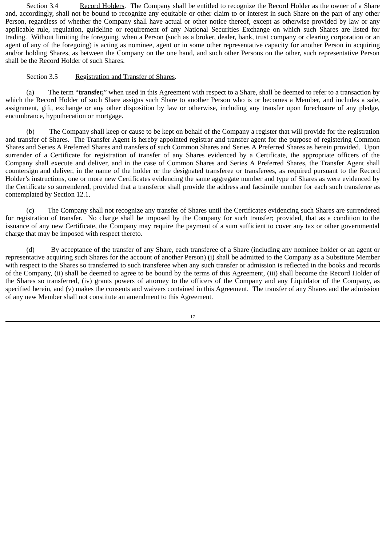Section 3.4 Record Holders. The Company shall be entitled to recognize the Record Holder as the owner of a Share and, accordingly, shall not be bound to recognize any equitable or other claim to or interest in such Share on the part of any other Person, regardless of whether the Company shall have actual or other notice thereof, except as otherwise provided by law or any applicable rule, regulation, guideline or requirement of any National Securities Exchange on which such Shares are listed for trading. Without limiting the foregoing, when a Person (such as a broker, dealer, bank, trust company or clearing corporation or an agent of any of the foregoing) is acting as nominee, agent or in some other representative capacity for another Person in acquiring and/or holding Shares, as between the Company on the one hand, and such other Persons on the other, such representative Person shall be the Record Holder of such Shares.

# Section 3.5 Registration and Transfer of Shares.

(a) The term "**transfer,**" when used in this Agreement with respect to a Share, shall be deemed to refer to a transaction by which the Record Holder of such Share assigns such Share to another Person who is or becomes a Member, and includes a sale, assignment, gift, exchange or any other disposition by law or otherwise, including any transfer upon foreclosure of any pledge, encumbrance, hypothecation or mortgage.

(b) The Company shall keep or cause to be kept on behalf of the Company a register that will provide for the registration and transfer of Shares. The Transfer Agent is hereby appointed registrar and transfer agent for the purpose of registering Common Shares and Series A Preferred Shares and transfers of such Common Shares and Series A Preferred Shares as herein provided. Upon surrender of a Certificate for registration of transfer of any Shares evidenced by a Certificate, the appropriate officers of the Company shall execute and deliver, and in the case of Common Shares and Series A Preferred Shares, the Transfer Agent shall countersign and deliver, in the name of the holder or the designated transferee or transferees, as required pursuant to the Record Holder's instructions, one or more new Certificates evidencing the same aggregate number and type of Shares as were evidenced by the Certificate so surrendered, provided that a transferor shall provide the address and facsimile number for each such transferee as contemplated by Section 12.1.

(c) The Company shall not recognize any transfer of Shares until the Certificates evidencing such Shares are surrendered for registration of transfer. No charge shall be imposed by the Company for such transfer; provided, that as a condition to the issuance of any new Certificate, the Company may require the payment of a sum sufficient to cover any tax or other governmental charge that may be imposed with respect thereto.

(d) By acceptance of the transfer of any Share, each transferee of a Share (including any nominee holder or an agent or representative acquiring such Shares for the account of another Person) (i) shall be admitted to the Company as a Substitute Member with respect to the Shares so transferred to such transferee when any such transfer or admission is reflected in the books and records of the Company, (ii) shall be deemed to agree to be bound by the terms of this Agreement, (iii) shall become the Record Holder of the Shares so transferred, (iv) grants powers of attorney to the officers of the Company and any Liquidator of the Company, as specified herein, and (v) makes the consents and waivers contained in this Agreement. The transfer of any Shares and the admission of any new Member shall not constitute an amendment to this Agreement.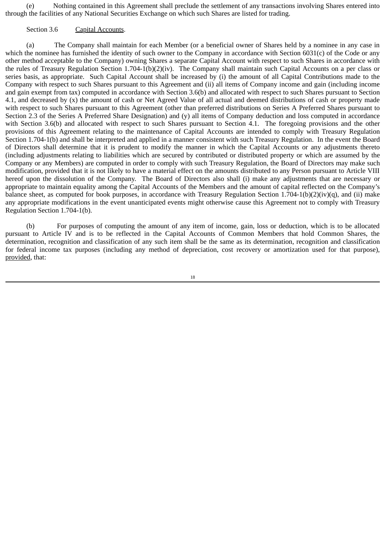(e) Nothing contained in this Agreement shall preclude the settlement of any transactions involving Shares entered into through the facilities of any National Securities Exchange on which such Shares are listed for trading.

#### Section 3.6 Capital Accounts.

(a) The Company shall maintain for each Member (or a beneficial owner of Shares held by a nominee in any case in which the nominee has furnished the identity of such owner to the Company in accordance with Section 6031(c) of the Code or any other method acceptable to the Company) owning Shares a separate Capital Account with respect to such Shares in accordance with the rules of Treasury Regulation Section 1.704-1(b)(2)(iv). The Company shall maintain such Capital Accounts on a per class or series basis, as appropriate. Such Capital Account shall be increased by (i) the amount of all Capital Contributions made to the Company with respect to such Shares pursuant to this Agreement and (ii) all items of Company income and gain (including income and gain exempt from tax) computed in accordance with Section 3.6(b) and allocated with respect to such Shares pursuant to Section 4.1, and decreased by (x) the amount of cash or Net Agreed Value of all actual and deemed distributions of cash or property made with respect to such Shares pursuant to this Agreement (other than preferred distributions on Series A Preferred Shares pursuant to Section 2.3 of the Series A Preferred Share Designation) and (y) all items of Company deduction and loss computed in accordance with Section 3.6(b) and allocated with respect to such Shares pursuant to Section 4.1. The foregoing provisions and the other provisions of this Agreement relating to the maintenance of Capital Accounts are intended to comply with Treasury Regulation Section 1.704-1(b) and shall be interpreted and applied in a manner consistent with such Treasury Regulation. In the event the Board of Directors shall determine that it is prudent to modify the manner in which the Capital Accounts or any adjustments thereto (including adjustments relating to liabilities which are secured by contributed or distributed property or which are assumed by the Company or any Members) are computed in order to comply with such Treasury Regulation, the Board of Directors may make such modification, provided that it is not likely to have a material effect on the amounts distributed to any Person pursuant to Article VIII hereof upon the dissolution of the Company. The Board of Directors also shall (i) make any adjustments that are necessary or appropriate to maintain equality among the Capital Accounts of the Members and the amount of capital reflected on the Company's balance sheet, as computed for book purposes, in accordance with Treasury Regulation Section  $1.704-1(b)(2)(iv)(q)$ , and (ii) make any appropriate modifications in the event unanticipated events might otherwise cause this Agreement not to comply with Treasury Regulation Section 1.704-1(b).

(b) For purposes of computing the amount of any item of income, gain, loss or deduction, which is to be allocated pursuant to Article IV and is to be reflected in the Capital Accounts of Common Members that hold Common Shares, the determination, recognition and classification of any such item shall be the same as its determination, recognition and classification for federal income tax purposes (including any method of depreciation, cost recovery or amortization used for that purpose), provided, that: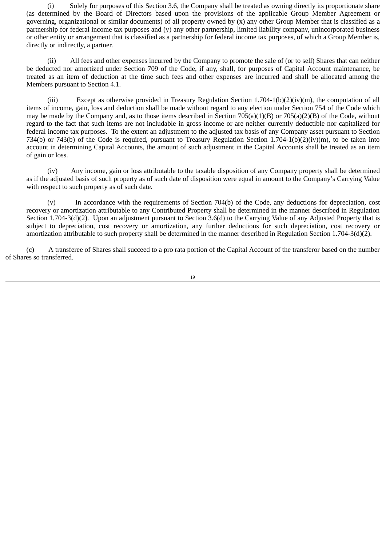(i) Solely for purposes of this Section 3.6, the Company shall be treated as owning directly its proportionate share (as determined by the Board of Directors based upon the provisions of the applicable Group Member Agreement or governing, organizational or similar documents) of all property owned by (x) any other Group Member that is classified as a partnership for federal income tax purposes and (y) any other partnership, limited liability company, unincorporated business or other entity or arrangement that is classified as a partnership for federal income tax purposes, of which a Group Member is, directly or indirectly, a partner.

(ii) All fees and other expenses incurred by the Company to promote the sale of (or to sell) Shares that can neither be deducted nor amortized under Section 709 of the Code, if any, shall, for purposes of Capital Account maintenance, be treated as an item of deduction at the time such fees and other expenses are incurred and shall be allocated among the Members pursuant to Section 4.1.

(iii) Except as otherwise provided in Treasury Regulation Section 1.704-1(b)(2)(iv)(m), the computation of all items of income, gain, loss and deduction shall be made without regard to any election under Section 754 of the Code which may be made by the Company and, as to those items described in Section 705(a)(1)(B) or 705(a)(2)(B) of the Code, without regard to the fact that such items are not includable in gross income or are neither currently deductible nor capitalized for federal income tax purposes. To the extent an adjustment to the adjusted tax basis of any Company asset pursuant to Section 734(b) or 743(b) of the Code is required, pursuant to Treasury Regulation Section 1.704-1(b)(2)(iv)(m), to be taken into account in determining Capital Accounts, the amount of such adjustment in the Capital Accounts shall be treated as an item of gain or loss.

(iv) Any income, gain or loss attributable to the taxable disposition of any Company property shall be determined as if the adjusted basis of such property as of such date of disposition were equal in amount to the Company's Carrying Value with respect to such property as of such date.

(v) In accordance with the requirements of Section 704(b) of the Code, any deductions for depreciation, cost recovery or amortization attributable to any Contributed Property shall be determined in the manner described in Regulation Section 1.704-3(d)(2). Upon an adjustment pursuant to Section 3.6(d) to the Carrying Value of any Adjusted Property that is subject to depreciation, cost recovery or amortization, any further deductions for such depreciation, cost recovery or amortization attributable to such property shall be determined in the manner described in Regulation Section 1.704-3(d)(2).

(c) A transferee of Shares shall succeed to a pro rata portion of the Capital Account of the transferor based on the number of Shares so transferred.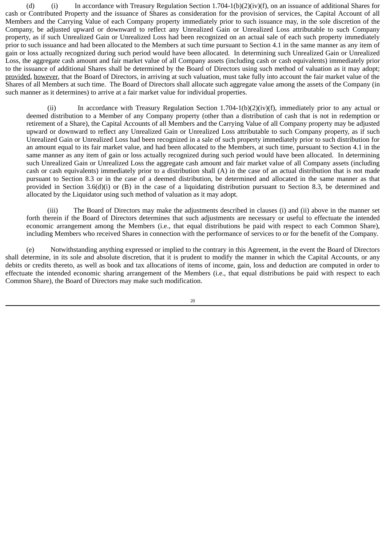(d) In accordance with Treasury Regulation Section 1.704-1(b)(2)(iv)(f), on an issuance of additional Shares for cash or Contributed Property and the issuance of Shares as consideration for the provision of services, the Capital Account of all Members and the Carrying Value of each Company property immediately prior to such issuance may, in the sole discretion of the Company, be adjusted upward or downward to reflect any Unrealized Gain or Unrealized Loss attributable to such Company property, as if such Unrealized Gain or Unrealized Loss had been recognized on an actual sale of each such property immediately prior to such issuance and had been allocated to the Members at such time pursuant to Section 4.1 in the same manner as any item of gain or loss actually recognized during such period would have been allocated. In determining such Unrealized Gain or Unrealized Loss, the aggregate cash amount and fair market value of all Company assets (including cash or cash equivalents) immediately prior to the issuance of additional Shares shall be determined by the Board of Directors using such method of valuation as it may adopt; provided, however, that the Board of Directors, in arriving at such valuation, must take fully into account the fair market value of the Shares of all Members at such time. The Board of Directors shall allocate such aggregate value among the assets of the Company (in such manner as it determines) to arrive at a fair market value for individual properties.

(ii) In accordance with Treasury Regulation Section 1.704-1(b)(2)(iv)(f), immediately prior to any actual or deemed distribution to a Member of any Company property (other than a distribution of cash that is not in redemption or retirement of a Share), the Capital Accounts of all Members and the Carrying Value of all Company property may be adjusted upward or downward to reflect any Unrealized Gain or Unrealized Loss attributable to such Company property, as if such Unrealized Gain or Unrealized Loss had been recognized in a sale of such property immediately prior to such distribution for an amount equal to its fair market value, and had been allocated to the Members, at such time, pursuant to Section 4.1 in the same manner as any item of gain or loss actually recognized during such period would have been allocated. In determining such Unrealized Gain or Unrealized Loss the aggregate cash amount and fair market value of all Company assets (including cash or cash equivalents) immediately prior to a distribution shall (A) in the case of an actual distribution that is not made pursuant to Section 8.3 or in the case of a deemed distribution, be determined and allocated in the same manner as that provided in Section 3.6(d)(i) or (B) in the case of a liquidating distribution pursuant to Section 8.3, be determined and allocated by the Liquidator using such method of valuation as it may adopt.

(iii) The Board of Directors may make the adjustments described in clauses (i) and (ii) above in the manner set forth therein if the Board of Directors determines that such adjustments are necessary or useful to effectuate the intended economic arrangement among the Members (i.e., that equal distributions be paid with respect to each Common Share), including Members who received Shares in connection with the performance of services to or for the benefit of the Company.

(e) Notwithstanding anything expressed or implied to the contrary in this Agreement, in the event the Board of Directors shall determine, in its sole and absolute discretion, that it is prudent to modify the manner in which the Capital Accounts, or any debits or credits thereto, as well as book and tax allocations of items of income, gain, loss and deduction are computed in order to effectuate the intended economic sharing arrangement of the Members (i.e., that equal distributions be paid with respect to each Common Share), the Board of Directors may make such modification.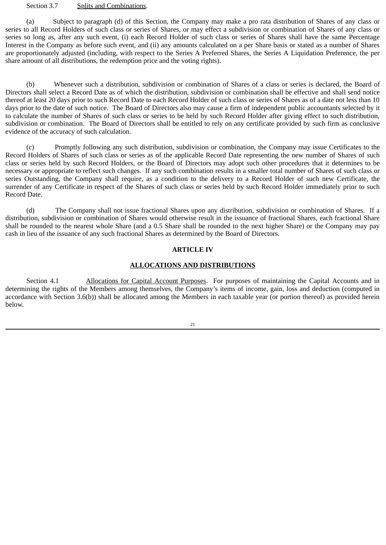#### Section 3.7 Splits and Combinations.

(a) Subject to paragraph (d) of this Section, the Company may make a pro rata distribution of Shares of any class or series to all Record Holders of such class or series of Shares, or may effect a subdivision or combination of Shares of any class or series so long as, after any such event, (i) each Record Holder of such class or series of Shares shall have the same Percentage Interest in the Company as before such event, and (ii) any amounts calculated on a per Share basis or stated as a number of Shares are proportionately adjusted (including, with respect to the Series A Preferred Shares, the Series A Liquidation Preference, the per share amount of all distributions, the redemption price and the voting rights).

(b) Whenever such a distribution, subdivision or combination of Shares of a class or series is declared, the Board of Directors shall select a Record Date as of which the distribution, subdivision or combination shall be effective and shall send notice thereof at least 20 days prior to such Record Date to each Record Holder of such class or series of Shares as of a date not less than 10 days prior to the date of such notice. The Board of Directors also may cause a firm of independent public accountants selected by it to calculate the number of Shares of such class or series to be held by such Record Holder after giving effect to such distribution, subdivision or combination. The Board of Directors shall be entitled to rely on any certificate provided by such firm as conclusive evidence of the accuracy of such calculation.

(c) Promptly following any such distribution, subdivision or combination, the Company may issue Certificates to the Record Holders of Shares of such class or series as of the applicable Record Date representing the new number of Shares of such class or series held by such Record Holders, or the Board of Directors may adopt such other procedures that it determines to be necessary or appropriate to reflect such changes. If any such combination results in a smaller total number of Shares of such class or series Outstanding, the Company shall require, as a condition to the delivery to a Record Holder of such new Certificate, the surrender of any Certificate in respect of the Shares of such class or series held by such Record Holder immediately prior to such Record Date.

(d) The Company shall not issue fractional Shares upon any distribution, subdivision or combination of Shares. If a distribution, subdivision or combination of Shares would otherwise result in the issuance of fractional Shares, each fractional Share shall be rounded to the nearest whole Share (and a 0.5 Share shall be rounded to the next higher Share) or the Company may pay cash in lieu of the issuance of any such fractional Shares as determined by the Board of Directors.

# **ARTICLE IV**

# **ALLOCATIONS AND DISTRIBUTIONS**

Section 4.1 Allocations for Capital Account Purposes. For purposes of maintaining the Capital Accounts and in determining the rights of the Members among themselves, the Company's items of income, gain, loss and deduction (computed in accordance with Section 3.6(b)) shall be allocated among the Members in each taxable year (or portion thereof) as provided herein below.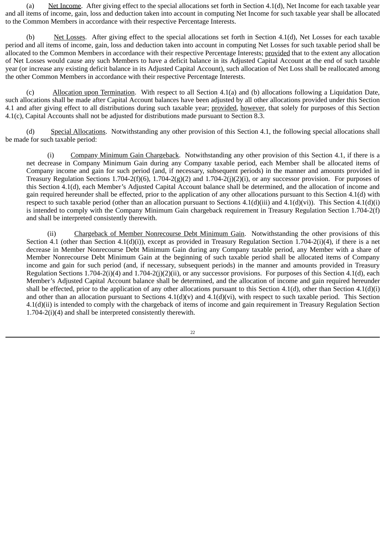(a) Net Income. After giving effect to the special allocations set forth in Section 4.1(d), Net Income for each taxable year and all items of income, gain, loss and deduction taken into account in computing Net Income for such taxable year shall be allocated to the Common Members in accordance with their respective Percentage Interests.

(b) Net Losses. After giving effect to the special allocations set forth in Section 4.1(d), Net Losses for each taxable period and all items of income, gain, loss and deduction taken into account in computing Net Losses for such taxable period shall be allocated to the Common Members in accordance with their respective Percentage Interests; provided that to the extent any allocation of Net Losses would cause any such Members to have a deficit balance in its Adjusted Capital Account at the end of such taxable year (or increase any existing deficit balance in its Adjusted Capital Account), such allocation of Net Loss shall be reallocated among the other Common Members in accordance with their respective Percentage Interests.

(c) Allocation upon Termination. With respect to all Section 4.1(a) and (b) allocations following a Liquidation Date, such allocations shall be made after Capital Account balances have been adjusted by all other allocations provided under this Section 4.1 and after giving effect to all distributions during such taxable year; provided, however, that solely for purposes of this Section 4.1(c), Capital Accounts shall not be adjusted for distributions made pursuant to Section 8.3.

(d) Special Allocations. Notwithstanding any other provision of this Section 4.1, the following special allocations shall be made for such taxable period:

(i) Company Minimum Gain Chargeback. Notwithstanding any other provision of this Section 4.1, if there is a net decrease in Company Minimum Gain during any Company taxable period, each Member shall be allocated items of Company income and gain for such period (and, if necessary, subsequent periods) in the manner and amounts provided in Treasury Regulation Sections 1.704-2(f)(6), 1.704-2(g)(2) and 1.704-2(j)(2)(i), or any successor provision. For purposes of this Section 4.1(d), each Member's Adjusted Capital Account balance shall be determined, and the allocation of income and gain required hereunder shall be effected, prior to the application of any other allocations pursuant to this Section 4.1(d) with respect to such taxable period (other than an allocation pursuant to Sections  $4.1(d)(iii)$  and  $4.1(d)(vi)$ ). This Section  $4.1(d)(i)$ is intended to comply with the Company Minimum Gain chargeback requirement in Treasury Regulation Section 1.704-2(f) and shall be interpreted consistently therewith.

(ii) Chargeback of Member Nonrecourse Debt Minimum Gain. Notwithstanding the other provisions of this Section 4.1 (other than Section 4.1(d)(i)), except as provided in Treasury Regulation Section 1.704-2(i)(4), if there is a net decrease in Member Nonrecourse Debt Minimum Gain during any Company taxable period, any Member with a share of Member Nonrecourse Debt Minimum Gain at the beginning of such taxable period shall be allocated items of Company income and gain for such period (and, if necessary, subsequent periods) in the manner and amounts provided in Treasury Regulation Sections 1.704-2(i)(4) and 1.704-2(j)(2)(ii), or any successor provisions. For purposes of this Section 4.1(d), each Member's Adjusted Capital Account balance shall be determined, and the allocation of income and gain required hereunder shall be effected, prior to the application of any other allocations pursuant to this Section 4.1(d), other than Section 4.1(d)(i) and other than an allocation pursuant to Sections  $4.1(d)(v)$  and  $4.1(d)(vi)$ , with respect to such taxable period. This Section 4.1(d)(ii) is intended to comply with the chargeback of items of income and gain requirement in Treasury Regulation Section 1.704-2(i)(4) and shall be interpreted consistently therewith.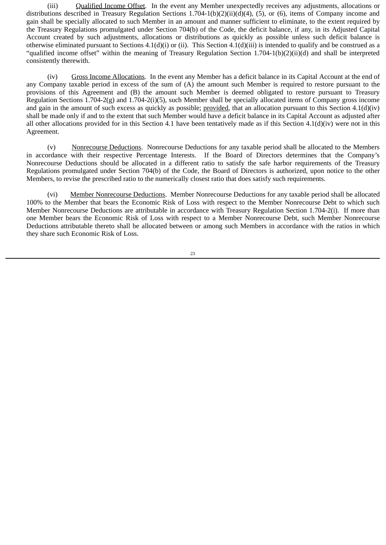(iii) Qualified Income Offset. In the event any Member unexpectedly receives any adjustments, allocations or distributions described in Treasury Regulation Sections 1.704-1(b)(2)(ii)(d)(4), (5), or (6), items of Company income and gain shall be specially allocated to such Member in an amount and manner sufficient to eliminate, to the extent required by the Treasury Regulations promulgated under Section 704(b) of the Code, the deficit balance, if any, in its Adjusted Capital Account created by such adjustments, allocations or distributions as quickly as possible unless such deficit balance is otherwise eliminated pursuant to Sections  $4.1(d)(i)$  or (ii). This Section  $4.1(d)(ii)$  is intended to qualify and be construed as a "qualified income offset" within the meaning of Treasury Regulation Section 1.704-1(b)(2)(ii)(d) and shall be interpreted consistently therewith.

(iv) Gross Income Allocations. In the event any Member has a deficit balance in its Capital Account at the end of any Company taxable period in excess of the sum of (A) the amount such Member is required to restore pursuant to the provisions of this Agreement and (B) the amount such Member is deemed obligated to restore pursuant to Treasury Regulation Sections 1.704-2(g) and 1.704-2(i)(5), such Member shall be specially allocated items of Company gross income and gain in the amount of such excess as quickly as possible; provided, that an allocation pursuant to this Section  $4.1(d)(iv)$ shall be made only if and to the extent that such Member would have a deficit balance in its Capital Account as adjusted after all other allocations provided for in this Section 4.1 have been tentatively made as if this Section 4.1(d)(iv) were not in this Agreement.

(v) Nonrecourse Deductions. Nonrecourse Deductions for any taxable period shall be allocated to the Members in accordance with their respective Percentage Interests. If the Board of Directors determines that the Company's Nonrecourse Deductions should be allocated in a different ratio to satisfy the safe harbor requirements of the Treasury Regulations promulgated under Section 704(b) of the Code, the Board of Directors is authorized, upon notice to the other Members, to revise the prescribed ratio to the numerically closest ratio that does satisfy such requirements.

(vi) Member Nonrecourse Deductions. Member Nonrecourse Deductions for any taxable period shall be allocated 100% to the Member that bears the Economic Risk of Loss with respect to the Member Nonrecourse Debt to which such Member Nonrecourse Deductions are attributable in accordance with Treasury Regulation Section 1.704-2(i). If more than one Member bears the Economic Risk of Loss with respect to a Member Nonrecourse Debt, such Member Nonrecourse Deductions attributable thereto shall be allocated between or among such Members in accordance with the ratios in which they share such Economic Risk of Loss.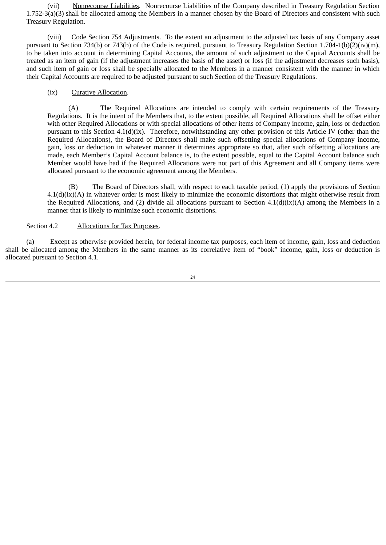(vii) Nonrecourse Liabilities. Nonrecourse Liabilities of the Company described in Treasury Regulation Section 1.752-3(a)(3) shall be allocated among the Members in a manner chosen by the Board of Directors and consistent with such Treasury Regulation.

(viii) Code Section 754 Adjustments. To the extent an adjustment to the adjusted tax basis of any Company asset pursuant to Section 734(b) or 743(b) of the Code is required, pursuant to Treasury Regulation Section 1.704-1(b)(2)(iv)(m), to be taken into account in determining Capital Accounts, the amount of such adjustment to the Capital Accounts shall be treated as an item of gain (if the adjustment increases the basis of the asset) or loss (if the adjustment decreases such basis), and such item of gain or loss shall be specially allocated to the Members in a manner consistent with the manner in which their Capital Accounts are required to be adjusted pursuant to such Section of the Treasury Regulations.

# (ix) Curative Allocation.

(A) The Required Allocations are intended to comply with certain requirements of the Treasury Regulations. It is the intent of the Members that, to the extent possible, all Required Allocations shall be offset either with other Required Allocations or with special allocations of other items of Company income, gain, loss or deduction pursuant to this Section 4.1(d)(ix). Therefore, notwithstanding any other provision of this Article IV (other than the Required Allocations), the Board of Directors shall make such offsetting special allocations of Company income, gain, loss or deduction in whatever manner it determines appropriate so that, after such offsetting allocations are made, each Member's Capital Account balance is, to the extent possible, equal to the Capital Account balance such Member would have had if the Required Allocations were not part of this Agreement and all Company items were allocated pursuant to the economic agreement among the Members.

(B) The Board of Directors shall, with respect to each taxable period, (1) apply the provisions of Section  $4.1(d)(ix)(A)$  in whatever order is most likely to minimize the economic distortions that might otherwise result from the Required Allocations, and (2) divide all allocations pursuant to Section  $4.1(d)(ix)(A)$  among the Members in a manner that is likely to minimize such economic distortions.

# Section 4.2 Allocations for Tax Purposes.

(a) Except as otherwise provided herein, for federal income tax purposes, each item of income, gain, loss and deduction shall be allocated among the Members in the same manner as its correlative item of "book" income, gain, loss or deduction is allocated pursuant to Section 4.1.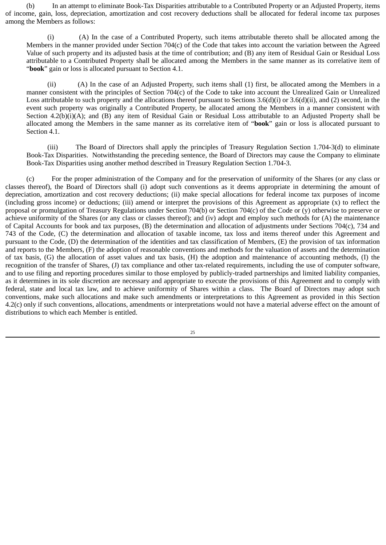(b) In an attempt to eliminate Book-Tax Disparities attributable to a Contributed Property or an Adjusted Property, items of income, gain, loss, depreciation, amortization and cost recovery deductions shall be allocated for federal income tax purposes among the Members as follows:

(i) (A) In the case of a Contributed Property, such items attributable thereto shall be allocated among the Members in the manner provided under Section 704(c) of the Code that takes into account the variation between the Agreed Value of such property and its adjusted basis at the time of contribution; and (B) any item of Residual Gain or Residual Loss attributable to a Contributed Property shall be allocated among the Members in the same manner as its correlative item of "**book**" gain or loss is allocated pursuant to Section 4.1.

(ii) (A) In the case of an Adjusted Property, such items shall (1) first, be allocated among the Members in a manner consistent with the principles of Section 704(c) of the Code to take into account the Unrealized Gain or Unrealized Loss attributable to such property and the allocations thereof pursuant to Sections 3.6(d)(i) or 3.6(d)(ii), and (2) second, in the event such property was originally a Contributed Property, be allocated among the Members in a manner consistent with Section 4.2(b)(i)(A); and (B) any item of Residual Gain or Residual Loss attributable to an Adjusted Property shall be allocated among the Members in the same manner as its correlative item of "**book**" gain or loss is allocated pursuant to Section 4.1.

(iii) The Board of Directors shall apply the principles of Treasury Regulation Section 1.704-3(d) to eliminate Book-Tax Disparities. Notwithstanding the preceding sentence, the Board of Directors may cause the Company to eliminate Book-Tax Disparities using another method described in Treasury Regulation Section 1.704-3.

(c) For the proper administration of the Company and for the preservation of uniformity of the Shares (or any class or classes thereof), the Board of Directors shall (i) adopt such conventions as it deems appropriate in determining the amount of depreciation, amortization and cost recovery deductions; (ii) make special allocations for federal income tax purposes of income (including gross income) or deductions; (iii) amend or interpret the provisions of this Agreement as appropriate  $(x)$  to reflect the proposal or promulgation of Treasury Regulations under Section 704(b) or Section 704(c) of the Code or (y) otherwise to preserve or achieve uniformity of the Shares (or any class or classes thereof); and (iv) adopt and employ such methods for (A) the maintenance of Capital Accounts for book and tax purposes, (B) the determination and allocation of adjustments under Sections 704(c), 734 and 743 of the Code, (C) the determination and allocation of taxable income, tax loss and items thereof under this Agreement and pursuant to the Code, (D) the determination of the identities and tax classification of Members, (E) the provision of tax information and reports to the Members, (F) the adoption of reasonable conventions and methods for the valuation of assets and the determination of tax basis, (G) the allocation of asset values and tax basis, (H) the adoption and maintenance of accounting methods, (I) the recognition of the transfer of Shares, (J) tax compliance and other tax-related requirements, including the use of computer software, and to use filing and reporting procedures similar to those employed by publicly-traded partnerships and limited liability companies, as it determines in its sole discretion are necessary and appropriate to execute the provisions of this Agreement and to comply with federal, state and local tax law, and to achieve uniformity of Shares within a class. The Board of Directors may adopt such conventions, make such allocations and make such amendments or interpretations to this Agreement as provided in this Section 4.2(c) only if such conventions, allocations, amendments or interpretations would not have a material adverse effect on the amount of distributions to which each Member is entitled.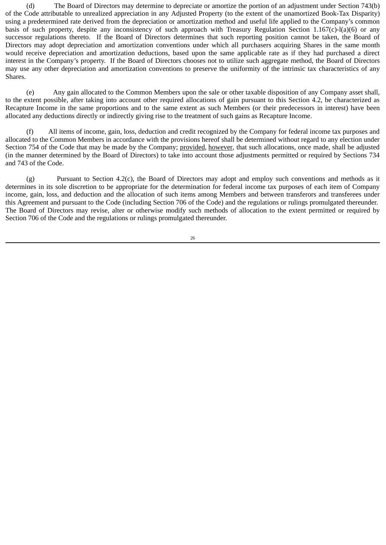(d) The Board of Directors may determine to depreciate or amortize the portion of an adjustment under Section 743(b) of the Code attributable to unrealized appreciation in any Adjusted Property (to the extent of the unamortized Book-Tax Disparity) using a predetermined rate derived from the depreciation or amortization method and useful life applied to the Company's common basis of such property, despite any inconsistency of such approach with Treasury Regulation Section  $1.167(c)$ -l(a)(6) or any successor regulations thereto. If the Board of Directors determines that such reporting position cannot be taken, the Board of Directors may adopt depreciation and amortization conventions under which all purchasers acquiring Shares in the same month would receive depreciation and amortization deductions, based upon the same applicable rate as if they had purchased a direct interest in the Company's property. If the Board of Directors chooses not to utilize such aggregate method, the Board of Directors may use any other depreciation and amortization conventions to preserve the uniformity of the intrinsic tax characteristics of any Shares.

(e) Any gain allocated to the Common Members upon the sale or other taxable disposition of any Company asset shall, to the extent possible, after taking into account other required allocations of gain pursuant to this Section 4.2, be characterized as Recapture Income in the same proportions and to the same extent as such Members (or their predecessors in interest) have been allocated any deductions directly or indirectly giving rise to the treatment of such gains as Recapture Income.

(f) All items of income, gain, loss, deduction and credit recognized by the Company for federal income tax purposes and allocated to the Common Members in accordance with the provisions hereof shall be determined without regard to any election under Section 754 of the Code that may be made by the Company; provided, however, that such allocations, once made, shall be adjusted (in the manner determined by the Board of Directors) to take into account those adjustments permitted or required by Sections 734 and 743 of the Code.

(g) Pursuant to Section 4.2(c), the Board of Directors may adopt and employ such conventions and methods as it determines in its sole discretion to be appropriate for the determination for federal income tax purposes of each item of Company income, gain, loss, and deduction and the allocation of such items among Members and between transferors and transferees under this Agreement and pursuant to the Code (including Section 706 of the Code) and the regulations or rulings promulgated thereunder. The Board of Directors may revise, alter or otherwise modify such methods of allocation to the extent permitted or required by Section 706 of the Code and the regulations or rulings promulgated thereunder.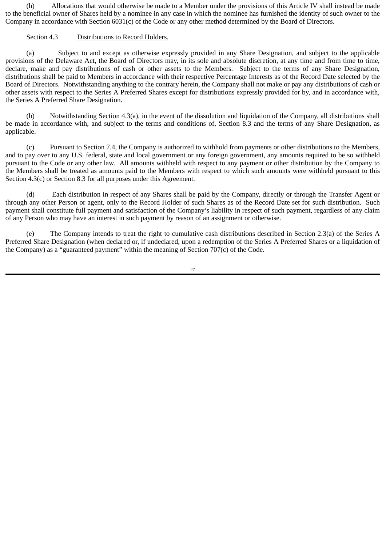(h) Allocations that would otherwise be made to a Member under the provisions of this Article IV shall instead be made to the beneficial owner of Shares held by a nominee in any case in which the nominee has furnished the identity of such owner to the Company in accordance with Section 6031(c) of the Code or any other method determined by the Board of Directors.

# Section 4.3 Distributions to Record Holders.

(a) Subject to and except as otherwise expressly provided in any Share Designation, and subject to the applicable provisions of the Delaware Act, the Board of Directors may, in its sole and absolute discretion, at any time and from time to time, declare, make and pay distributions of cash or other assets to the Members. Subject to the terms of any Share Designation, distributions shall be paid to Members in accordance with their respective Percentage Interests as of the Record Date selected by the Board of Directors. Notwithstanding anything to the contrary herein, the Company shall not make or pay any distributions of cash or other assets with respect to the Series A Preferred Shares except for distributions expressly provided for by, and in accordance with, the Series A Preferred Share Designation.

(b) Notwithstanding Section 4.3(a), in the event of the dissolution and liquidation of the Company, all distributions shall be made in accordance with, and subject to the terms and conditions of, Section 8.3 and the terms of any Share Designation, as applicable.

(c) Pursuant to Section 7.4, the Company is authorized to withhold from payments or other distributions to the Members, and to pay over to any U.S. federal, state and local government or any foreign government, any amounts required to be so withheld pursuant to the Code or any other law. All amounts withheld with respect to any payment or other distribution by the Company to the Members shall be treated as amounts paid to the Members with respect to which such amounts were withheld pursuant to this Section 4.3(c) or Section 8.3 for all purposes under this Agreement.

(d) Each distribution in respect of any Shares shall be paid by the Company, directly or through the Transfer Agent or through any other Person or agent, only to the Record Holder of such Shares as of the Record Date set for such distribution. Such payment shall constitute full payment and satisfaction of the Company's liability in respect of such payment, regardless of any claim of any Person who may have an interest in such payment by reason of an assignment or otherwise.

(e) The Company intends to treat the right to cumulative cash distributions described in Section 2.3(a) of the Series A Preferred Share Designation (when declared or, if undeclared, upon a redemption of the Series A Preferred Shares or a liquidation of the Company) as a "guaranteed payment" within the meaning of Section  $707(c)$  of the Code.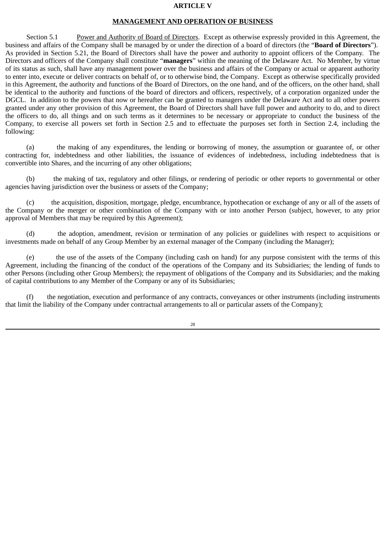#### **ARTICLE V**

#### **MANAGEMENT AND OPERATION OF BUSINESS**

Section 5.1 Power and Authority of Board of Directors. Except as otherwise expressly provided in this Agreement, the business and affairs of the Company shall be managed by or under the direction of a board of directors (the "**Board of Directors**"). As provided in Section 5.21, the Board of Directors shall have the power and authority to appoint officers of the Company. The Directors and officers of the Company shall constitute "**managers**" within the meaning of the Delaware Act. No Member, by virtue of its status as such, shall have any management power over the business and affairs of the Company or actual or apparent authority to enter into, execute or deliver contracts on behalf of, or to otherwise bind, the Company. Except as otherwise specifically provided in this Agreement, the authority and functions of the Board of Directors, on the one hand, and of the officers, on the other hand, shall be identical to the authority and functions of the board of directors and officers, respectively, of a corporation organized under the DGCL. In addition to the powers that now or hereafter can be granted to managers under the Delaware Act and to all other powers granted under any other provision of this Agreement, the Board of Directors shall have full power and authority to do, and to direct the officers to do, all things and on such terms as it determines to be necessary or appropriate to conduct the business of the Company, to exercise all powers set forth in Section 2.5 and to effectuate the purposes set forth in Section 2.4, including the following:

(a) the making of any expenditures, the lending or borrowing of money, the assumption or guarantee of, or other contracting for, indebtedness and other liabilities, the issuance of evidences of indebtedness, including indebtedness that is convertible into Shares, and the incurring of any other obligations;

(b) the making of tax, regulatory and other filings, or rendering of periodic or other reports to governmental or other agencies having jurisdiction over the business or assets of the Company;

(c) the acquisition, disposition, mortgage, pledge, encumbrance, hypothecation or exchange of any or all of the assets of the Company or the merger or other combination of the Company with or into another Person (subject, however, to any prior approval of Members that may be required by this Agreement);

(d) the adoption, amendment, revision or termination of any policies or guidelines with respect to acquisitions or investments made on behalf of any Group Member by an external manager of the Company (including the Manager);

(e) the use of the assets of the Company (including cash on hand) for any purpose consistent with the terms of this Agreement, including the financing of the conduct of the operations of the Company and its Subsidiaries; the lending of funds to other Persons (including other Group Members); the repayment of obligations of the Company and its Subsidiaries; and the making of capital contributions to any Member of the Company or any of its Subsidiaries;

(f) the negotiation, execution and performance of any contracts, conveyances or other instruments (including instruments that limit the liability of the Company under contractual arrangements to all or particular assets of the Company);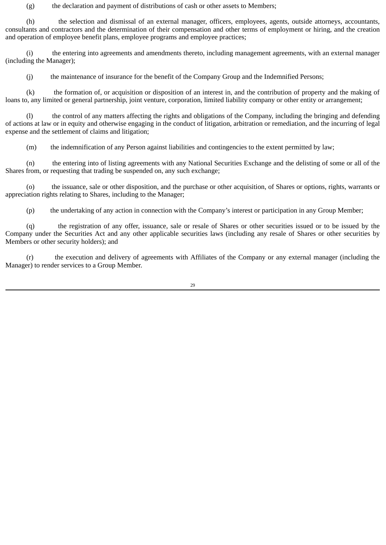(g) the declaration and payment of distributions of cash or other assets to Members;

(h) the selection and dismissal of an external manager, officers, employees, agents, outside attorneys, accountants, consultants and contractors and the determination of their compensation and other terms of employment or hiring, and the creation and operation of employee benefit plans, employee programs and employee practices;

(i) the entering into agreements and amendments thereto, including management agreements, with an external manager (including the Manager);

(j) the maintenance of insurance for the benefit of the Company Group and the Indemnified Persons;

(k) the formation of, or acquisition or disposition of an interest in, and the contribution of property and the making of loans to, any limited or general partnership, joint venture, corporation, limited liability company or other entity or arrangement;

(l) the control of any matters affecting the rights and obligations of the Company, including the bringing and defending of actions at law or in equity and otherwise engaging in the conduct of litigation, arbitration or remediation, and the incurring of legal expense and the settlement of claims and litigation;

(m) the indemnification of any Person against liabilities and contingencies to the extent permitted by law;

(n) the entering into of listing agreements with any National Securities Exchange and the delisting of some or all of the Shares from, or requesting that trading be suspended on, any such exchange;

(o) the issuance, sale or other disposition, and the purchase or other acquisition, of Shares or options, rights, warrants or appreciation rights relating to Shares, including to the Manager;

(p) the undertaking of any action in connection with the Company's interest or participation in any Group Member;

(q) the registration of any offer, issuance, sale or resale of Shares or other securities issued or to be issued by the Company under the Securities Act and any other applicable securities laws (including any resale of Shares or other securities by Members or other security holders); and

(r) the execution and delivery of agreements with Affiliates of the Company or any external manager (including the Manager) to render services to a Group Member.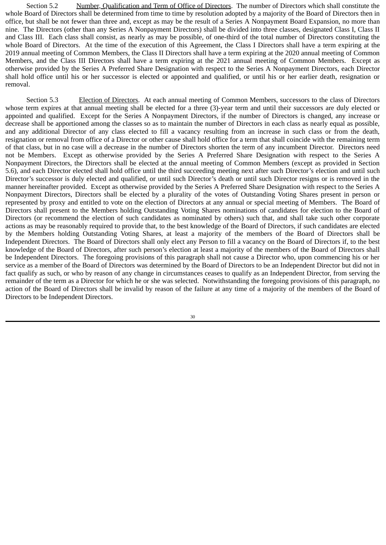Section 5.2 Number, Qualification and Term of Office of Directors. The number of Directors which shall constitute the whole Board of Directors shall be determined from time to time by resolution adopted by a majority of the Board of Directors then in office, but shall be not fewer than three and, except as may be the result of a Series A Nonpayment Board Expansion, no more than nine. The Directors (other than any Series A Nonpayment Directors) shall be divided into three classes, designated Class I, Class II and Class III. Each class shall consist, as nearly as may be possible, of one-third of the total number of Directors constituting the whole Board of Directors. At the time of the execution of this Agreement, the Class I Directors shall have a term expiring at the 2019 annual meeting of Common Members, the Class II Directors shall have a term expiring at the 2020 annual meeting of Common Members, and the Class III Directors shall have a term expiring at the 2021 annual meeting of Common Members. Except as otherwise provided by the Series A Preferred Share Designation with respect to the Series A Nonpayment Directors, each Director shall hold office until his or her successor is elected or appointed and qualified, or until his or her earlier death, resignation or removal.

Section 5.3 Election of Directors. At each annual meeting of Common Members, successors to the class of Directors whose term expires at that annual meeting shall be elected for a three (3)-year term and until their successors are duly elected or appointed and qualified. Except for the Series A Nonpayment Directors, if the number of Directors is changed, any increase or decrease shall be apportioned among the classes so as to maintain the number of Directors in each class as nearly equal as possible, and any additional Director of any class elected to fill a vacancy resulting from an increase in such class or from the death, resignation or removal from office of a Director or other cause shall hold office for a term that shall coincide with the remaining term of that class, but in no case will a decrease in the number of Directors shorten the term of any incumbent Director. Directors need not be Members. Except as otherwise provided by the Series A Preferred Share Designation with respect to the Series A Nonpayment Directors, the Directors shall be elected at the annual meeting of Common Members (except as provided in Section 5.6), and each Director elected shall hold office until the third succeeding meeting next after such Director's election and until such Director's successor is duly elected and qualified, or until such Director's death or until such Director resigns or is removed in the manner hereinafter provided. Except as otherwise provided by the Series A Preferred Share Designation with respect to the Series A Nonpayment Directors, Directors shall be elected by a plurality of the votes of Outstanding Voting Shares present in person or represented by proxy and entitled to vote on the election of Directors at any annual or special meeting of Members. The Board of Directors shall present to the Members holding Outstanding Voting Shares nominations of candidates for election to the Board of Directors (or recommend the election of such candidates as nominated by others) such that, and shall take such other corporate actions as may be reasonably required to provide that, to the best knowledge of the Board of Directors, if such candidates are elected by the Members holding Outstanding Voting Shares, at least a majority of the members of the Board of Directors shall be Independent Directors. The Board of Directors shall only elect any Person to fill a vacancy on the Board of Directors if, to the best knowledge of the Board of Directors, after such person's election at least a majority of the members of the Board of Directors shall be Independent Directors. The foregoing provisions of this paragraph shall not cause a Director who, upon commencing his or her service as a member of the Board of Directors was determined by the Board of Directors to be an Independent Director but did not in fact qualify as such, or who by reason of any change in circumstances ceases to qualify as an Independent Director, from serving the remainder of the term as a Director for which he or she was selected. Notwithstanding the foregoing provisions of this paragraph, no action of the Board of Directors shall be invalid by reason of the failure at any time of a majority of the members of the Board of Directors to be Independent Directors.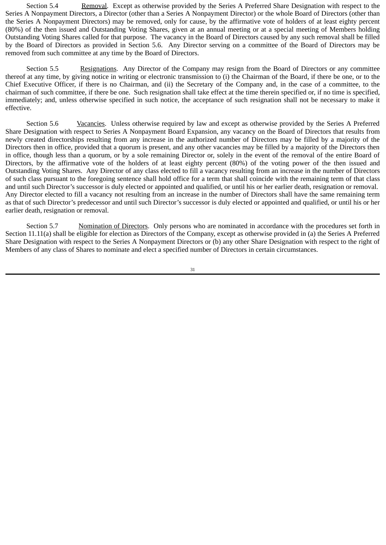Section 5.4 Removal. Except as otherwise provided by the Series A Preferred Share Designation with respect to the Series A Nonpayment Directors, a Director (other than a Series A Nonpayment Director) or the whole Board of Directors (other than the Series A Nonpayment Directors) may be removed, only for cause, by the affirmative vote of holders of at least eighty percent (80%) of the then issued and Outstanding Voting Shares, given at an annual meeting or at a special meeting of Members holding Outstanding Voting Shares called for that purpose. The vacancy in the Board of Directors caused by any such removal shall be filled by the Board of Directors as provided in Section 5.6. Any Director serving on a committee of the Board of Directors may be removed from such committee at any time by the Board of Directors.

Section 5.5 Resignations. Any Director of the Company may resign from the Board of Directors or any committee thereof at any time, by giving notice in writing or electronic transmission to (i) the Chairman of the Board, if there be one, or to the Chief Executive Officer, if there is no Chairman, and (ii) the Secretary of the Company and, in the case of a committee, to the chairman of such committee, if there be one. Such resignation shall take effect at the time therein specified or, if no time is specified, immediately; and, unless otherwise specified in such notice, the acceptance of such resignation shall not be necessary to make it effective.

Section 5.6 Vacancies. Unless otherwise required by law and except as otherwise provided by the Series A Preferred Share Designation with respect to Series A Nonpayment Board Expansion, any vacancy on the Board of Directors that results from newly created directorships resulting from any increase in the authorized number of Directors may be filled by a majority of the Directors then in office, provided that a quorum is present, and any other vacancies may be filled by a majority of the Directors then in office, though less than a quorum, or by a sole remaining Director or, solely in the event of the removal of the entire Board of Directors, by the affirmative vote of the holders of at least eighty percent (80%) of the voting power of the then issued and Outstanding Voting Shares. Any Director of any class elected to fill a vacancy resulting from an increase in the number of Directors of such class pursuant to the foregoing sentence shall hold office for a term that shall coincide with the remaining term of that class and until such Director's successor is duly elected or appointed and qualified, or until his or her earlier death, resignation or removal. Any Director elected to fill a vacancy not resulting from an increase in the number of Directors shall have the same remaining term as that of such Director's predecessor and until such Director's successor is duly elected or appointed and qualified, or until his or her earlier death, resignation or removal.

Section 5.7 Momination of Directors. Only persons who are nominated in accordance with the procedures set forth in Section 11.11(a) shall be eligible for election as Directors of the Company, except as otherwise provided in (a) the Series A Preferred Share Designation with respect to the Series A Nonpayment Directors or (b) any other Share Designation with respect to the right of Members of any class of Shares to nominate and elect a specified number of Directors in certain circumstances.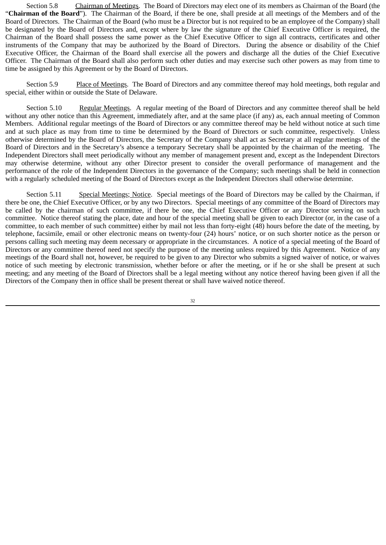Section 5.8 Chairman of Meetings. The Board of Directors may elect one of its members as Chairman of the Board (the "**Chairman of the Board**"). The Chairman of the Board, if there be one, shall preside at all meetings of the Members and of the Board of Directors. The Chairman of the Board (who must be a Director but is not required to be an employee of the Company) shall be designated by the Board of Directors and, except where by law the signature of the Chief Executive Officer is required, the Chairman of the Board shall possess the same power as the Chief Executive Officer to sign all contracts, certificates and other instruments of the Company that may be authorized by the Board of Directors. During the absence or disability of the Chief Executive Officer, the Chairman of the Board shall exercise all the powers and discharge all the duties of the Chief Executive Officer. The Chairman of the Board shall also perform such other duties and may exercise such other powers as may from time to time be assigned by this Agreement or by the Board of Directors.

Section 5.9 Place of Meetings. The Board of Directors and any committee thereof may hold meetings, both regular and special, either within or outside the State of Delaware.

Section 5.10 Regular Meetings. A regular meeting of the Board of Directors and any committee thereof shall be held without any other notice than this Agreement, immediately after, and at the same place (if any) as, each annual meeting of Common Members. Additional regular meetings of the Board of Directors or any committee thereof may be held without notice at such time and at such place as may from time to time be determined by the Board of Directors or such committee, respectively. Unless otherwise determined by the Board of Directors, the Secretary of the Company shall act as Secretary at all regular meetings of the Board of Directors and in the Secretary's absence a temporary Secretary shall be appointed by the chairman of the meeting. The Independent Directors shall meet periodically without any member of management present and, except as the Independent Directors may otherwise determine, without any other Director present to consider the overall performance of management and the performance of the role of the Independent Directors in the governance of the Company; such meetings shall be held in connection with a regularly scheduled meeting of the Board of Directors except as the Independent Directors shall otherwise determine.

Section 5.11 Special Meetings; Notice. Special meetings of the Board of Directors may be called by the Chairman, if there be one, the Chief Executive Officer, or by any two Directors. Special meetings of any committee of the Board of Directors may be called by the chairman of such committee, if there be one, the Chief Executive Officer or any Director serving on such committee. Notice thereof stating the place, date and hour of the special meeting shall be given to each Director (or, in the case of a committee, to each member of such committee) either by mail not less than forty-eight (48) hours before the date of the meeting, by telephone, facsimile, email or other electronic means on twenty-four (24) hours' notice, or on such shorter notice as the person or persons calling such meeting may deem necessary or appropriate in the circumstances. A notice of a special meeting of the Board of Directors or any committee thereof need not specify the purpose of the meeting unless required by this Agreement. Notice of any meetings of the Board shall not, however, be required to be given to any Director who submits a signed waiver of notice, or waives notice of such meeting by electronic transmission, whether before or after the meeting, or if he or she shall be present at such meeting; and any meeting of the Board of Directors shall be a legal meeting without any notice thereof having been given if all the Directors of the Company then in office shall be present thereat or shall have waived notice thereof.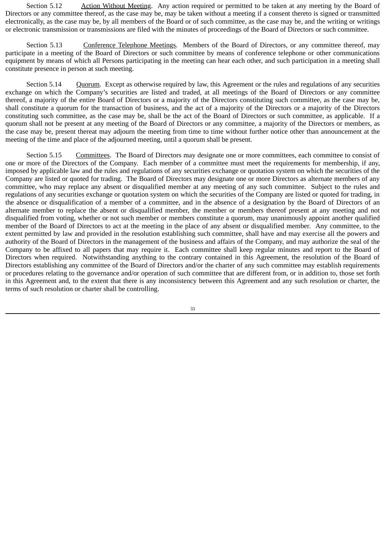Section 5.12 Action Without Meeting. Any action required or permitted to be taken at any meeting by the Board of Directors or any committee thereof, as the case may be, may be taken without a meeting if a consent thereto is signed or transmitted electronically, as the case may be, by all members of the Board or of such committee, as the case may be, and the writing or writings or electronic transmission or transmissions are filed with the minutes of proceedings of the Board of Directors or such committee.

Section 5.13 Conference Telephone Meetings. Members of the Board of Directors, or any committee thereof, may participate in a meeting of the Board of Directors or such committee by means of conference telephone or other communications equipment by means of which all Persons participating in the meeting can hear each other, and such participation in a meeting shall constitute presence in person at such meeting.

Section 5.14 Quorum. Except as otherwise required by law, this Agreement or the rules and regulations of any securities exchange on which the Company's securities are listed and traded, at all meetings of the Board of Directors or any committee thereof, a majority of the entire Board of Directors or a majority of the Directors constituting such committee, as the case may be, shall constitute a quorum for the transaction of business, and the act of a majority of the Directors or a majority of the Directors constituting such committee, as the case may be, shall be the act of the Board of Directors or such committee, as applicable. If a quorum shall not be present at any meeting of the Board of Directors or any committee, a majority of the Directors or members, as the case may be, present thereat may adjourn the meeting from time to time without further notice other than announcement at the meeting of the time and place of the adjourned meeting, until a quorum shall be present.

Section 5.15 Committees. The Board of Directors may designate one or more committees, each committee to consist of one or more of the Directors of the Company. Each member of a committee must meet the requirements for membership, if any, imposed by applicable law and the rules and regulations of any securities exchange or quotation system on which the securities of the Company are listed or quoted for trading. The Board of Directors may designate one or more Directors as alternate members of any committee, who may replace any absent or disqualified member at any meeting of any such committee. Subject to the rules and regulations of any securities exchange or quotation system on which the securities of the Company are listed or quoted for trading, in the absence or disqualification of a member of a committee, and in the absence of a designation by the Board of Directors of an alternate member to replace the absent or disqualified member, the member or members thereof present at any meeting and not disqualified from voting, whether or not such member or members constitute a quorum, may unanimously appoint another qualified member of the Board of Directors to act at the meeting in the place of any absent or disqualified member. Any committee, to the extent permitted by law and provided in the resolution establishing such committee, shall have and may exercise all the powers and authority of the Board of Directors in the management of the business and affairs of the Company, and may authorize the seal of the Company to be affixed to all papers that may require it. Each committee shall keep regular minutes and report to the Board of Directors when required. Notwithstanding anything to the contrary contained in this Agreement, the resolution of the Board of Directors establishing any committee of the Board of Directors and/or the charter of any such committee may establish requirements or procedures relating to the governance and/or operation of such committee that are different from, or in addition to, those set forth in this Agreement and, to the extent that there is any inconsistency between this Agreement and any such resolution or charter, the terms of such resolution or charter shall be controlling.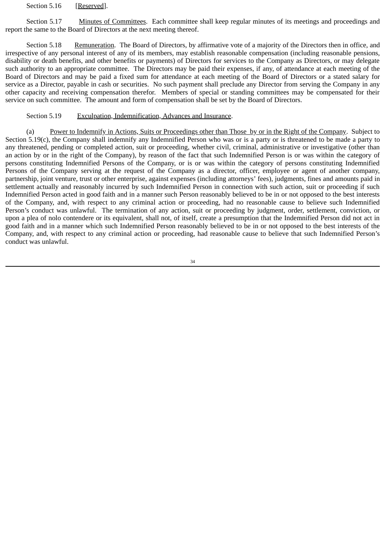Section 5.16 [Reserved].

Section 5.17 Minutes of Committees. Each committee shall keep regular minutes of its meetings and proceedings and report the same to the Board of Directors at the next meeting thereof.

Section 5.18 Remuneration. The Board of Directors, by affirmative vote of a majority of the Directors then in office, and irrespective of any personal interest of any of its members, may establish reasonable compensation (including reasonable pensions, disability or death benefits, and other benefits or payments) of Directors for services to the Company as Directors, or may delegate such authority to an appropriate committee. The Directors may be paid their expenses, if any, of attendance at each meeting of the Board of Directors and may be paid a fixed sum for attendance at each meeting of the Board of Directors or a stated salary for service as a Director, payable in cash or securities. No such payment shall preclude any Director from serving the Company in any other capacity and receiving compensation therefor. Members of special or standing committees may be compensated for their service on such committee. The amount and form of compensation shall be set by the Board of Directors.

## Section 5.19 Exculpation, Indemnification, Advances and Insurance.

(a) Power to Indemnify in Actions, Suits or Proceedings other than Those by or in the Right of the Company. Subject to Section 5.19(c), the Company shall indemnify any Indemnified Person who was or is a party or is threatened to be made a party to any threatened, pending or completed action, suit or proceeding, whether civil, criminal, administrative or investigative (other than an action by or in the right of the Company), by reason of the fact that such Indemnified Person is or was within the category of persons constituting Indemnified Persons of the Company, or is or was within the category of persons constituting Indemnified Persons of the Company serving at the request of the Company as a director, officer, employee or agent of another company, partnership, joint venture, trust or other enterprise, against expenses (including attorneys' fees), judgments, fines and amounts paid in settlement actually and reasonably incurred by such Indemnified Person in connection with such action, suit or proceeding if such Indemnified Person acted in good faith and in a manner such Person reasonably believed to be in or not opposed to the best interests of the Company, and, with respect to any criminal action or proceeding, had no reasonable cause to believe such Indemnified Person's conduct was unlawful. The termination of any action, suit or proceeding by judgment, order, settlement, conviction, or upon a plea of nolo contendere or its equivalent, shall not, of itself, create a presumption that the Indemnified Person did not act in good faith and in a manner which such Indemnified Person reasonably believed to be in or not opposed to the best interests of the Company, and, with respect to any criminal action or proceeding, had reasonable cause to believe that such Indemnified Person's conduct was unlawful.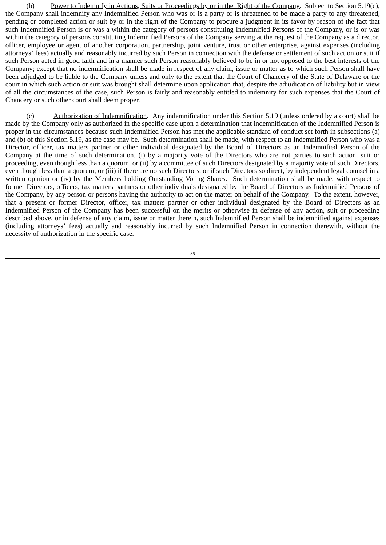(b) Power to Indemnify in Actions, Suits or Proceedings by or in the Right of the Company. Subject to Section 5.19(c), the Company shall indemnify any Indemnified Person who was or is a party or is threatened to be made a party to any threatened, pending or completed action or suit by or in the right of the Company to procure a judgment in its favor by reason of the fact that such Indemnified Person is or was a within the category of persons constituting Indemnified Persons of the Company, or is or was within the category of persons constituting Indemnified Persons of the Company serving at the request of the Company as a director, officer, employee or agent of another corporation, partnership, joint venture, trust or other enterprise, against expenses (including attorneys' fees) actually and reasonably incurred by such Person in connection with the defense or settlement of such action or suit if such Person acted in good faith and in a manner such Person reasonably believed to be in or not opposed to the best interests of the Company; except that no indemnification shall be made in respect of any claim, issue or matter as to which such Person shall have been adjudged to be liable to the Company unless and only to the extent that the Court of Chancery of the State of Delaware or the court in which such action or suit was brought shall determine upon application that, despite the adjudication of liability but in view of all the circumstances of the case, such Person is fairly and reasonably entitled to indemnity for such expenses that the Court of Chancery or such other court shall deem proper.

(c) Authorization of Indemnification. Any indemnification under this Section 5.19 (unless ordered by a court) shall be made by the Company only as authorized in the specific case upon a determination that indemnification of the Indemnified Person is proper in the circumstances because such Indemnified Person has met the applicable standard of conduct set forth in subsections (a) and (b) of this Section 5.19, as the case may be. Such determination shall be made, with respect to an Indemnified Person who was a Director, officer, tax matters partner or other individual designated by the Board of Directors as an Indemnified Person of the Company at the time of such determination, (i) by a majority vote of the Directors who are not parties to such action, suit or proceeding, even though less than a quorum, or (ii) by a committee of such Directors designated by a majority vote of such Directors, even though less than a quorum, or (iii) if there are no such Directors, or if such Directors so direct, by independent legal counsel in a written opinion or (iv) by the Members holding Outstanding Voting Shares. Such determination shall be made, with respect to former Directors, officers, tax matters partners or other individuals designated by the Board of Directors as Indemnified Persons of the Company, by any person or persons having the authority to act on the matter on behalf of the Company. To the extent, however, that a present or former Director, officer, tax matters partner or other individual designated by the Board of Directors as an Indemnified Person of the Company has been successful on the merits or otherwise in defense of any action, suit or proceeding described above, or in defense of any claim, issue or matter therein, such Indemnified Person shall be indemnified against expenses (including attorneys' fees) actually and reasonably incurred by such Indemnified Person in connection therewith, without the necessity of authorization in the specific case.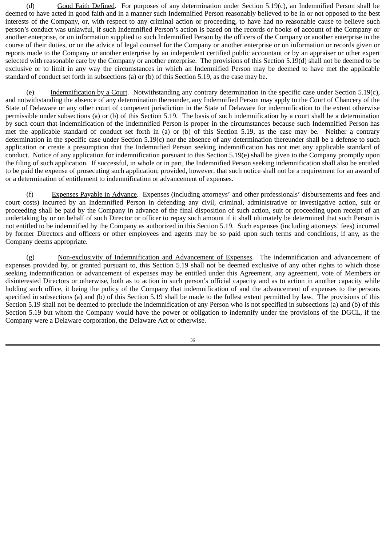(d) Good Faith Defined. For purposes of any determination under Section 5.19(c), an Indemnified Person shall be deemed to have acted in good faith and in a manner such Indemnified Person reasonably believed to be in or not opposed to the best interests of the Company, or, with respect to any criminal action or proceeding, to have had no reasonable cause to believe such person's conduct was unlawful, if such Indemnified Person's action is based on the records or books of account of the Company or another enterprise, or on information supplied to such Indemnified Person by the officers of the Company or another enterprise in the course of their duties, or on the advice of legal counsel for the Company or another enterprise or on information or records given or reports made to the Company or another enterprise by an independent certified public accountant or by an appraiser or other expert selected with reasonable care by the Company or another enterprise. The provisions of this Section 5.19(d) shall not be deemed to be exclusive or to limit in any way the circumstances in which an Indemnified Person may be deemed to have met the applicable standard of conduct set forth in subsections (a) or (b) of this Section 5.19, as the case may be.

(e) Indemnification by a Court. Notwithstanding any contrary determination in the specific case under Section 5.19(c), and notwithstanding the absence of any determination thereunder, any Indemnified Person may apply to the Court of Chancery of the State of Delaware or any other court of competent jurisdiction in the State of Delaware for indemnification to the extent otherwise permissible under subsections (a) or (b) of this Section 5.19. The basis of such indemnification by a court shall be a determination by such court that indemnification of the Indemnified Person is proper in the circumstances because such Indemnified Person has met the applicable standard of conduct set forth in (a) or (b) of this Section 5.19, as the case may be. Neither a contrary determination in the specific case under Section 5.19(c) nor the absence of any determination thereunder shall be a defense to such application or create a presumption that the Indemnified Person seeking indemnification has not met any applicable standard of conduct. Notice of any application for indemnification pursuant to this Section 5.19(e) shall be given to the Company promptly upon the filing of such application. If successful, in whole or in part, the Indemnified Person seeking indemnification shall also be entitled to be paid the expense of prosecuting such application; provided, however, that such notice shall not be a requirement for an award of or a determination of entitlement to indemnification or advancement of expenses.

(f) Expenses Payable in Advance. Expenses (including attorneys' and other professionals' disbursements and fees and court costs) incurred by an Indemnified Person in defending any civil, criminal, administrative or investigative action, suit or proceeding shall be paid by the Company in advance of the final disposition of such action, suit or proceeding upon receipt of an undertaking by or on behalf of such Director or officer to repay such amount if it shall ultimately be determined that such Person is not entitled to be indemnified by the Company as authorized in this Section 5.19. Such expenses (including attorneys' fees) incurred by former Directors and officers or other employees and agents may be so paid upon such terms and conditions, if any, as the Company deems appropriate.

(g) Non-exclusivity of Indemnification and Advancement of Expenses. The indemnification and advancement of expenses provided by, or granted pursuant to, this Section 5.19 shall not be deemed exclusive of any other rights to which those seeking indemnification or advancement of expenses may be entitled under this Agreement, any agreement, vote of Members or disinterested Directors or otherwise, both as to action in such person's official capacity and as to action in another capacity while holding such office, it being the policy of the Company that indemnification of and the advancement of expenses to the persons specified in subsections (a) and (b) of this Section 5.19 shall be made to the fullest extent permitted by law. The provisions of this Section 5.19 shall not be deemed to preclude the indemnification of any Person who is not specified in subsections (a) and (b) of this Section 5.19 but whom the Company would have the power or obligation to indemnify under the provisions of the DGCL, if the Company were a Delaware corporation, the Delaware Act or otherwise.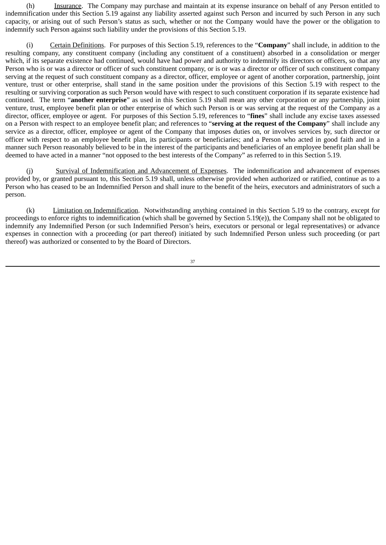(h) Insurance. The Company may purchase and maintain at its expense insurance on behalf of any Person entitled to indemnification under this Section 5.19 against any liability asserted against such Person and incurred by such Person in any such capacity, or arising out of such Person's status as such, whether or not the Company would have the power or the obligation to indemnify such Person against such liability under the provisions of this Section 5.19.

(i) Certain Definitions. For purposes of this Section 5.19, references to the "**Company**" shall include, in addition to the resulting company, any constituent company (including any constituent of a constituent) absorbed in a consolidation or merger which, if its separate existence had continued, would have had power and authority to indemnify its directors or officers, so that any Person who is or was a director or officer of such constituent company, or is or was a director or officer of such constituent company serving at the request of such constituent company as a director, officer, employee or agent of another corporation, partnership, joint venture, trust or other enterprise, shall stand in the same position under the provisions of this Section 5.19 with respect to the resulting or surviving corporation as such Person would have with respect to such constituent corporation if its separate existence had continued. The term "**another enterprise**" as used in this Section 5.19 shall mean any other corporation or any partnership, joint venture, trust, employee benefit plan or other enterprise of which such Person is or was serving at the request of the Company as a director, officer, employee or agent. For purposes of this Section 5.19, references to "**fines**" shall include any excise taxes assessed on a Person with respect to an employee benefit plan; and references to "**serving at the request of the Company**" shall include any service as a director, officer, employee or agent of the Company that imposes duties on, or involves services by, such director or officer with respect to an employee benefit plan, its participants or beneficiaries; and a Person who acted in good faith and in a manner such Person reasonably believed to be in the interest of the participants and beneficiaries of an employee benefit plan shall be deemed to have acted in a manner "not opposed to the best interests of the Company" as referred to in this Section 5.19.

(j) Survival of Indemnification and Advancement of Expenses. The indemnification and advancement of expenses provided by, or granted pursuant to, this Section 5.19 shall, unless otherwise provided when authorized or ratified, continue as to a Person who has ceased to be an Indemnified Person and shall inure to the benefit of the heirs, executors and administrators of such a person.

(k) Limitation on Indemnification. Notwithstanding anything contained in this Section 5.19 to the contrary, except for proceedings to enforce rights to indemnification (which shall be governed by Section 5.19(e)), the Company shall not be obligated to indemnify any Indemnified Person (or such Indemnified Person's heirs, executors or personal or legal representatives) or advance expenses in connection with a proceeding (or part thereof) initiated by such Indemnified Person unless such proceeding (or part thereof) was authorized or consented to by the Board of Directors.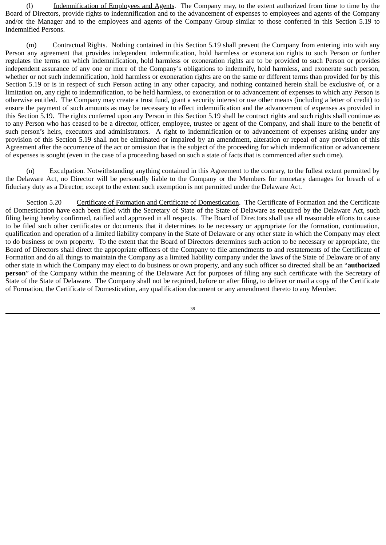(l) Indemnification of Employees and Agents. The Company may, to the extent authorized from time to time by the Board of Directors, provide rights to indemnification and to the advancement of expenses to employees and agents of the Company and/or the Manager and to the employees and agents of the Company Group similar to those conferred in this Section 5.19 to Indemnified Persons.

(m) Contractual Rights. Nothing contained in this Section 5.19 shall prevent the Company from entering into with any Person any agreement that provides independent indemnification, hold harmless or exoneration rights to such Person or further regulates the terms on which indemnification, hold harmless or exoneration rights are to be provided to such Person or provides independent assurance of any one or more of the Company's obligations to indemnify, hold harmless, and exonerate such person, whether or not such indemnification, hold harmless or exoneration rights are on the same or different terms than provided for by this Section 5.19 or is in respect of such Person acting in any other capacity, and nothing contained herein shall be exclusive of, or a limitation on, any right to indemnification, to be held harmless, to exoneration or to advancement of expenses to which any Person is otherwise entitled. The Company may create a trust fund, grant a security interest or use other means (including a letter of credit) to ensure the payment of such amounts as may be necessary to effect indemnification and the advancement of expenses as provided in this Section 5.19. The rights conferred upon any Person in this Section 5.19 shall be contract rights and such rights shall continue as to any Person who has ceased to be a director, officer, employee, trustee or agent of the Company, and shall inure to the benefit of such person's heirs, executors and administrators. A right to indemnification or to advancement of expenses arising under any provision of this Section 5.19 shall not be eliminated or impaired by an amendment, alteration or repeal of any provision of this Agreement after the occurrence of the act or omission that is the subject of the proceeding for which indemnification or advancement of expenses is sought (even in the case of a proceeding based on such a state of facts that is commenced after such time).

(n) Exculpation. Notwithstanding anything contained in this Agreement to the contrary, to the fullest extent permitted by the Delaware Act, no Director will be personally liable to the Company or the Members for monetary damages for breach of a fiduciary duty as a Director, except to the extent such exemption is not permitted under the Delaware Act.

Section 5.20 Certificate of Formation and Certificate of Domestication. The Certificate of Formation and the Certificate of Domestication have each been filed with the Secretary of State of the State of Delaware as required by the Delaware Act, such filing being hereby confirmed, ratified and approved in all respects. The Board of Directors shall use all reasonable efforts to cause to be filed such other certificates or documents that it determines to be necessary or appropriate for the formation, continuation, qualification and operation of a limited liability company in the State of Delaware or any other state in which the Company may elect to do business or own property. To the extent that the Board of Directors determines such action to be necessary or appropriate, the Board of Directors shall direct the appropriate officers of the Company to file amendments to and restatements of the Certificate of Formation and do all things to maintain the Company as a limited liability company under the laws of the State of Delaware or of any other state in which the Company may elect to do business or own property, and any such officer so directed shall be an "**authorized person**" of the Company within the meaning of the Delaware Act for purposes of filing any such certificate with the Secretary of State of the State of Delaware. The Company shall not be required, before or after filing, to deliver or mail a copy of the Certificate of Formation, the Certificate of Domestication, any qualification document or any amendment thereto to any Member.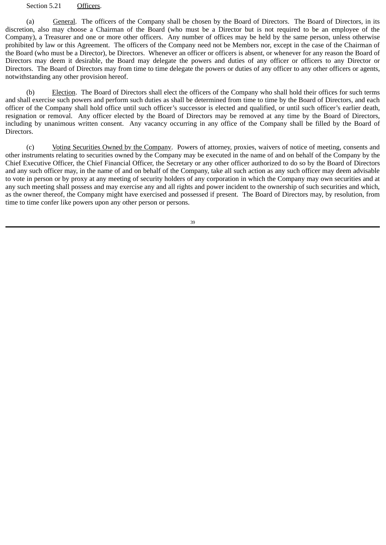#### Section 5.21 Officers.

(a) General. The officers of the Company shall be chosen by the Board of Directors. The Board of Directors, in its discretion, also may choose a Chairman of the Board (who must be a Director but is not required to be an employee of the Company), a Treasurer and one or more other officers. Any number of offices may be held by the same person, unless otherwise prohibited by law or this Agreement. The officers of the Company need not be Members nor, except in the case of the Chairman of the Board (who must be a Director), be Directors. Whenever an officer or officers is absent, or whenever for any reason the Board of Directors may deem it desirable, the Board may delegate the powers and duties of any officer or officers to any Director or Directors. The Board of Directors may from time to time delegate the powers or duties of any officer to any other officers or agents, notwithstanding any other provision hereof.

(b) Election. The Board of Directors shall elect the officers of the Company who shall hold their offices for such terms and shall exercise such powers and perform such duties as shall be determined from time to time by the Board of Directors, and each officer of the Company shall hold office until such officer's successor is elected and qualified, or until such officer's earlier death, resignation or removal. Any officer elected by the Board of Directors may be removed at any time by the Board of Directors, including by unanimous written consent. Any vacancy occurring in any office of the Company shall be filled by the Board of Directors.

(c) Voting Securities Owned by the Company. Powers of attorney, proxies, waivers of notice of meeting, consents and other instruments relating to securities owned by the Company may be executed in the name of and on behalf of the Company by the Chief Executive Officer, the Chief Financial Officer, the Secretary or any other officer authorized to do so by the Board of Directors and any such officer may, in the name of and on behalf of the Company, take all such action as any such officer may deem advisable to vote in person or by proxy at any meeting of security holders of any corporation in which the Company may own securities and at any such meeting shall possess and may exercise any and all rights and power incident to the ownership of such securities and which, as the owner thereof, the Company might have exercised and possessed if present. The Board of Directors may, by resolution, from time to time confer like powers upon any other person or persons.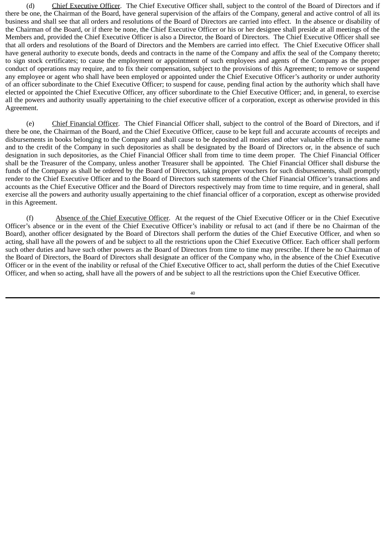(d) Chief Executive Officer. The Chief Executive Officer shall, subject to the control of the Board of Directors and if there be one, the Chairman of the Board, have general supervision of the affairs of the Company, general and active control of all its business and shall see that all orders and resolutions of the Board of Directors are carried into effect. In the absence or disability of the Chairman of the Board, or if there be none, the Chief Executive Officer or his or her designee shall preside at all meetings of the Members and, provided the Chief Executive Officer is also a Director, the Board of Directors. The Chief Executive Officer shall see that all orders and resolutions of the Board of Directors and the Members are carried into effect. The Chief Executive Officer shall have general authority to execute bonds, deeds and contracts in the name of the Company and affix the seal of the Company thereto; to sign stock certificates; to cause the employment or appointment of such employees and agents of the Company as the proper conduct of operations may require, and to fix their compensation, subject to the provisions of this Agreement; to remove or suspend any employee or agent who shall have been employed or appointed under the Chief Executive Officer's authority or under authority of an officer subordinate to the Chief Executive Officer; to suspend for cause, pending final action by the authority which shall have elected or appointed the Chief Executive Officer, any officer subordinate to the Chief Executive Officer; and, in general, to exercise all the powers and authority usually appertaining to the chief executive officer of a corporation, except as otherwise provided in this Agreement.

(e) Chief Financial Officer. The Chief Financial Officer shall, subject to the control of the Board of Directors, and if there be one, the Chairman of the Board, and the Chief Executive Officer, cause to be kept full and accurate accounts of receipts and disbursements in books belonging to the Company and shall cause to be deposited all monies and other valuable effects in the name and to the credit of the Company in such depositories as shall be designated by the Board of Directors or, in the absence of such designation in such depositories, as the Chief Financial Officer shall from time to time deem proper. The Chief Financial Officer shall be the Treasurer of the Company, unless another Treasurer shall be appointed. The Chief Financial Officer shall disburse the funds of the Company as shall be ordered by the Board of Directors, taking proper vouchers for such disbursements, shall promptly render to the Chief Executive Officer and to the Board of Directors such statements of the Chief Financial Officer's transactions and accounts as the Chief Executive Officer and the Board of Directors respectively may from time to time require, and in general, shall exercise all the powers and authority usually appertaining to the chief financial officer of a corporation, except as otherwise provided in this Agreement.

(f) Absence of the Chief Executive Officer. At the request of the Chief Executive Officer or in the Chief Executive Officer's absence or in the event of the Chief Executive Officer's inability or refusal to act (and if there be no Chairman of the Board), another officer designated by the Board of Directors shall perform the duties of the Chief Executive Officer, and when so acting, shall have all the powers of and be subject to all the restrictions upon the Chief Executive Officer. Each officer shall perform such other duties and have such other powers as the Board of Directors from time to time may prescribe. If there be no Chairman of the Board of Directors, the Board of Directors shall designate an officer of the Company who, in the absence of the Chief Executive Officer or in the event of the inability or refusal of the Chief Executive Officer to act, shall perform the duties of the Chief Executive Officer, and when so acting, shall have all the powers of and be subject to all the restrictions upon the Chief Executive Officer.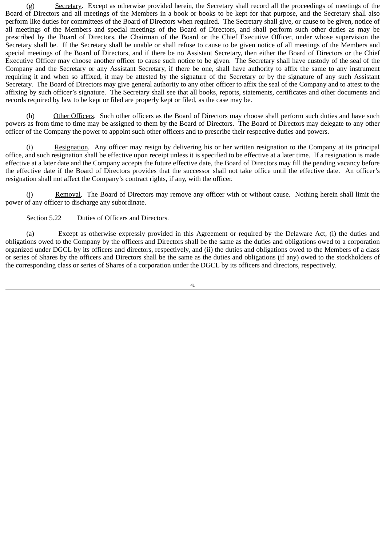(g) Secretary. Except as otherwise provided herein, the Secretary shall record all the proceedings of meetings of the Board of Directors and all meetings of the Members in a book or books to be kept for that purpose, and the Secretary shall also perform like duties for committees of the Board of Directors when required. The Secretary shall give, or cause to be given, notice of all meetings of the Members and special meetings of the Board of Directors, and shall perform such other duties as may be prescribed by the Board of Directors, the Chairman of the Board or the Chief Executive Officer, under whose supervision the Secretary shall be. If the Secretary shall be unable or shall refuse to cause to be given notice of all meetings of the Members and special meetings of the Board of Directors, and if there be no Assistant Secretary, then either the Board of Directors or the Chief Executive Officer may choose another officer to cause such notice to be given. The Secretary shall have custody of the seal of the Company and the Secretary or any Assistant Secretary, if there be one, shall have authority to affix the same to any instrument requiring it and when so affixed, it may be attested by the signature of the Secretary or by the signature of any such Assistant Secretary. The Board of Directors may give general authority to any other officer to affix the seal of the Company and to attest to the affixing by such officer's signature. The Secretary shall see that all books, reports, statements, certificates and other documents and records required by law to be kept or filed are properly kept or filed, as the case may be.

(h) Other Officers. Such other officers as the Board of Directors may choose shall perform such duties and have such powers as from time to time may be assigned to them by the Board of Directors. The Board of Directors may delegate to any other officer of the Company the power to appoint such other officers and to prescribe their respective duties and powers.

(i) Resignation. Any officer may resign by delivering his or her written resignation to the Company at its principal office, and such resignation shall be effective upon receipt unless it is specified to be effective at a later time. If a resignation is made effective at a later date and the Company accepts the future effective date, the Board of Directors may fill the pending vacancy before the effective date if the Board of Directors provides that the successor shall not take office until the effective date. An officer's resignation shall not affect the Company's contract rights, if any, with the officer.

(j) Removal. The Board of Directors may remove any officer with or without cause. Nothing herein shall limit the power of any officer to discharge any subordinate.

## Section 5.22 Duties of Officers and Directors.

(a) Except as otherwise expressly provided in this Agreement or required by the Delaware Act, (i) the duties and obligations owed to the Company by the officers and Directors shall be the same as the duties and obligations owed to a corporation organized under DGCL by its officers and directors, respectively, and (ii) the duties and obligations owed to the Members of a class or series of Shares by the officers and Directors shall be the same as the duties and obligations (if any) owed to the stockholders of the corresponding class or series of Shares of a corporation under the DGCL by its officers and directors, respectively.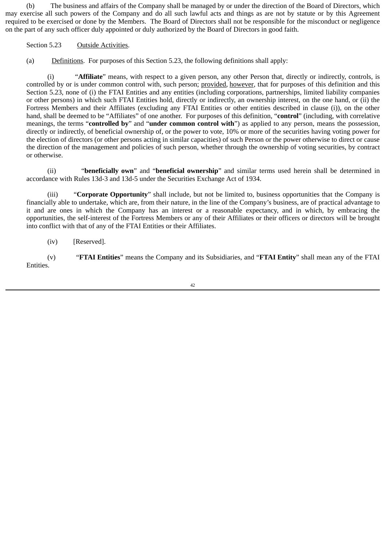(b) The business and affairs of the Company shall be managed by or under the direction of the Board of Directors, which may exercise all such powers of the Company and do all such lawful acts and things as are not by statute or by this Agreement required to be exercised or done by the Members. The Board of Directors shall not be responsible for the misconduct or negligence on the part of any such officer duly appointed or duly authorized by the Board of Directors in good faith.

# Section 5.23 Outside Activities.

(a) Definitions. For purposes of this Section 5.23, the following definitions shall apply:

(i) "**Affiliate**" means, with respect to a given person, any other Person that, directly or indirectly, controls, is controlled by or is under common control with, such person; provided, however, that for purposes of this definition and this Section 5.23, none of (i) the FTAI Entities and any entities (including corporations, partnerships, limited liability companies or other persons) in which such FTAI Entities hold, directly or indirectly, an ownership interest, on the one hand, or (ii) the Fortress Members and their Affiliates (excluding any FTAI Entities or other entities described in clause (i)), on the other hand, shall be deemed to be "Affiliates" of one another. For purposes of this definition, "**control**" (including, with correlative meanings, the terms "**controlled by**" and "**under common control with**") as applied to any person, means the possession, directly or indirectly, of beneficial ownership of, or the power to vote, 10% or more of the securities having voting power for the election of directors (or other persons acting in similar capacities) of such Person or the power otherwise to direct or cause the direction of the management and policies of such person, whether through the ownership of voting securities, by contract or otherwise.

(ii) "**beneficially own**" and "**beneficial ownership**" and similar terms used herein shall be determined in accordance with Rules 13d-3 and 13d-5 under the Securities Exchange Act of 1934.

(iii) "**Corporate Opportunity**" shall include, but not be limited to, business opportunities that the Company is financially able to undertake, which are, from their nature, in the line of the Company's business, are of practical advantage to it and are ones in which the Company has an interest or a reasonable expectancy, and in which, by embracing the opportunities, the self-interest of the Fortress Members or any of their Affiliates or their officers or directors will be brought into conflict with that of any of the FTAI Entities or their Affiliates.

(iv) [Reserved].

(v) "**FTAI Entities**" means the Company and its Subsidiaries, and "**FTAI Entity**" shall mean any of the FTAI Entities.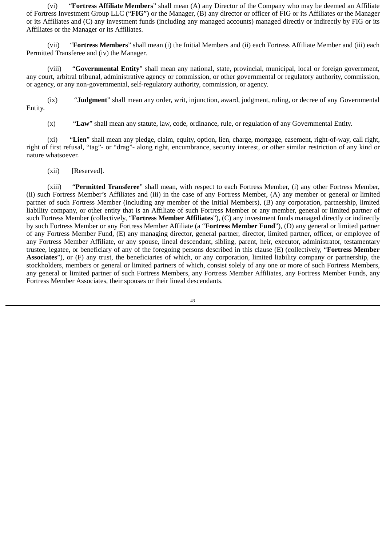(vi) "**Fortress Affiliate Members**" shall mean (A) any Director of the Company who may be deemed an Affiliate of Fortress Investment Group LLC ("**FIG**") or the Manager, (B) any director or officer of FIG or its Affiliates or the Manager or its Affiliates and (C) any investment funds (including any managed accounts) managed directly or indirectly by FIG or its Affiliates or the Manager or its Affiliates.

(vii) "**Fortress Members**" shall mean (i) the Initial Members and (ii) each Fortress Affiliate Member and (iii) each Permitted Transferee and (iv) the Manager.

(viii) "**Governmental Entity**" shall mean any national, state, provincial, municipal, local or foreign government, any court, arbitral tribunal, administrative agency or commission, or other governmental or regulatory authority, commission, or agency, or any non-governmental, self-regulatory authority, commission, or agency.

(ix) "**Judgment**" shall mean any order, writ, injunction, award, judgment, ruling, or decree of any Governmental Entity.

(x) "**Law**" shall mean any statute, law, code, ordinance, rule, or regulation of any Governmental Entity.

(xi) "**Lien**" shall mean any pledge, claim, equity, option, lien, charge, mortgage, easement, right-of-way, call right, right of first refusal, "tag"- or "drag"- along right, encumbrance, security interest, or other similar restriction of any kind or nature whatsoever.

(xii) [Reserved].

(xiii) "**Permitted Transferee**" shall mean, with respect to each Fortress Member, (i) any other Fortress Member, (ii) such Fortress Member's Affiliates and (iii) in the case of any Fortress Member, (A) any member or general or limited partner of such Fortress Member (including any member of the Initial Members), (B) any corporation, partnership, limited liability company, or other entity that is an Affiliate of such Fortress Member or any member, general or limited partner of such Fortress Member (collectively, "**Fortress Member Affiliates**"), (C) any investment funds managed directly or indirectly by such Fortress Member or any Fortress Member Affiliate (a "**Fortress Member Fund**"), (D) any general or limited partner of any Fortress Member Fund, (E) any managing director, general partner, director, limited partner, officer, or employee of any Fortress Member Affiliate, or any spouse, lineal descendant, sibling, parent, heir, executor, administrator, testamentary trustee, legatee, or beneficiary of any of the foregoing persons described in this clause (E) (collectively, "**Fortress Member Associates**"), or (F) any trust, the beneficiaries of which, or any corporation, limited liability company or partnership, the stockholders, members or general or limited partners of which, consist solely of any one or more of such Fortress Members, any general or limited partner of such Fortress Members, any Fortress Member Affiliates, any Fortress Member Funds, any Fortress Member Associates, their spouses or their lineal descendants.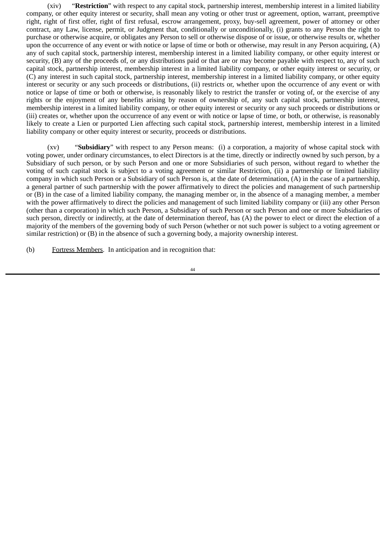(xiv) "**Restriction**" with respect to any capital stock, partnership interest, membership interest in a limited liability company, or other equity interest or security, shall mean any voting or other trust or agreement, option, warrant, preemptive right, right of first offer, right of first refusal, escrow arrangement, proxy, buy-sell agreement, power of attorney or other contract, any Law, license, permit, or Judgment that, conditionally or unconditionally, (i) grants to any Person the right to purchase or otherwise acquire, or obligates any Person to sell or otherwise dispose of or issue, or otherwise results or, whether upon the occurrence of any event or with notice or lapse of time or both or otherwise, may result in any Person acquiring, (A) any of such capital stock, partnership interest, membership interest in a limited liability company, or other equity interest or security, (B) any of the proceeds of, or any distributions paid or that are or may become payable with respect to, any of such capital stock, partnership interest, membership interest in a limited liability company, or other equity interest or security, or (C) any interest in such capital stock, partnership interest, membership interest in a limited liability company, or other equity interest or security or any such proceeds or distributions, (ii) restricts or, whether upon the occurrence of any event or with notice or lapse of time or both or otherwise, is reasonably likely to restrict the transfer or voting of, or the exercise of any rights or the enjoyment of any benefits arising by reason of ownership of, any such capital stock, partnership interest, membership interest in a limited liability company, or other equity interest or security or any such proceeds or distributions or (iii) creates or, whether upon the occurrence of any event or with notice or lapse of time, or both, or otherwise, is reasonably likely to create a Lien or purported Lien affecting such capital stock, partnership interest, membership interest in a limited liability company or other equity interest or security, proceeds or distributions.

(xv) "**Subsidiary**" with respect to any Person means: (i) a corporation, a majority of whose capital stock with voting power, under ordinary circumstances, to elect Directors is at the time, directly or indirectly owned by such person, by a Subsidiary of such person, or by such Person and one or more Subsidiaries of such person, without regard to whether the voting of such capital stock is subject to a voting agreement or similar Restriction, (ii) a partnership or limited liability company in which such Person or a Subsidiary of such Person is, at the date of determination, (A) in the case of a partnership, a general partner of such partnership with the power affirmatively to direct the policies and management of such partnership or (B) in the case of a limited liability company, the managing member or, in the absence of a managing member, a member with the power affirmatively to direct the policies and management of such limited liability company or (iii) any other Person (other than a corporation) in which such Person, a Subsidiary of such Person or such Person and one or more Subsidiaries of such person, directly or indirectly, at the date of determination thereof, has (A) the power to elect or direct the election of a majority of the members of the governing body of such Person (whether or not such power is subject to a voting agreement or similar restriction) or (B) in the absence of such a governing body, a majority ownership interest.

(b) Fortress Members. In anticipation and in recognition that: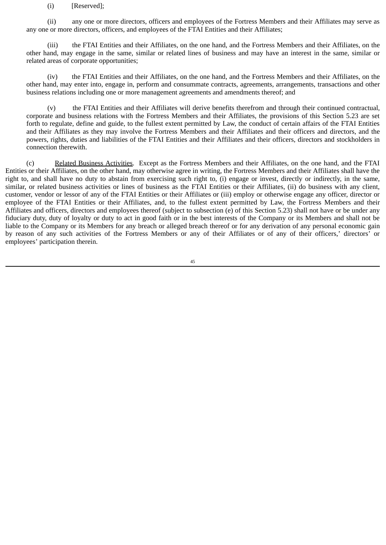### (i) [Reserved];

(ii) any one or more directors, officers and employees of the Fortress Members and their Affiliates may serve as any one or more directors, officers, and employees of the FTAI Entities and their Affiliates;

(iii) the FTAI Entities and their Affiliates, on the one hand, and the Fortress Members and their Affiliates, on the other hand, may engage in the same, similar or related lines of business and may have an interest in the same, similar or related areas of corporate opportunities;

(iv) the FTAI Entities and their Affiliates, on the one hand, and the Fortress Members and their Affiliates, on the other hand, may enter into, engage in, perform and consummate contracts, agreements, arrangements, transactions and other business relations including one or more management agreements and amendments thereof; and

(v) the FTAI Entities and their Affiliates will derive benefits therefrom and through their continued contractual, corporate and business relations with the Fortress Members and their Affiliates, the provisions of this Section 5.23 are set forth to regulate, define and guide, to the fullest extent permitted by Law, the conduct of certain affairs of the FTAI Entities and their Affiliates as they may involve the Fortress Members and their Affiliates and their officers and directors, and the powers, rights, duties and liabilities of the FTAI Entities and their Affiliates and their officers, directors and stockholders in connection therewith.

(c) Related Business Activities. Except as the Fortress Members and their Affiliates, on the one hand, and the FTAI Entities or their Affiliates, on the other hand, may otherwise agree in writing, the Fortress Members and their Affiliates shall have the right to, and shall have no duty to abstain from exercising such right to, (i) engage or invest, directly or indirectly, in the same, similar, or related business activities or lines of business as the FTAI Entities or their Affiliates, (ii) do business with any client, customer, vendor or lessor of any of the FTAI Entities or their Affiliates or (iii) employ or otherwise engage any officer, director or employee of the FTAI Entities or their Affiliates, and, to the fullest extent permitted by Law, the Fortress Members and their Affiliates and officers, directors and employees thereof (subject to subsection (e) of this Section 5.23) shall not have or be under any fiduciary duty, duty of loyalty or duty to act in good faith or in the best interests of the Company or its Members and shall not be liable to the Company or its Members for any breach or alleged breach thereof or for any derivation of any personal economic gain by reason of any such activities of the Fortress Members or any of their Affiliates or of any of their officers,' directors' or employees' participation therein.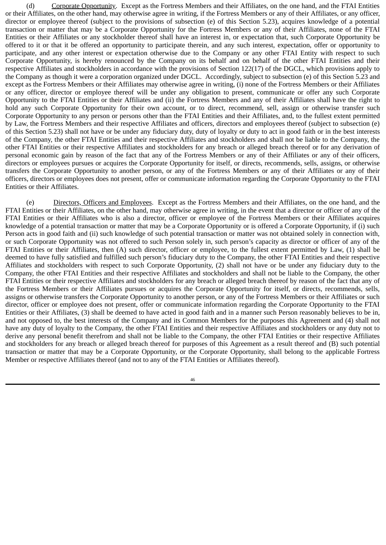(d) Corporate Opportunity. Except as the Fortress Members and their Affiliates, on the one hand, and the FTAI Entities or their Affiliates, on the other hand, may otherwise agree in writing, if the Fortress Members or any of their Affiliates, or any officer, director or employee thereof (subject to the provisions of subsection (e) of this Section 5.23), acquires knowledge of a potential transaction or matter that may be a Corporate Opportunity for the Fortress Members or any of their Affiliates, none of the FTAI Entities or their Affiliates or any stockholder thereof shall have an interest in, or expectation that, such Corporate Opportunity be offered to it or that it be offered an opportunity to participate therein, and any such interest, expectation, offer or opportunity to participate, and any other interest or expectation otherwise due to the Company or any other FTAI Entity with respect to such Corporate Opportunity, is hereby renounced by the Company on its behalf and on behalf of the other FTAI Entities and their respective Affiliates and stockholders in accordance with the provisions of Section 122(17) of the DGCL, which provisions apply to the Company as though it were a corporation organized under DGCL. Accordingly, subject to subsection (e) of this Section 5.23 and except as the Fortress Members or their Affiliates may otherwise agree in writing, (i) none of the Fortress Members or their Affiliates or any officer, director or employee thereof will be under any obligation to present, communicate or offer any such Corporate Opportunity to the FTAI Entities or their Affiliates and (ii) the Fortress Members and any of their Affiliates shall have the right to hold any such Corporate Opportunity for their own account, or to direct, recommend, sell, assign or otherwise transfer such Corporate Opportunity to any person or persons other than the FTAI Entities and their Affiliates, and, to the fullest extent permitted by Law, the Fortress Members and their respective Affiliates and officers, directors and employees thereof (subject to subsection (e) of this Section 5.23) shall not have or be under any fiduciary duty, duty of loyalty or duty to act in good faith or in the best interests of the Company, the other FTAI Entities and their respective Affiliates and stockholders and shall not be liable to the Company, the other FTAI Entities or their respective Affiliates and stockholders for any breach or alleged breach thereof or for any derivation of personal economic gain by reason of the fact that any of the Fortress Members or any of their Affiliates or any of their officers, directors or employees pursues or acquires the Corporate Opportunity for itself, or directs, recommends, sells, assigns, or otherwise transfers the Corporate Opportunity to another person, or any of the Fortress Members or any of their Affiliates or any of their officers, directors or employees does not present, offer or communicate information regarding the Corporate Opportunity to the FTAI Entities or their Affiliates.

(e) Directors, Officers and Employees. Except as the Fortress Members and their Affiliates, on the one hand, and the FTAI Entities or their Affiliates, on the other hand, may otherwise agree in writing, in the event that a director or officer of any of the FTAI Entities or their Affiliates who is also a director, officer or employee of the Fortress Members or their Affiliates acquires knowledge of a potential transaction or matter that may be a Corporate Opportunity or is offered a Corporate Opportunity, if (i) such Person acts in good faith and (ii) such knowledge of such potential transaction or matter was not obtained solely in connection with, or such Corporate Opportunity was not offered to such Person solely in, such person's capacity as director or officer of any of the FTAI Entities or their Affiliates, then (A) such director, officer or employee, to the fullest extent permitted by Law, (1) shall be deemed to have fully satisfied and fulfilled such person's fiduciary duty to the Company, the other FTAI Entities and their respective Affiliates and stockholders with respect to such Corporate Opportunity, (2) shall not have or be under any fiduciary duty to the Company, the other FTAI Entities and their respective Affiliates and stockholders and shall not be liable to the Company, the other FTAI Entities or their respective Affiliates and stockholders for any breach or alleged breach thereof by reason of the fact that any of the Fortress Members or their Affiliates pursues or acquires the Corporate Opportunity for itself, or directs, recommends, sells, assigns or otherwise transfers the Corporate Opportunity to another person, or any of the Fortress Members or their Affiliates or such director, officer or employee does not present, offer or communicate information regarding the Corporate Opportunity to the FTAI Entities or their Affiliates, (3) shall be deemed to have acted in good faith and in a manner such Person reasonably believes to be in, and not opposed to, the best interests of the Company and its Common Members for the purposes this Agreement and (4) shall not have any duty of loyalty to the Company, the other FTAI Entities and their respective Affiliates and stockholders or any duty not to derive any personal benefit therefrom and shall not be liable to the Company, the other FTAI Entities or their respective Affiliates and stockholders for any breach or alleged breach thereof for purposes of this Agreement as a result thereof and (B) such potential transaction or matter that may be a Corporate Opportunity, or the Corporate Opportunity, shall belong to the applicable Fortress Member or respective Affiliates thereof (and not to any of the FTAI Entities or Affiliates thereof).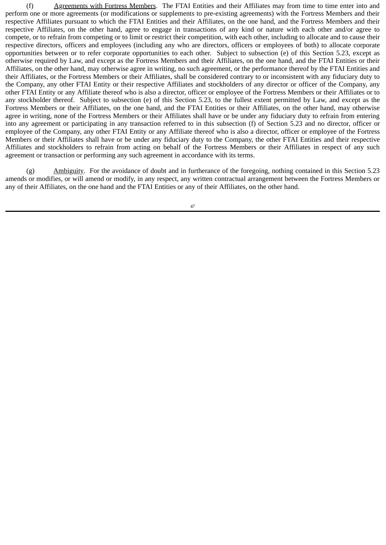(f) Agreements with Fortress Members. The FTAI Entities and their Affiliates may from time to time enter into and perform one or more agreements (or modifications or supplements to pre-existing agreements) with the Fortress Members and their respective Affiliates pursuant to which the FTAI Entities and their Affiliates, on the one hand, and the Fortress Members and their respective Affiliates, on the other hand, agree to engage in transactions of any kind or nature with each other and/or agree to compete, or to refrain from competing or to limit or restrict their competition, with each other, including to allocate and to cause their respective directors, officers and employees (including any who are directors, officers or employees of both) to allocate corporate opportunities between or to refer corporate opportunities to each other. Subject to subsection (e) of this Section 5.23, except as otherwise required by Law, and except as the Fortress Members and their Affiliates, on the one hand, and the FTAI Entities or their Affiliates, on the other hand, may otherwise agree in writing, no such agreement, or the performance thereof by the FTAI Entities and their Affiliates, or the Fortress Members or their Affiliates, shall be considered contrary to or inconsistent with any fiduciary duty to the Company, any other FTAI Entity or their respective Affiliates and stockholders of any director or officer of the Company, any other FTAI Entity or any Affiliate thereof who is also a director, officer or employee of the Fortress Members or their Affiliates or to any stockholder thereof. Subject to subsection (e) of this Section 5.23, to the fullest extent permitted by Law, and except as the Fortress Members or their Affiliates, on the one hand, and the FTAI Entities or their Affiliates, on the other hand, may otherwise agree in writing, none of the Fortress Members or their Affiliates shall have or be under any fiduciary duty to refrain from entering into any agreement or participating in any transaction referred to in this subsection (f) of Section 5.23 and no director, officer or employee of the Company, any other FTAI Entity or any Affiliate thereof who is also a director, officer or employee of the Fortress Members or their Affiliates shall have or be under any fiduciary duty to the Company, the other FTAI Entities and their respective Affiliates and stockholders to refrain from acting on behalf of the Fortress Members or their Affiliates in respect of any such agreement or transaction or performing any such agreement in accordance with its terms.

(g) Ambiguity. For the avoidance of doubt and in furtherance of the foregoing, nothing contained in this Section 5.23 amends or modifies, or will amend or modify, in any respect, any written contractual arrangement between the Fortress Members or any of their Affiliates, on the one hand and the FTAI Entities or any of their Affiliates, on the other hand.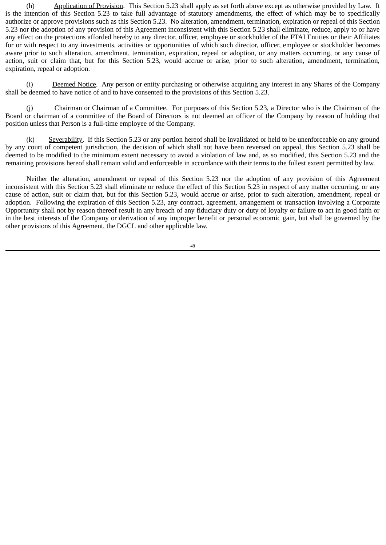(h) Application of Provision. This Section 5.23 shall apply as set forth above except as otherwise provided by Law. It is the intention of this Section 5.23 to take full advantage of statutory amendments, the effect of which may be to specifically authorize or approve provisions such as this Section 5.23. No alteration, amendment, termination, expiration or repeal of this Section 5.23 nor the adoption of any provision of this Agreement inconsistent with this Section 5.23 shall eliminate, reduce, apply to or have any effect on the protections afforded hereby to any director, officer, employee or stockholder of the FTAI Entities or their Affiliates for or with respect to any investments, activities or opportunities of which such director, officer, employee or stockholder becomes aware prior to such alteration, amendment, termination, expiration, repeal or adoption, or any matters occurring, or any cause of action, suit or claim that, but for this Section 5.23, would accrue or arise, prior to such alteration, amendment, termination, expiration, repeal or adoption.

(i) Deemed Notice. Any person or entity purchasing or otherwise acquiring any interest in any Shares of the Company shall be deemed to have notice of and to have consented to the provisions of this Section 5.23.

(j) Chairman or Chairman of a Committee. For purposes of this Section 5.23, a Director who is the Chairman of the Board or chairman of a committee of the Board of Directors is not deemed an officer of the Company by reason of holding that position unless that Person is a full-time employee of the Company.

(k) Severability. If this Section 5.23 or any portion hereof shall be invalidated or held to be unenforceable on any ground by any court of competent jurisdiction, the decision of which shall not have been reversed on appeal, this Section 5.23 shall be deemed to be modified to the minimum extent necessary to avoid a violation of law and, as so modified, this Section 5.23 and the remaining provisions hereof shall remain valid and enforceable in accordance with their terms to the fullest extent permitted by law.

Neither the alteration, amendment or repeal of this Section 5.23 nor the adoption of any provision of this Agreement inconsistent with this Section 5.23 shall eliminate or reduce the effect of this Section 5.23 in respect of any matter occurring, or any cause of action, suit or claim that, but for this Section 5.23, would accrue or arise, prior to such alteration, amendment, repeal or adoption. Following the expiration of this Section 5.23, any contract, agreement, arrangement or transaction involving a Corporate Opportunity shall not by reason thereof result in any breach of any fiduciary duty or duty of loyalty or failure to act in good faith or in the best interests of the Company or derivation of any improper benefit or personal economic gain, but shall be governed by the other provisions of this Agreement, the DGCL and other applicable law.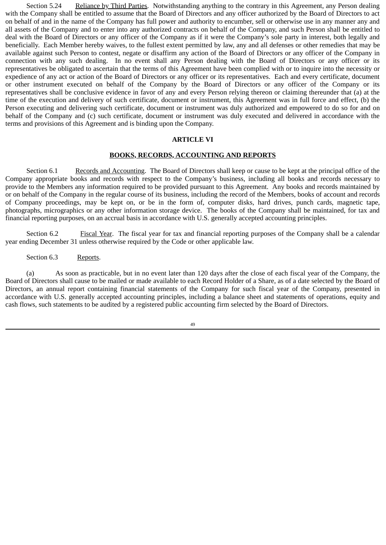Section 5.24 Reliance by Third Parties. Notwithstanding anything to the contrary in this Agreement, any Person dealing with the Company shall be entitled to assume that the Board of Directors and any officer authorized by the Board of Directors to act on behalf of and in the name of the Company has full power and authority to encumber, sell or otherwise use in any manner any and all assets of the Company and to enter into any authorized contracts on behalf of the Company, and such Person shall be entitled to deal with the Board of Directors or any officer of the Company as if it were the Company's sole party in interest, both legally and beneficially. Each Member hereby waives, to the fullest extent permitted by law, any and all defenses or other remedies that may be available against such Person to contest, negate or disaffirm any action of the Board of Directors or any officer of the Company in connection with any such dealing. In no event shall any Person dealing with the Board of Directors or any officer or its representatives be obligated to ascertain that the terms of this Agreement have been complied with or to inquire into the necessity or expedience of any act or action of the Board of Directors or any officer or its representatives. Each and every certificate, document or other instrument executed on behalf of the Company by the Board of Directors or any officer of the Company or its representatives shall be conclusive evidence in favor of any and every Person relying thereon or claiming thereunder that (a) at the time of the execution and delivery of such certificate, document or instrument, this Agreement was in full force and effect, (b) the Person executing and delivering such certificate, document or instrument was duly authorized and empowered to do so for and on behalf of the Company and (c) such certificate, document or instrument was duly executed and delivered in accordance with the terms and provisions of this Agreement and is binding upon the Company.

### **ARTICLE VI**

#### **BOOKS, RECORDS, ACCOUNTING AND REPORTS**

Section 6.1 Records and Accounting. The Board of Directors shall keep or cause to be kept at the principal office of the Company appropriate books and records with respect to the Company's business, including all books and records necessary to provide to the Members any information required to be provided pursuant to this Agreement. Any books and records maintained by or on behalf of the Company in the regular course of its business, including the record of the Members, books of account and records of Company proceedings, may be kept on, or be in the form of, computer disks, hard drives, punch cards, magnetic tape, photographs, micrographics or any other information storage device. The books of the Company shall be maintained, for tax and financial reporting purposes, on an accrual basis in accordance with U.S. generally accepted accounting principles.

Section 6.2 Fiscal Year. The fiscal year for tax and financial reporting purposes of the Company shall be a calendar year ending December 31 unless otherwise required by the Code or other applicable law.

Section 6.3 Reports.

(a) As soon as practicable, but in no event later than 120 days after the close of each fiscal year of the Company, the Board of Directors shall cause to be mailed or made available to each Record Holder of a Share, as of a date selected by the Board of Directors, an annual report containing financial statements of the Company for such fiscal year of the Company, presented in accordance with U.S. generally accepted accounting principles, including a balance sheet and statements of operations, equity and cash flows, such statements to be audited by a registered public accounting firm selected by the Board of Directors.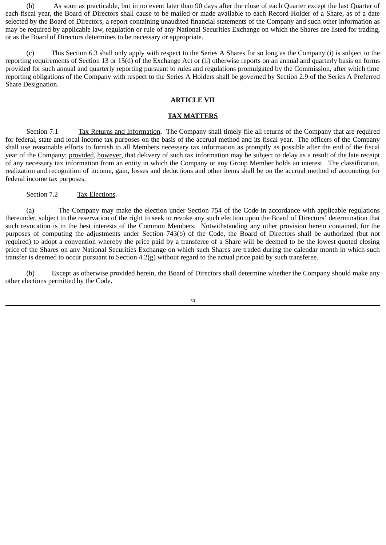(b) As soon as practicable, but in no event later than 90 days after the close of each Quarter except the last Quarter of each fiscal year, the Board of Directors shall cause to be mailed or made available to each Record Holder of a Share, as of a date selected by the Board of Directors, a report containing unaudited financial statements of the Company and such other information as may be required by applicable law, regulation or rule of any National Securities Exchange on which the Shares are listed for trading, or as the Board of Directors determines to be necessary or appropriate.

(c) This Section 6.3 shall only apply with respect to the Series A Shares for so long as the Company (i) is subject to the reporting requirements of Section 13 or 15(d) of the Exchange Act or (ii) otherwise reports on an annual and quarterly basis on forms provided for such annual and quarterly reporting pursuant to rules and regulations promulgated by the Commission, after which time reporting obligations of the Company with respect to the Series A Holders shall be governed by Section 2.9 of the Series A Preferred Share Designation.

### **ARTICLE VII**

#### **TAX MATTERS**

Section 7.1 Tax Returns and Information. The Company shall timely file all returns of the Company that are required for federal, state and local income tax purposes on the basis of the accrual method and its fiscal year. The officers of the Company shall use reasonable efforts to furnish to all Members necessary tax information as promptly as possible after the end of the fiscal year of the Company; provided, however, that delivery of such tax information may be subject to delay as a result of the late receipt of any necessary tax information from an entity in which the Company or any Group Member holds an interest. The classification, realization and recognition of income, gain, losses and deductions and other items shall be on the accrual method of accounting for federal income tax purposes.

## Section 7.2 Tax Elections.

(a) The Company may make the election under Section 754 of the Code in accordance with applicable regulations thereunder, subject to the reservation of the right to seek to revoke any such election upon the Board of Directors' determination that such revocation is in the best interests of the Common Members. Notwithstanding any other provision herein contained, for the purposes of computing the adjustments under Section 743(b) of the Code, the Board of Directors shall be authorized (but not required) to adopt a convention whereby the price paid by a transferee of a Share will be deemed to be the lowest quoted closing price of the Shares on any National Securities Exchange on which such Shares are traded during the calendar month in which such transfer is deemed to occur pursuant to Section 4.2(g) without regard to the actual price paid by such transferee.

(b) Except as otherwise provided herein, the Board of Directors shall determine whether the Company should make any other elections permitted by the Code.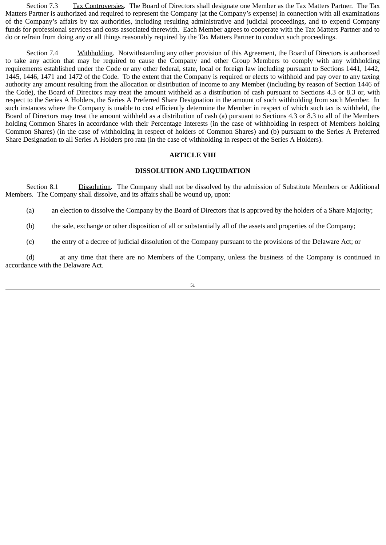Section 7.3 Tax Controversies. The Board of Directors shall designate one Member as the Tax Matters Partner. The Tax Matters Partner is authorized and required to represent the Company (at the Company's expense) in connection with all examinations of the Company's affairs by tax authorities, including resulting administrative and judicial proceedings, and to expend Company funds for professional services and costs associated therewith. Each Member agrees to cooperate with the Tax Matters Partner and to do or refrain from doing any or all things reasonably required by the Tax Matters Partner to conduct such proceedings.

Section 7.4 Withholding. Notwithstanding any other provision of this Agreement, the Board of Directors is authorized to take any action that may be required to cause the Company and other Group Members to comply with any withholding requirements established under the Code or any other federal, state, local or foreign law including pursuant to Sections 1441, 1442, 1445, 1446, 1471 and 1472 of the Code. To the extent that the Company is required or elects to withhold and pay over to any taxing authority any amount resulting from the allocation or distribution of income to any Member (including by reason of Section 1446 of the Code), the Board of Directors may treat the amount withheld as a distribution of cash pursuant to Sections 4.3 or 8.3 or, with respect to the Series A Holders, the Series A Preferred Share Designation in the amount of such withholding from such Member. In such instances where the Company is unable to cost efficiently determine the Member in respect of which such tax is withheld, the Board of Directors may treat the amount withheld as a distribution of cash (a) pursuant to Sections 4.3 or 8.3 to all of the Members holding Common Shares in accordance with their Percentage Interests (in the case of withholding in respect of Members holding Common Shares) (in the case of withholding in respect of holders of Common Shares) and (b) pursuant to the Series A Preferred Share Designation to all Series A Holders pro rata (in the case of withholding in respect of the Series A Holders).

#### **ARTICLE VIII**

#### **DISSOLUTION AND LIQUIDATION**

Section 8.1 Dissolution. The Company shall not be dissolved by the admission of Substitute Members or Additional Members. The Company shall dissolve, and its affairs shall be wound up, upon:

(a) an election to dissolve the Company by the Board of Directors that is approved by the holders of a Share Majority;

(b) the sale, exchange or other disposition of all or substantially all of the assets and properties of the Company;

(c) the entry of a decree of judicial dissolution of the Company pursuant to the provisions of the Delaware Act; or

(d) at any time that there are no Members of the Company, unless the business of the Company is continued in accordance with the Delaware Act.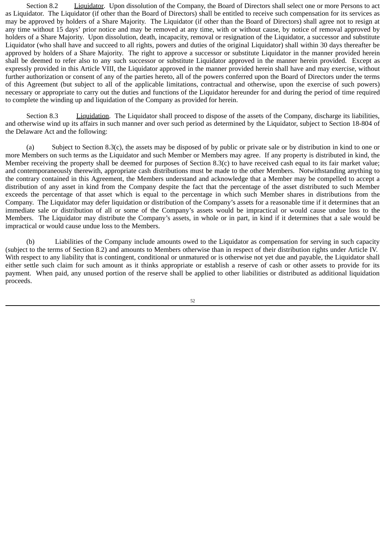Section 8.2 Liquidator. Upon dissolution of the Company, the Board of Directors shall select one or more Persons to act as Liquidator. The Liquidator (if other than the Board of Directors) shall be entitled to receive such compensation for its services as may be approved by holders of a Share Majority. The Liquidator (if other than the Board of Directors) shall agree not to resign at any time without 15 days' prior notice and may be removed at any time, with or without cause, by notice of removal approved by holders of a Share Majority. Upon dissolution, death, incapacity, removal or resignation of the Liquidator, a successor and substitute Liquidator (who shall have and succeed to all rights, powers and duties of the original Liquidator) shall within 30 days thereafter be approved by holders of a Share Majority. The right to approve a successor or substitute Liquidator in the manner provided herein shall be deemed to refer also to any such successor or substitute Liquidator approved in the manner herein provided. Except as expressly provided in this Article VIII, the Liquidator approved in the manner provided herein shall have and may exercise, without further authorization or consent of any of the parties hereto, all of the powers conferred upon the Board of Directors under the terms of this Agreement (but subject to all of the applicable limitations, contractual and otherwise, upon the exercise of such powers) necessary or appropriate to carry out the duties and functions of the Liquidator hereunder for and during the period of time required to complete the winding up and liquidation of the Company as provided for herein.

Section 8.3 Liquidation. The Liquidator shall proceed to dispose of the assets of the Company, discharge its liabilities, and otherwise wind up its affairs in such manner and over such period as determined by the Liquidator, subject to Section 18-804 of the Delaware Act and the following:

(a) Subject to Section 8.3(c), the assets may be disposed of by public or private sale or by distribution in kind to one or more Members on such terms as the Liquidator and such Member or Members may agree. If any property is distributed in kind, the Member receiving the property shall be deemed for purposes of Section 8.3(c) to have received cash equal to its fair market value; and contemporaneously therewith, appropriate cash distributions must be made to the other Members. Notwithstanding anything to the contrary contained in this Agreement, the Members understand and acknowledge that a Member may be compelled to accept a distribution of any asset in kind from the Company despite the fact that the percentage of the asset distributed to such Member exceeds the percentage of that asset which is equal to the percentage in which such Member shares in distributions from the Company. The Liquidator may defer liquidation or distribution of the Company's assets for a reasonable time if it determines that an immediate sale or distribution of all or some of the Company's assets would be impractical or would cause undue loss to the Members. The Liquidator may distribute the Company's assets, in whole or in part, in kind if it determines that a sale would be impractical or would cause undue loss to the Members.

(b) Liabilities of the Company include amounts owed to the Liquidator as compensation for serving in such capacity (subject to the terms of Section 8.2) and amounts to Members otherwise than in respect of their distribution rights under Article IV. With respect to any liability that is contingent, conditional or unmatured or is otherwise not yet due and payable, the Liquidator shall either settle such claim for such amount as it thinks appropriate or establish a reserve of cash or other assets to provide for its payment. When paid, any unused portion of the reserve shall be applied to other liabilities or distributed as additional liquidation proceeds.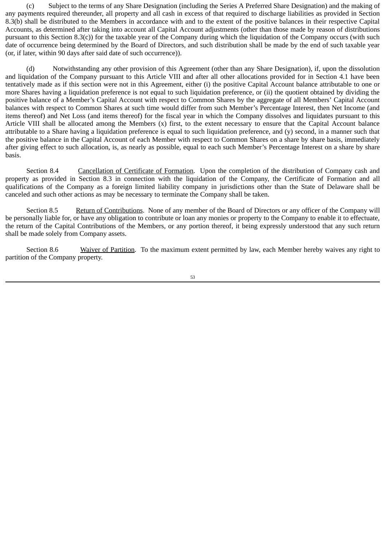(c) Subject to the terms of any Share Designation (including the Series A Preferred Share Designation) and the making of any payments required thereunder, all property and all cash in excess of that required to discharge liabilities as provided in Section 8.3(b) shall be distributed to the Members in accordance with and to the extent of the positive balances in their respective Capital Accounts, as determined after taking into account all Capital Account adjustments (other than those made by reason of distributions pursuant to this Section 8.3(c)) for the taxable year of the Company during which the liquidation of the Company occurs (with such date of occurrence being determined by the Board of Directors, and such distribution shall be made by the end of such taxable year (or, if later, within 90 days after said date of such occurrence)).

(d) Notwithstanding any other provision of this Agreement (other than any Share Designation), if, upon the dissolution and liquidation of the Company pursuant to this Article VIII and after all other allocations provided for in Section 4.1 have been tentatively made as if this section were not in this Agreement, either (i) the positive Capital Account balance attributable to one or more Shares having a liquidation preference is not equal to such liquidation preference, or (ii) the quotient obtained by dividing the positive balance of a Member's Capital Account with respect to Common Shares by the aggregate of all Members' Capital Account balances with respect to Common Shares at such time would differ from such Member's Percentage Interest, then Net Income (and items thereof) and Net Loss (and items thereof) for the fiscal year in which the Company dissolves and liquidates pursuant to this Article VIII shall be allocated among the Members (x) first, to the extent necessary to ensure that the Capital Account balance attributable to a Share having a liquidation preference is equal to such liquidation preference, and (y) second, in a manner such that the positive balance in the Capital Account of each Member with respect to Common Shares on a share by share basis, immediately after giving effect to such allocation, is, as nearly as possible, equal to each such Member's Percentage Interest on a share by share basis.

Section 8.4 Cancellation of Certificate of Formation. Upon the completion of the distribution of Company cash and property as provided in Section 8.3 in connection with the liquidation of the Company, the Certificate of Formation and all qualifications of the Company as a foreign limited liability company in jurisdictions other than the State of Delaware shall be canceled and such other actions as may be necessary to terminate the Company shall be taken.

Section 8.5 Return of Contributions. None of any member of the Board of Directors or any officer of the Company will be personally liable for, or have any obligation to contribute or loan any monies or property to the Company to enable it to effectuate, the return of the Capital Contributions of the Members, or any portion thereof, it being expressly understood that any such return shall be made solely from Company assets.

Section 8.6 Waiver of Partition. To the maximum extent permitted by law, each Member hereby waives any right to partition of the Company property.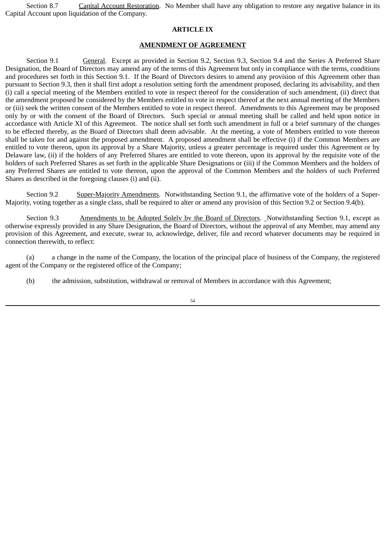Section 8.7 Capital Account Restoration. No Member shall have any obligation to restore any negative balance in its Capital Account upon liquidation of the Company.

### **ARTICLE IX**

### **AMENDMENT OF AGREEMENT**

Section 9.1 General. Except as provided in Section 9.2, Section 9.3, Section 9.4 and the Series A Preferred Share Designation, the Board of Directors may amend any of the terms of this Agreement but only in compliance with the terms, conditions and procedures set forth in this Section 9.1. If the Board of Directors desires to amend any provision of this Agreement other than pursuant to Section 9.3, then it shall first adopt a resolution setting forth the amendment proposed, declaring its advisability, and then (i) call a special meeting of the Members entitled to vote in respect thereof for the consideration of such amendment, (ii) direct that the amendment proposed be considered by the Members entitled to vote in respect thereof at the next annual meeting of the Members or (iii) seek the written consent of the Members entitled to vote in respect thereof. Amendments to this Agreement may be proposed only by or with the consent of the Board of Directors. Such special or annual meeting shall be called and held upon notice in accordance with Article XI of this Agreement. The notice shall set forth such amendment in full or a brief summary of the changes to be effected thereby, as the Board of Directors shall deem advisable. At the meeting, a vote of Members entitled to vote thereon shall be taken for and against the proposed amendment. A proposed amendment shall be effective (i) if the Common Members are entitled to vote thereon, upon its approval by a Share Majority, unless a greater percentage is required under this Agreement or by Delaware law, (ii) if the holders of any Preferred Shares are entitled to vote thereon, upon its approval by the requisite vote of the holders of such Preferred Shares as set forth in the applicable Share Designations or (iii) if the Common Members and the holders of any Preferred Shares are entitled to vote thereon, upon the approval of the Common Members and the holders of such Preferred Shares as described in the foregoing clauses (i) and (ii).

Section 9.2 Super-Majority Amendments. Notwithstanding Section 9.1, the affirmative vote of the holders of a Super-Majority, voting together as a single class, shall be required to alter or amend any provision of this Section 9.2 or Section 9.4(b).

Section 9.3 Amendments to be Adopted Solely by the Board of Directors. Notwithstanding Section 9.1, except as otherwise expressly provided in any Share Designation, the Board of Directors, without the approval of any Member, may amend any provision of this Agreement, and execute, swear to, acknowledge, deliver, file and record whatever documents may be required in connection therewith, to reflect:

(a) a change in the name of the Company, the location of the principal place of business of the Company, the registered agent of the Company or the registered office of the Company;

(b) the admission, substitution, withdrawal or removal of Members in accordance with this Agreement;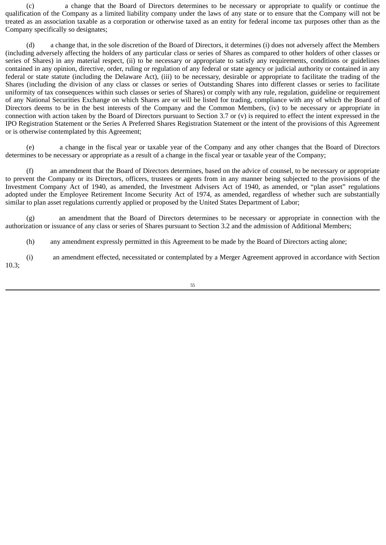(c) a change that the Board of Directors determines to be necessary or appropriate to qualify or continue the qualification of the Company as a limited liability company under the laws of any state or to ensure that the Company will not be treated as an association taxable as a corporation or otherwise taxed as an entity for federal income tax purposes other than as the Company specifically so designates;

(d) a change that, in the sole discretion of the Board of Directors, it determines (i) does not adversely affect the Members (including adversely affecting the holders of any particular class or series of Shares as compared to other holders of other classes or series of Shares) in any material respect, (ii) to be necessary or appropriate to satisfy any requirements, conditions or guidelines contained in any opinion, directive, order, ruling or regulation of any federal or state agency or judicial authority or contained in any federal or state statute (including the Delaware Act), (iii) to be necessary, desirable or appropriate to facilitate the trading of the Shares (including the division of any class or classes or series of Outstanding Shares into different classes or series to facilitate uniformity of tax consequences within such classes or series of Shares) or comply with any rule, regulation, guideline or requirement of any National Securities Exchange on which Shares are or will be listed for trading, compliance with any of which the Board of Directors deems to be in the best interests of the Company and the Common Members, (iv) to be necessary or appropriate in connection with action taken by the Board of Directors pursuant to Section 3.7 or (v) is required to effect the intent expressed in the IPO Registration Statement or the Series A Preferred Shares Registration Statement or the intent of the provisions of this Agreement or is otherwise contemplated by this Agreement;

(e) a change in the fiscal year or taxable year of the Company and any other changes that the Board of Directors determines to be necessary or appropriate as a result of a change in the fiscal year or taxable year of the Company;

(f) an amendment that the Board of Directors determines, based on the advice of counsel, to be necessary or appropriate to prevent the Company or its Directors, officers, trustees or agents from in any manner being subjected to the provisions of the Investment Company Act of 1940, as amended, the Investment Advisers Act of 1940, as amended, or "plan asset" regulations adopted under the Employee Retirement Income Security Act of 1974, as amended, regardless of whether such are substantially similar to plan asset regulations currently applied or proposed by the United States Department of Labor;

(g) an amendment that the Board of Directors determines to be necessary or appropriate in connection with the authorization or issuance of any class or series of Shares pursuant to Section 3.2 and the admission of Additional Members;

(h) any amendment expressly permitted in this Agreement to be made by the Board of Directors acting alone;

(i) an amendment effected, necessitated or contemplated by a Merger Agreement approved in accordance with Section 10.3;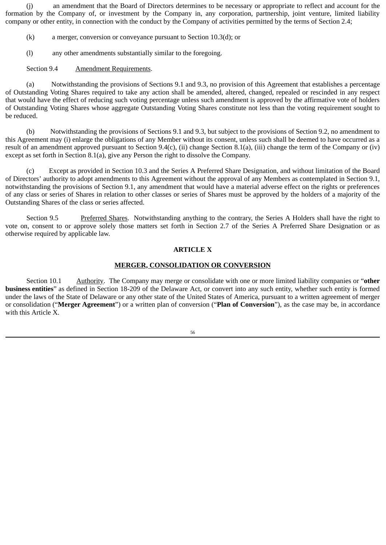(j) an amendment that the Board of Directors determines to be necessary or appropriate to reflect and account for the formation by the Company of, or investment by the Company in, any corporation, partnership, joint venture, limited liability company or other entity, in connection with the conduct by the Company of activities permitted by the terms of Section 2.4;

- (k) a merger, conversion or conveyance pursuant to Section 10.3(d); or
- (l) any other amendments substantially similar to the foregoing.

# Section 9.4 Amendment Requirements.

(a) Notwithstanding the provisions of Sections 9.1 and 9.3, no provision of this Agreement that establishes a percentage of Outstanding Voting Shares required to take any action shall be amended, altered, changed, repealed or rescinded in any respect that would have the effect of reducing such voting percentage unless such amendment is approved by the affirmative vote of holders of Outstanding Voting Shares whose aggregate Outstanding Voting Shares constitute not less than the voting requirement sought to be reduced.

(b) Notwithstanding the provisions of Sections 9.1 and 9.3, but subject to the provisions of Section 9.2, no amendment to this Agreement may (i) enlarge the obligations of any Member without its consent, unless such shall be deemed to have occurred as a result of an amendment approved pursuant to Section 9.4(c), (ii) change Section 8.1(a), (iii) change the term of the Company or (iv) except as set forth in Section 8.1(a), give any Person the right to dissolve the Company.

(c) Except as provided in Section 10.3 and the Series A Preferred Share Designation, and without limitation of the Board of Directors' authority to adopt amendments to this Agreement without the approval of any Members as contemplated in Section 9.1, notwithstanding the provisions of Section 9.1, any amendment that would have a material adverse effect on the rights or preferences of any class or series of Shares in relation to other classes or series of Shares must be approved by the holders of a majority of the Outstanding Shares of the class or series affected.

Section 9.5 Preferred Shares. Notwithstanding anything to the contrary, the Series A Holders shall have the right to vote on, consent to or approve solely those matters set forth in Section 2.7 of the Series A Preferred Share Designation or as otherwise required by applicable law.

# **ARTICLE X**

# **MERGER, CONSOLIDATION OR CONVERSION**

Section 10.1 Authority. The Company may merge or consolidate with one or more limited liability companies or "**other business entities**" as defined in Section 18-209 of the Delaware Act, or convert into any such entity, whether such entity is formed under the laws of the State of Delaware or any other state of the United States of America, pursuant to a written agreement of merger or consolidation ("**Merger Agreement**") or a written plan of conversion ("**Plan of Conversion**"), as the case may be, in accordance with this Article X.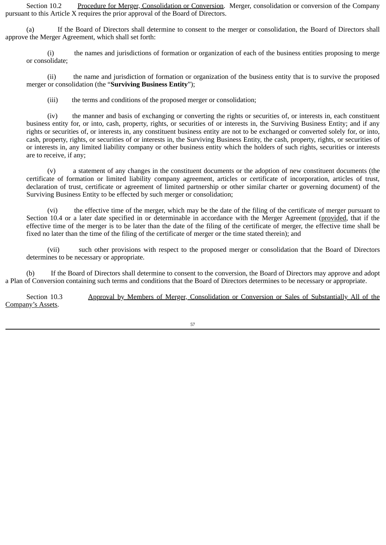Section 10.2 Procedure for Merger, Consolidation or Conversion. Merger, consolidation or conversion of the Company pursuant to this Article X requires the prior approval of the Board of Directors.

(a) If the Board of Directors shall determine to consent to the merger or consolidation, the Board of Directors shall approve the Merger Agreement, which shall set forth:

(i) the names and jurisdictions of formation or organization of each of the business entities proposing to merge or consolidate;

(ii) the name and jurisdiction of formation or organization of the business entity that is to survive the proposed merger or consolidation (the "**Surviving Business Entity**");

(iii) the terms and conditions of the proposed merger or consolidation;

(iv) the manner and basis of exchanging or converting the rights or securities of, or interests in, each constituent business entity for, or into, cash, property, rights, or securities of or interests in, the Surviving Business Entity; and if any rights or securities of, or interests in, any constituent business entity are not to be exchanged or converted solely for, or into, cash, property, rights, or securities of or interests in, the Surviving Business Entity, the cash, property, rights, or securities of or interests in, any limited liability company or other business entity which the holders of such rights, securities or interests are to receive, if any;

(v) a statement of any changes in the constituent documents or the adoption of new constituent documents (the certificate of formation or limited liability company agreement, articles or certificate of incorporation, articles of trust, declaration of trust, certificate or agreement of limited partnership or other similar charter or governing document) of the Surviving Business Entity to be effected by such merger or consolidation;

(vi) the effective time of the merger, which may be the date of the filing of the certificate of merger pursuant to Section 10.4 or a later date specified in or determinable in accordance with the Merger Agreement (provided, that if the effective time of the merger is to be later than the date of the filing of the certificate of merger, the effective time shall be fixed no later than the time of the filing of the certificate of merger or the time stated therein); and

(vii) such other provisions with respect to the proposed merger or consolidation that the Board of Directors determines to be necessary or appropriate.

(b) If the Board of Directors shall determine to consent to the conversion, the Board of Directors may approve and adopt a Plan of Conversion containing such terms and conditions that the Board of Directors determines to be necessary or appropriate.

Section 10.3 Approval by Members of Merger, Consolidation or Conversion or Sales of Substantially All of the Company's Assets.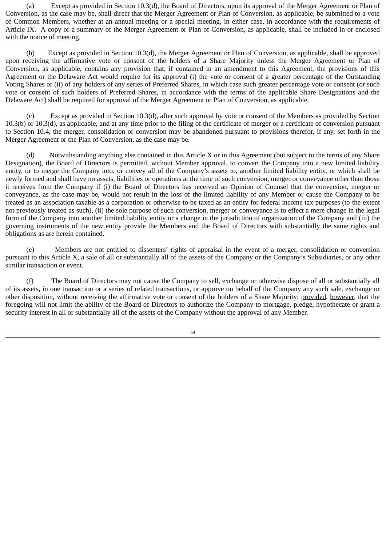(a) Except as provided in Section 10.3(d), the Board of Directors, upon its approval of the Merger Agreement or Plan of Conversion, as the case may be, shall direct that the Merger Agreement or Plan of Conversion, as applicable, be submitted to a vote of Common Members, whether at an annual meeting or a special meeting, in either case, in accordance with the requirements of Article IX. A copy or a summary of the Merger Agreement or Plan of Conversion, as applicable, shall be included in or enclosed with the notice of meeting.

(b) Except as provided in Section 10.3(d), the Merger Agreement or Plan of Conversion, as applicable, shall be approved upon receiving the affirmative vote or consent of the holders of a Share Majority unless the Merger Agreement or Plan of Conversion, as applicable, contains any provision that, if contained in an amendment to this Agreement, the provisions of this Agreement or the Delaware Act would require for its approval (i) the vote or consent of a greater percentage of the Outstanding Voting Shares or (ii) of any holders of any series of Preferred Shares, in which case such greater percentage vote or consent (or such vote or consent of such holders of Preferred Shares, in accordance with the terms of the applicable Share Designations and the Delaware Act) shall be required for approval of the Merger Agreement or Plan of Conversion, as applicable.

(c) Except as provided in Section 10.3(d), after such approval by vote or consent of the Members as provided by Section 10.3(b) or 10.3(d), as applicable, and at any time prior to the filing of the certificate of merger or a certificate of conversion pursuant to Section 10.4, the merger, consolidation or conversion may be abandoned pursuant to provisions therefor, if any, set forth in the Merger Agreement or the Plan of Conversion, as the case may be.

(d) Notwithstanding anything else contained in this Article X or in this Agreement (but subject to the terms of any Share Designation), the Board of Directors is permitted, without Member approval, to convert the Company into a new limited liability entity, or to merge the Company into, or convey all of the Company's assets to, another limited liability entity, or which shall be newly formed and shall have no assets, liabilities or operations at the time of such conversion, merger or conveyance other than those it receives from the Company if (i) the Board of Directors has received an Opinion of Counsel that the conversion, merger or conveyance, as the case may be, would not result in the loss of the limited liability of any Member or cause the Company to be treated as an association taxable as a corporation or otherwise to be taxed as an entity for federal income tax purposes (to the extent not previously treated as such), (ii) the sole purpose of such conversion, merger or conveyance is to effect a mere change in the legal form of the Company into another limited liability entity or a change in the jurisdiction of organization of the Company and (iii) the governing instruments of the new entity provide the Members and the Board of Directors with substantially the same rights and obligations as are herein contained.

(e) Members are not entitled to dissenters' rights of appraisal in the event of a merger, consolidation or conversion pursuant to this Article X, a sale of all or substantially all of the assets of the Company or the Company's Subsidiaries, or any other similar transaction or event.

(f) The Board of Directors may not cause the Company to sell, exchange or otherwise dispose of all or substantially all of its assets, in one transaction or a series of related transactions, or approve on behalf of the Company any such sale, exchange or other disposition, without receiving the affirmative vote or consent of the holders of a Share Majority; provided, however, that the foregoing will not limit the ability of the Board of Directors to authorize the Company to mortgage, pledge, hypothecate or grant a security interest in all or substantially all of the assets of the Company without the approval of any Member.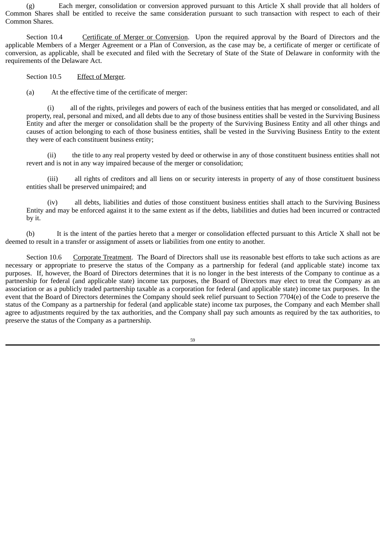(g) Each merger, consolidation or conversion approved pursuant to this Article X shall provide that all holders of Common Shares shall be entitled to receive the same consideration pursuant to such transaction with respect to each of their Common Shares.

Section 10.4 Certificate of Merger or Conversion. Upon the required approval by the Board of Directors and the applicable Members of a Merger Agreement or a Plan of Conversion, as the case may be, a certificate of merger or certificate of conversion, as applicable, shall be executed and filed with the Secretary of State of the State of Delaware in conformity with the requirements of the Delaware Act.

Section 10.5 Effect of Merger.

(a) At the effective time of the certificate of merger:

(i) all of the rights, privileges and powers of each of the business entities that has merged or consolidated, and all property, real, personal and mixed, and all debts due to any of those business entities shall be vested in the Surviving Business Entity and after the merger or consolidation shall be the property of the Surviving Business Entity and all other things and causes of action belonging to each of those business entities, shall be vested in the Surviving Business Entity to the extent they were of each constituent business entity;

(ii) the title to any real property vested by deed or otherwise in any of those constituent business entities shall not revert and is not in any way impaired because of the merger or consolidation;

(iii) all rights of creditors and all liens on or security interests in property of any of those constituent business entities shall be preserved unimpaired; and

(iv) all debts, liabilities and duties of those constituent business entities shall attach to the Surviving Business Entity and may be enforced against it to the same extent as if the debts, liabilities and duties had been incurred or contracted by it.

(b) It is the intent of the parties hereto that a merger or consolidation effected pursuant to this Article X shall not be deemed to result in a transfer or assignment of assets or liabilities from one entity to another.

Section 10.6 Corporate Treatment. The Board of Directors shall use its reasonable best efforts to take such actions as are necessary or appropriate to preserve the status of the Company as a partnership for federal (and applicable state) income tax purposes. If, however, the Board of Directors determines that it is no longer in the best interests of the Company to continue as a partnership for federal (and applicable state) income tax purposes, the Board of Directors may elect to treat the Company as an association or as a publicly traded partnership taxable as a corporation for federal (and applicable state) income tax purposes. In the event that the Board of Directors determines the Company should seek relief pursuant to Section 7704(e) of the Code to preserve the status of the Company as a partnership for federal (and applicable state) income tax purposes, the Company and each Member shall agree to adjustments required by the tax authorities, and the Company shall pay such amounts as required by the tax authorities, to preserve the status of the Company as a partnership.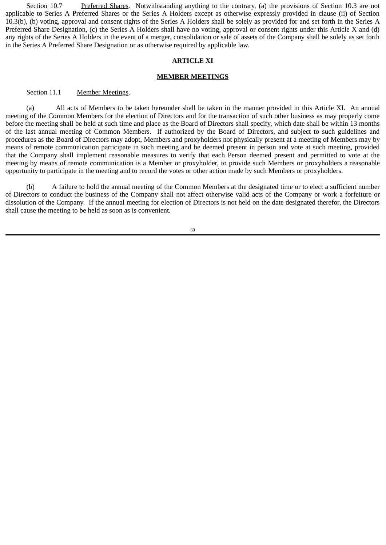Section 10.7 Preferred Shares. Notwithstanding anything to the contrary, (a) the provisions of Section 10.3 are not applicable to Series A Preferred Shares or the Series A Holders except as otherwise expressly provided in clause (ii) of Section 10.3(b), (b) voting, approval and consent rights of the Series A Holders shall be solely as provided for and set forth in the Series A Preferred Share Designation, (c) the Series A Holders shall have no voting, approval or consent rights under this Article X and (d) any rights of the Series A Holders in the event of a merger, consolidation or sale of assets of the Company shall be solely as set forth in the Series A Preferred Share Designation or as otherwise required by applicable law.

### **ARTICLE XI**

#### **MEMBER MEETINGS**

#### Section 11.1 Member Meetings.

(a) All acts of Members to be taken hereunder shall be taken in the manner provided in this Article XI. An annual meeting of the Common Members for the election of Directors and for the transaction of such other business as may properly come before the meeting shall be held at such time and place as the Board of Directors shall specify, which date shall be within 13 months of the last annual meeting of Common Members. If authorized by the Board of Directors, and subject to such guidelines and procedures as the Board of Directors may adopt, Members and proxyholders not physically present at a meeting of Members may by means of remote communication participate in such meeting and be deemed present in person and vote at such meeting, provided that the Company shall implement reasonable measures to verify that each Person deemed present and permitted to vote at the meeting by means of remote communication is a Member or proxyholder, to provide such Members or proxyholders a reasonable opportunity to participate in the meeting and to record the votes or other action made by such Members or proxyholders.

(b) A failure to hold the annual meeting of the Common Members at the designated time or to elect a sufficient number of Directors to conduct the business of the Company shall not affect otherwise valid acts of the Company or work a forfeiture or dissolution of the Company. If the annual meeting for election of Directors is not held on the date designated therefor, the Directors shall cause the meeting to be held as soon as is convenient.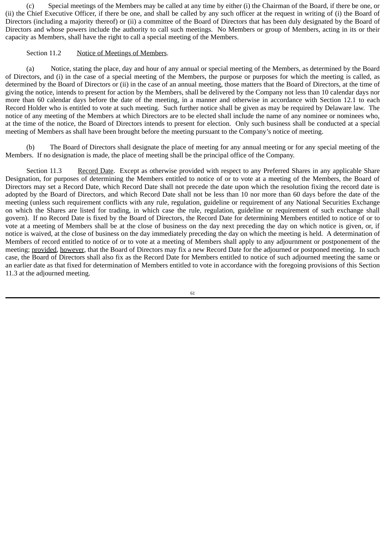(c) Special meetings of the Members may be called at any time by either (i) the Chairman of the Board, if there be one, or (ii) the Chief Executive Officer, if there be one, and shall be called by any such officer at the request in writing of (i) the Board of Directors (including a majority thereof) or (ii) a committee of the Board of Directors that has been duly designated by the Board of Directors and whose powers include the authority to call such meetings. No Members or group of Members, acting in its or their capacity as Members, shall have the right to call a special meeting of the Members.

# Section 11.2 Notice of Meetings of Members.

(a) Notice, stating the place, day and hour of any annual or special meeting of the Members, as determined by the Board of Directors, and (i) in the case of a special meeting of the Members, the purpose or purposes for which the meeting is called, as determined by the Board of Directors or (ii) in the case of an annual meeting, those matters that the Board of Directors, at the time of giving the notice, intends to present for action by the Members, shall be delivered by the Company not less than 10 calendar days nor more than 60 calendar days before the date of the meeting, in a manner and otherwise in accordance with Section 12.1 to each Record Holder who is entitled to vote at such meeting. Such further notice shall be given as may be required by Delaware law. The notice of any meeting of the Members at which Directors are to be elected shall include the name of any nominee or nominees who, at the time of the notice, the Board of Directors intends to present for election. Only such business shall be conducted at a special meeting of Members as shall have been brought before the meeting pursuant to the Company's notice of meeting.

(b) The Board of Directors shall designate the place of meeting for any annual meeting or for any special meeting of the Members. If no designation is made, the place of meeting shall be the principal office of the Company.

Section 11.3 Record Date. Except as otherwise provided with respect to any Preferred Shares in any applicable Share Designation, for purposes of determining the Members entitled to notice of or to vote at a meeting of the Members, the Board of Directors may set a Record Date, which Record Date shall not precede the date upon which the resolution fixing the record date is adopted by the Board of Directors, and which Record Date shall not be less than 10 nor more than 60 days before the date of the meeting (unless such requirement conflicts with any rule, regulation, guideline or requirement of any National Securities Exchange on which the Shares are listed for trading, in which case the rule, regulation, guideline or requirement of such exchange shall govern). If no Record Date is fixed by the Board of Directors, the Record Date for determining Members entitled to notice of or to vote at a meeting of Members shall be at the close of business on the day next preceding the day on which notice is given, or, if notice is waived, at the close of business on the day immediately preceding the day on which the meeting is held. A determination of Members of record entitled to notice of or to vote at a meeting of Members shall apply to any adjournment or postponement of the meeting; provided, however, that the Board of Directors may fix a new Record Date for the adjourned or postponed meeting. In such case, the Board of Directors shall also fix as the Record Date for Members entitled to notice of such adjourned meeting the same or an earlier date as that fixed for determination of Members entitled to vote in accordance with the foregoing provisions of this Section 11.3 at the adjourned meeting.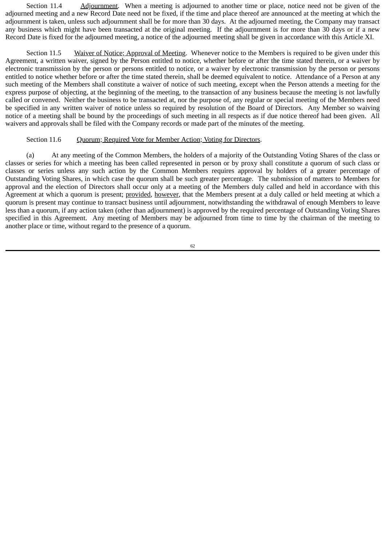Section 11.4 Adjournment. When a meeting is adjourned to another time or place, notice need not be given of the adjourned meeting and a new Record Date need not be fixed, if the time and place thereof are announced at the meeting at which the adjournment is taken, unless such adjournment shall be for more than 30 days. At the adjourned meeting, the Company may transact any business which might have been transacted at the original meeting. If the adjournment is for more than 30 days or if a new Record Date is fixed for the adjourned meeting, a notice of the adjourned meeting shall be given in accordance with this Article XI.

Section 11.5 Waiver of Notice; Approval of Meeting. Whenever notice to the Members is required to be given under this Agreement, a written waiver, signed by the Person entitled to notice, whether before or after the time stated therein, or a waiver by electronic transmission by the person or persons entitled to notice, or a waiver by electronic transmission by the person or persons entitled to notice whether before or after the time stated therein, shall be deemed equivalent to notice. Attendance of a Person at any such meeting of the Members shall constitute a waiver of notice of such meeting, except when the Person attends a meeting for the express purpose of objecting, at the beginning of the meeting, to the transaction of any business because the meeting is not lawfully called or convened. Neither the business to be transacted at, nor the purpose of, any regular or special meeting of the Members need be specified in any written waiver of notice unless so required by resolution of the Board of Directors. Any Member so waiving notice of a meeting shall be bound by the proceedings of such meeting in all respects as if due notice thereof had been given. All waivers and approvals shall be filed with the Company records or made part of the minutes of the meeting.

#### Section 11.6 Ouorum; Required Vote for Member Action; Voting for Directors.

(a) At any meeting of the Common Members, the holders of a majority of the Outstanding Voting Shares of the class or classes or series for which a meeting has been called represented in person or by proxy shall constitute a quorum of such class or classes or series unless any such action by the Common Members requires approval by holders of a greater percentage of Outstanding Voting Shares, in which case the quorum shall be such greater percentage. The submission of matters to Members for approval and the election of Directors shall occur only at a meeting of the Members duly called and held in accordance with this Agreement at which a quorum is present; provided, however, that the Members present at a duly called or held meeting at which a quorum is present may continue to transact business until adjournment, notwithstanding the withdrawal of enough Members to leave less than a quorum, if any action taken (other than adjournment) is approved by the required percentage of Outstanding Voting Shares specified in this Agreement. Any meeting of Members may be adjourned from time to time by the chairman of the meeting to another place or time, without regard to the presence of a quorum.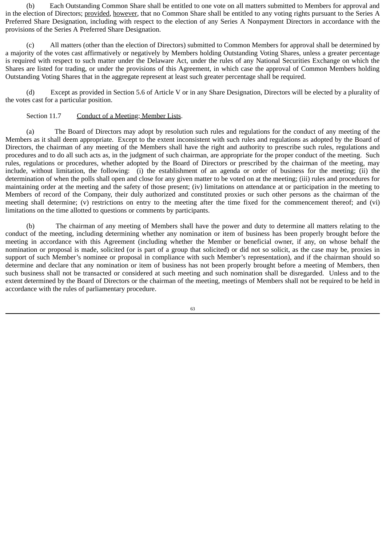(b) Each Outstanding Common Share shall be entitled to one vote on all matters submitted to Members for approval and in the election of Directors; provided, however, that no Common Share shall be entitled to any voting rights pursuant to the Series A Preferred Share Designation, including with respect to the election of any Series A Nonpayment Directors in accordance with the provisions of the Series A Preferred Share Designation.

(c) All matters (other than the election of Directors) submitted to Common Members for approval shall be determined by a majority of the votes cast affirmatively or negatively by Members holding Outstanding Voting Shares, unless a greater percentage is required with respect to such matter under the Delaware Act, under the rules of any National Securities Exchange on which the Shares are listed for trading, or under the provisions of this Agreement, in which case the approval of Common Members holding Outstanding Voting Shares that in the aggregate represent at least such greater percentage shall be required.

(d) Except as provided in Section 5.6 of Article V or in any Share Designation, Directors will be elected by a plurality of the votes cast for a particular position.

### Section 11.7 Conduct of a Meeting; Member Lists.

(a) The Board of Directors may adopt by resolution such rules and regulations for the conduct of any meeting of the Members as it shall deem appropriate. Except to the extent inconsistent with such rules and regulations as adopted by the Board of Directors, the chairman of any meeting of the Members shall have the right and authority to prescribe such rules, regulations and procedures and to do all such acts as, in the judgment of such chairman, are appropriate for the proper conduct of the meeting. Such rules, regulations or procedures, whether adopted by the Board of Directors or prescribed by the chairman of the meeting, may include, without limitation, the following: (i) the establishment of an agenda or order of business for the meeting; (ii) the determination of when the polls shall open and close for any given matter to be voted on at the meeting; (iii) rules and procedures for maintaining order at the meeting and the safety of those present; (iv) limitations on attendance at or participation in the meeting to Members of record of the Company, their duly authorized and constituted proxies or such other persons as the chairman of the meeting shall determine; (v) restrictions on entry to the meeting after the time fixed for the commencement thereof; and (vi) limitations on the time allotted to questions or comments by participants.

(b) The chairman of any meeting of Members shall have the power and duty to determine all matters relating to the conduct of the meeting, including determining whether any nomination or item of business has been properly brought before the meeting in accordance with this Agreement (including whether the Member or beneficial owner, if any, on whose behalf the nomination or proposal is made, solicited (or is part of a group that solicited) or did not so solicit, as the case may be, proxies in support of such Member's nominee or proposal in compliance with such Member's representation), and if the chairman should so determine and declare that any nomination or item of business has not been properly brought before a meeting of Members, then such business shall not be transacted or considered at such meeting and such nomination shall be disregarded. Unless and to the extent determined by the Board of Directors or the chairman of the meeting, meetings of Members shall not be required to be held in accordance with the rules of parliamentary procedure.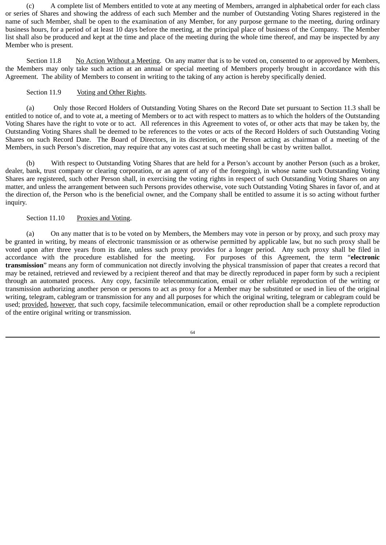(c) A complete list of Members entitled to vote at any meeting of Members, arranged in alphabetical order for each class or series of Shares and showing the address of each such Member and the number of Outstanding Voting Shares registered in the name of such Member, shall be open to the examination of any Member, for any purpose germane to the meeting, during ordinary business hours, for a period of at least 10 days before the meeting, at the principal place of business of the Company. The Member list shall also be produced and kept at the time and place of the meeting during the whole time thereof, and may be inspected by any Member who is present.

Section 11.8 No Action Without a Meeting. On any matter that is to be voted on, consented to or approved by Members, the Members may only take such action at an annual or special meeting of Members properly brought in accordance with this Agreement. The ability of Members to consent in writing to the taking of any action is hereby specifically denied.

## Section 11.9 Voting and Other Rights.

(a) Only those Record Holders of Outstanding Voting Shares on the Record Date set pursuant to Section 11.3 shall be entitled to notice of, and to vote at, a meeting of Members or to act with respect to matters as to which the holders of the Outstanding Voting Shares have the right to vote or to act. All references in this Agreement to votes of, or other acts that may be taken by, the Outstanding Voting Shares shall be deemed to be references to the votes or acts of the Record Holders of such Outstanding Voting Shares on such Record Date. The Board of Directors, in its discretion, or the Person acting as chairman of a meeting of the Members, in such Person's discretion, may require that any votes cast at such meeting shall be cast by written ballot.

(b) With respect to Outstanding Voting Shares that are held for a Person's account by another Person (such as a broker, dealer, bank, trust company or clearing corporation, or an agent of any of the foregoing), in whose name such Outstanding Voting Shares are registered, such other Person shall, in exercising the voting rights in respect of such Outstanding Voting Shares on any matter, and unless the arrangement between such Persons provides otherwise, vote such Outstanding Voting Shares in favor of, and at the direction of, the Person who is the beneficial owner, and the Company shall be entitled to assume it is so acting without further inquiry.

### Section 11.10 Proxies and Voting.

(a) On any matter that is to be voted on by Members, the Members may vote in person or by proxy, and such proxy may be granted in writing, by means of electronic transmission or as otherwise permitted by applicable law, but no such proxy shall be voted upon after three years from its date, unless such proxy provides for a longer period. Any such proxy shall be filed in accordance with the procedure established for the meeting. For purposes of this Agreement, the term "**electronic transmission**" means any form of communication not directly involving the physical transmission of paper that creates a record that may be retained, retrieved and reviewed by a recipient thereof and that may be directly reproduced in paper form by such a recipient through an automated process. Any copy, facsimile telecommunication, email or other reliable reproduction of the writing or transmission authorizing another person or persons to act as proxy for a Member may be substituted or used in lieu of the original writing, telegram, cablegram or transmission for any and all purposes for which the original writing, telegram or cablegram could be used; provided, however, that such copy, facsimile telecommunication, email or other reproduction shall be a complete reproduction of the entire original writing or transmission.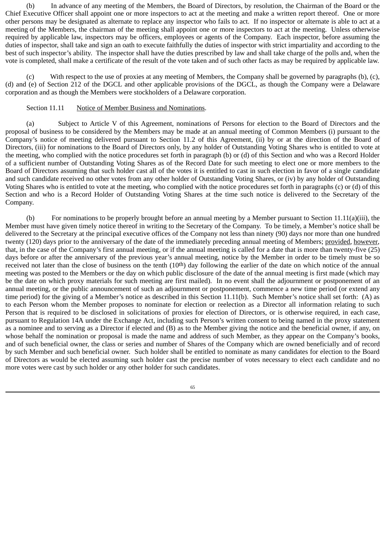(b) In advance of any meeting of the Members, the Board of Directors, by resolution, the Chairman of the Board or the Chief Executive Officer shall appoint one or more inspectors to act at the meeting and make a written report thereof. One or more other persons may be designated as alternate to replace any inspector who fails to act. If no inspector or alternate is able to act at a meeting of the Members, the chairman of the meeting shall appoint one or more inspectors to act at the meeting. Unless otherwise required by applicable law, inspectors may be officers, employees or agents of the Company. Each inspector, before assuming the duties of inspector, shall take and sign an oath to execute faithfully the duties of inspector with strict impartiality and according to the best of such inspector's ability. The inspector shall have the duties prescribed by law and shall take charge of the polls and, when the vote is completed, shall make a certificate of the result of the vote taken and of such other facts as may be required by applicable law.

(c) With respect to the use of proxies at any meeting of Members, the Company shall be governed by paragraphs (b), (c), (d) and (e) of Section 212 of the DGCL and other applicable provisions of the DGCL, as though the Company were a Delaware corporation and as though the Members were stockholders of a Delaware corporation.

#### Section 11.11 Notice of Member Business and Nominations.

(a) Subject to Article V of this Agreement, nominations of Persons for election to the Board of Directors and the proposal of business to be considered by the Members may be made at an annual meeting of Common Members (i) pursuant to the Company's notice of meeting delivered pursuant to Section 11.2 of this Agreement, (ii) by or at the direction of the Board of Directors, (iii) for nominations to the Board of Directors only, by any holder of Outstanding Voting Shares who is entitled to vote at the meeting, who complied with the notice procedures set forth in paragraph (b) or (d) of this Section and who was a Record Holder of a sufficient number of Outstanding Voting Shares as of the Record Date for such meeting to elect one or more members to the Board of Directors assuming that such holder cast all of the votes it is entitled to cast in such election in favor of a single candidate and such candidate received no other votes from any other holder of Outstanding Voting Shares, or (iv) by any holder of Outstanding Voting Shares who is entitled to vote at the meeting, who complied with the notice procedures set forth in paragraphs (c) or (d) of this Section and who is a Record Holder of Outstanding Voting Shares at the time such notice is delivered to the Secretary of the Company.

(b) For nominations to be properly brought before an annual meeting by a Member pursuant to Section 11.11(a)(iii), the Member must have given timely notice thereof in writing to the Secretary of the Company. To be timely, a Member's notice shall be delivered to the Secretary at the principal executive offices of the Company not less than ninety (90) days nor more than one hundred twenty (120) days prior to the anniversary of the date of the immediately preceding annual meeting of Members; provided, however, that, in the case of the Company's first annual meeting, or if the annual meeting is called for a date that is more than twenty-five (25) days before or after the anniversary of the previous year's annual meeting, notice by the Member in order to be timely must be so received not later than the close of business on the tenth (10<sup>th</sup>) day following the earlier of the date on which notice of the annual meeting was posted to the Members or the day on which public disclosure of the date of the annual meeting is first made (which may be the date on which proxy materials for such meeting are first mailed). In no event shall the adjournment or postponement of an annual meeting, or the public announcement of such an adjournment or postponement, commence a new time period (or extend any time period) for the giving of a Member's notice as described in this Section 11.11(b). Such Member's notice shall set forth: (A) as to each Person whom the Member proposes to nominate for election or reelection as a Director all information relating to such Person that is required to be disclosed in solicitations of proxies for election of Directors, or is otherwise required, in each case, pursuant to Regulation 14A under the Exchange Act, including such Person's written consent to being named in the proxy statement as a nominee and to serving as a Director if elected and (B) as to the Member giving the notice and the beneficial owner, if any, on whose behalf the nomination or proposal is made the name and address of such Member, as they appear on the Company's books, and of such beneficial owner, the class or series and number of Shares of the Company which are owned beneficially and of record by such Member and such beneficial owner. Such holder shall be entitled to nominate as many candidates for election to the Board of Directors as would be elected assuming such holder cast the precise number of votes necessary to elect each candidate and no more votes were cast by such holder or any other holder for such candidates.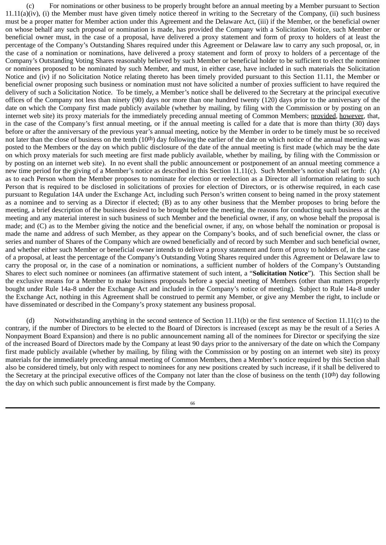(c) For nominations or other business to be properly brought before an annual meeting by a Member pursuant to Section  $11.11(a)(iv)$ , (i) the Member must have given timely notice thereof in writing to the Secretary of the Company, (ii) such business must be a proper matter for Member action under this Agreement and the Delaware Act, (iii) if the Member, or the beneficial owner on whose behalf any such proposal or nomination is made, has provided the Company with a Solicitation Notice, such Member or beneficial owner must, in the case of a proposal, have delivered a proxy statement and form of proxy to holders of at least the percentage of the Company's Outstanding Shares required under this Agreement or Delaware law to carry any such proposal, or, in the case of a nomination or nominations, have delivered a proxy statement and form of proxy to holders of a percentage of the Company's Outstanding Voting Shares reasonably believed by such Member or beneficial holder to be sufficient to elect the nominee or nominees proposed to be nominated by such Member, and must, in either case, have included in such materials the Solicitation Notice and (iv) if no Solicitation Notice relating thereto has been timely provided pursuant to this Section 11.11, the Member or beneficial owner proposing such business or nomination must not have solicited a number of proxies sufficient to have required the delivery of such a Solicitation Notice. To be timely, a Member's notice shall be delivered to the Secretary at the principal executive offices of the Company not less than ninety (90) days nor more than one hundred twenty (120) days prior to the anniversary of the date on which the Company first made publicly available (whether by mailing, by filing with the Commission or by posting on an internet web site) its proxy materials for the immediately preceding annual meeting of Common Members; provided, however, that, in the case of the Company's first annual meeting, or if the annual meeting is called for a date that is more than thirty (30) days before or after the anniversary of the previous year's annual meeting, notice by the Member in order to be timely must be so received not later than the close of business on the tenth  $(10<sup>th</sup>)$  day following the earlier of the date on which notice of the annual meeting was posted to the Members or the day on which public disclosure of the date of the annual meeting is first made (which may be the date on which proxy materials for such meeting are first made publicly available, whether by mailing, by filing with the Commission or by posting on an internet web site). In no event shall the public announcement or postponement of an annual meeting commence a new time period for the giving of a Member's notice as described in this Section 11.11(c). Such Member's notice shall set forth:  $(A)$ as to each Person whom the Member proposes to nominate for election or reelection as a Director all information relating to such Person that is required to be disclosed in solicitations of proxies for election of Directors, or is otherwise required, in each case pursuant to Regulation 14A under the Exchange Act, including such Person's written consent to being named in the proxy statement as a nominee and to serving as a Director if elected; (B) as to any other business that the Member proposes to bring before the meeting, a brief description of the business desired to be brought before the meeting, the reasons for conducting such business at the meeting and any material interest in such business of such Member and the beneficial owner, if any, on whose behalf the proposal is made; and (C) as to the Member giving the notice and the beneficial owner, if any, on whose behalf the nomination or proposal is made the name and address of such Member, as they appear on the Company's books, and of such beneficial owner, the class or series and number of Shares of the Company which are owned beneficially and of record by such Member and such beneficial owner, and whether either such Member or beneficial owner intends to deliver a proxy statement and form of proxy to holders of, in the case of a proposal, at least the percentage of the Company's Outstanding Voting Shares required under this Agreement or Delaware law to carry the proposal or, in the case of a nomination or nominations, a sufficient number of holders of the Company's Outstanding Shares to elect such nominee or nominees (an affirmative statement of such intent, a "**Solicitation Notice**"). This Section shall be the exclusive means for a Member to make business proposals before a special meeting of Members (other than matters properly bought under Rule 14a-8 under the Exchange Act and included in the Company's notice of meeting). Subject to Rule 14a-8 under the Exchange Act, nothing in this Agreement shall be construed to permit any Member, or give any Member the right, to include or have disseminated or described in the Company's proxy statement any business proposal.

(d) Notwithstanding anything in the second sentence of Section 11.11(b) or the first sentence of Section 11.11(c) to the contrary, if the number of Directors to be elected to the Board of Directors is increased (except as may be the result of a Series A Nonpayment Board Expansion) and there is no public announcement naming all of the nominees for Director or specifying the size of the increased Board of Directors made by the Company at least 90 days prior to the anniversary of the date on which the Company first made publicly available (whether by mailing, by filing with the Commission or by posting on an internet web site) its proxy materials for the immediately preceding annual meeting of Common Members, then a Member's notice required by this Section shall also be considered timely, but only with respect to nominees for any new positions created by such increase, if it shall be delivered to the Secretary at the principal executive offices of the Company not later than the close of business on the tenth (10th) day following the day on which such public announcement is first made by the Company.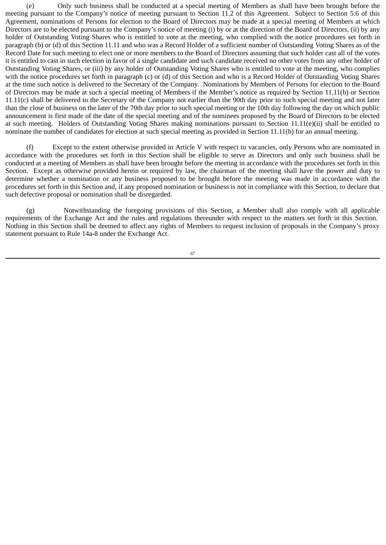(e) Only such business shall be conducted at a special meeting of Members as shall have been brought before the meeting pursuant to the Company's notice of meeting pursuant to Section 11.2 of this Agreement. Subject to Section 5.6 of this Agreement, nominations of Persons for election to the Board of Directors may be made at a special meeting of Members at which Directors are to be elected pursuant to the Company's notice of meeting (i) by or at the direction of the Board of Directors, (ii) by any holder of Outstanding Voting Shares who is entitled to vote at the meeting, who complied with the notice procedures set forth in paragraph (b) or (d) of this Section 11.11 and who was a Record Holder of a sufficient number of Outstanding Voting Shares as of the Record Date for such meeting to elect one or more members to the Board of Directors assuming that such holder cast all of the votes it is entitled to cast in such election in favor of a single candidate and such candidate received no other votes from any other holder of Outstanding Voting Shares, or (iii) by any holder of Outstanding Voting Shares who is entitled to vote at the meeting, who complies with the notice procedures set forth in paragraph (c) or (d) of this Section and who is a Record Holder of Outstanding Voting Shares at the time such notice is delivered to the Secretary of the Company. Nominations by Members of Persons for election to the Board of Directors may be made at such a special meeting of Members if the Member's notice as required by Section 11.11(b) or Section 11.11(c) shall be delivered to the Secretary of the Company not earlier than the 90th day prior to such special meeting and not later than the close of business on the later of the 70th day prior to such special meeting or the 10th day following the day on which public announcement is first made of the date of the special meeting and of the nominees proposed by the Board of Directors to be elected at such meeting. Holders of Outstanding Voting Shares making nominations pursuant to Section 11.11(e)(ii) shall be entitled to nominate the number of candidates for election at such special meeting as provided in Section 11.11(b) for an annual meeting.

(f) Except to the extent otherwise provided in Article V with respect to vacancies, only Persons who are nominated in accordance with the procedures set forth in this Section shall be eligible to serve as Directors and only such business shall be conducted at a meeting of Members as shall have been brought before the meeting in accordance with the procedures set forth in this Section. Except as otherwise provided herein or required by law, the chairman of the meeting shall have the power and duty to determine whether a nomination or any business proposed to be brought before the meeting was made in accordance with the procedures set forth in this Section and, if any proposed nomination or business is not in compliance with this Section, to declare that such defective proposal or nomination shall be disregarded.

(g) Notwithstanding the foregoing provisions of this Section, a Member shall also comply with all applicable requirements of the Exchange Act and the rules and regulations thereunder with respect to the matters set forth in this Section. Nothing in this Section shall be deemed to affect any rights of Members to request inclusion of proposals in the Company's proxy statement pursuant to Rule 14a-8 under the Exchange Act.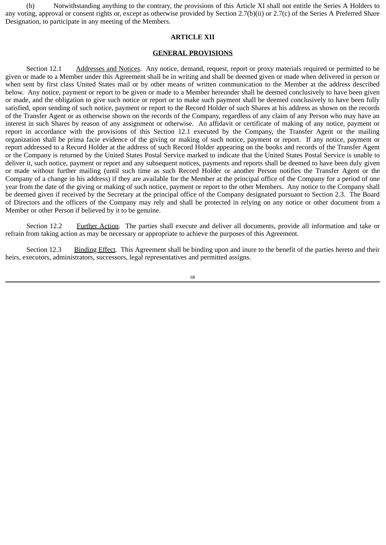(h) Notwithstanding anything to the contrary, the provisions of this Article XI shall not entitle the Series A Holders to any voting, approval or consent rights or, except as otherwise provided by Section 2.7(b)(ii) or 2.7(c) of the Series A Preferred Share Designation, to participate in any meeting of the Members.

#### **ARTICLE XII**

#### **GENERAL PROVISIONS**

Section 12.1 Addresses and Notices. Any notice, demand, request, report or proxy materials required or permitted to be given or made to a Member under this Agreement shall be in writing and shall be deemed given or made when delivered in person or when sent by first class United States mail or by other means of written communication to the Member at the address described below. Any notice, payment or report to be given or made to a Member hereunder shall be deemed conclusively to have been given or made, and the obligation to give such notice or report or to make such payment shall be deemed conclusively to have been fully satisfied, upon sending of such notice, payment or report to the Record Holder of such Shares at his address as shown on the records of the Transfer Agent or as otherwise shown on the records of the Company, regardless of any claim of any Person who may have an interest in such Shares by reason of any assignment or otherwise. An affidavit or certificate of making of any notice, payment or report in accordance with the provisions of this Section 12.1 executed by the Company, the Transfer Agent or the mailing organization shall be prima facie evidence of the giving or making of such notice, payment or report. If any notice, payment or report addressed to a Record Holder at the address of such Record Holder appearing on the books and records of the Transfer Agent or the Company is returned by the United States Postal Service marked to indicate that the United States Postal Service is unable to deliver it, such notice, payment or report and any subsequent notices, payments and reports shall be deemed to have been duly given or made without further mailing (until such time as such Record Holder or another Person notifies the Transfer Agent or the Company of a change in his address) if they are available for the Member at the principal office of the Company for a period of one year from the date of the giving or making of such notice, payment or report to the other Members. Any notice to the Company shall be deemed given if received by the Secretary at the principal office of the Company designated pursuant to Section 2.3. The Board of Directors and the officers of the Company may rely and shall be protected in relying on any notice or other document from a Member or other Person if believed by it to be genuine.

Section 12.2 Further Action. The parties shall execute and deliver all documents, provide all information and take or refrain from taking action as may be necessary or appropriate to achieve the purposes of this Agreement.

Section 12.3 Binding Effect. This Agreement shall be binding upon and inure to the benefit of the parties hereto and their heirs, executors, administrators, successors, legal representatives and permitted assigns.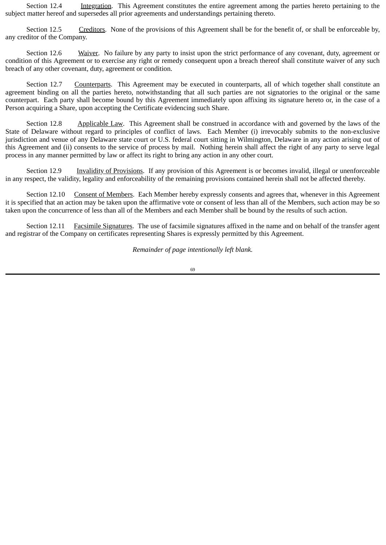Section 12.4 Integration. This Agreement constitutes the entire agreement among the parties hereto pertaining to the subject matter hereof and supersedes all prior agreements and understandings pertaining thereto.

Section 12.5 Creditors. None of the provisions of this Agreement shall be for the benefit of, or shall be enforceable by, any creditor of the Company.

Section 12.6 Waiver. No failure by any party to insist upon the strict performance of any covenant, duty, agreement or condition of this Agreement or to exercise any right or remedy consequent upon a breach thereof shall constitute waiver of any such breach of any other covenant, duty, agreement or condition.

Section 12.7 Counterparts. This Agreement may be executed in counterparts, all of which together shall constitute an agreement binding on all the parties hereto, notwithstanding that all such parties are not signatories to the original or the same counterpart. Each party shall become bound by this Agreement immediately upon affixing its signature hereto or, in the case of a Person acquiring a Share, upon accepting the Certificate evidencing such Share.

Section 12.8 Applicable Law. This Agreement shall be construed in accordance with and governed by the laws of the State of Delaware without regard to principles of conflict of laws. Each Member (i) irrevocably submits to the non-exclusive jurisdiction and venue of any Delaware state court or U.S. federal court sitting in Wilmington, Delaware in any action arising out of this Agreement and (ii) consents to the service of process by mail. Nothing herein shall affect the right of any party to serve legal process in any manner permitted by law or affect its right to bring any action in any other court.

Section 12.9 Invalidity of Provisions. If any provision of this Agreement is or becomes invalid, illegal or unenforceable in any respect, the validity, legality and enforceability of the remaining provisions contained herein shall not be affected thereby.

Section 12.10 Consent of Members. Each Member hereby expressly consents and agrees that, whenever in this Agreement it is specified that an action may be taken upon the affirmative vote or consent of less than all of the Members, such action may be so taken upon the concurrence of less than all of the Members and each Member shall be bound by the results of such action.

Section 12.11 Facsimile Signatures. The use of facsimile signatures affixed in the name and on behalf of the transfer agent and registrar of the Company on certificates representing Shares is expressly permitted by this Agreement.

*Remainder of page intentionally left blank.*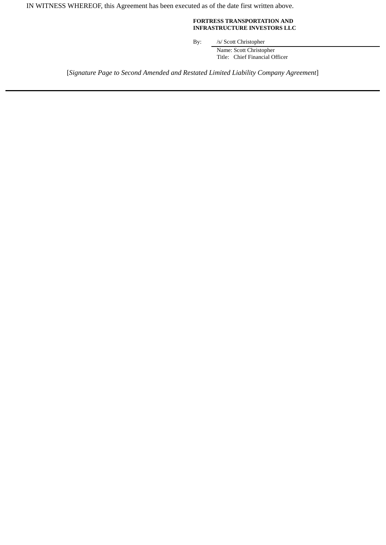IN WITNESS WHEREOF, this Agreement has been executed as of the date first written above.

#### **FORTRESS TRANSPORTATION AND INFRASTRUCTURE INVESTORS LLC**

By: /s/ Scott Christopher

Name: Scott Christopher Title: Chief Financial Officer

[*Signature Page to Second Amended and Restated Limited Liability Company Agreement*]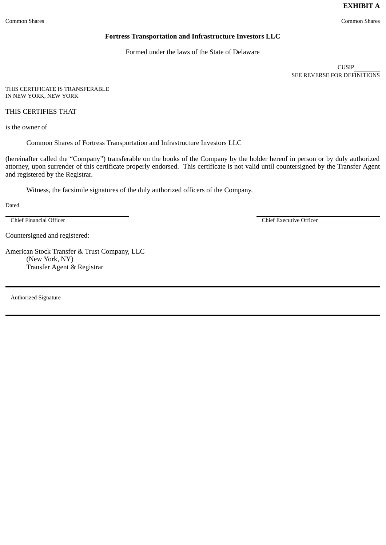# **EXHIBIT A**

#### **Fortress Transportation and Infrastructure Investors LLC**

Formed under the laws of the State of Delaware

CUSIP SEE REVERSE FOR DEFINITIONS

THIS CERTIFICATE IS TRANSFERABLE IN NEW YORK, NEW YORK

THIS CERTIFIES THAT

is the owner of

Common Shares of Fortress Transportation and Infrastructure Investors LLC

(hereinafter called the "Company") transferable on the books of the Company by the holder hereof in person or by duly authorized attorney, upon surrender of this certificate properly endorsed. This certificate is not valid until countersigned by the Transfer Agent and registered by the Registrar.

Witness, the facsimile signatures of the duly authorized officers of the Company.

Dated

Chief Financial Officer Chief Executive Officer

Countersigned and registered:

American Stock Transfer & Trust Company, LLC (New York, NY) Transfer Agent & Registrar

Authorized Signature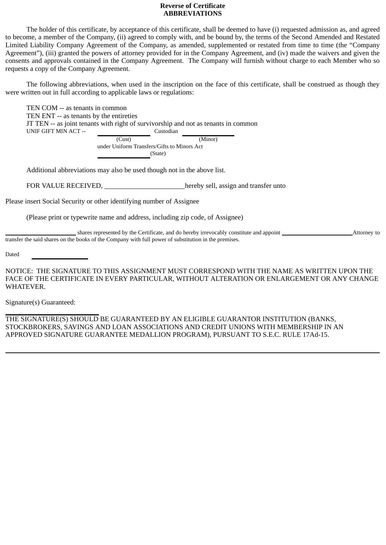### **Reverse of Certificate ABBREVIATIONS**

The holder of this certificate, by acceptance of this certificate, shall be deemed to have (i) requested admission as, and agreed to become, a member of the Company, (ii) agreed to comply with, and be bound by, the terms of the Second Amended and Restated Limited Liability Company Agreement of the Company, as amended, supplemented or restated from time to time (the "Company Agreement"), (iii) granted the powers of attorney provided for in the Company Agreement, and (iv) made the waivers and given the consents and approvals contained in the Company Agreement. The Company will furnish without charge to each Member who so requests a copy of the Company Agreement.

The following abbreviations, when used in the inscription on the face of this certificate, shall be construed as though they were written out in full according to applicable laws or regulations:

TEN COM -- as tenants in common TEN ENT -- as tenants by the entireties JT TEN -- as joint tenants with right of survivorship and not as tenants in common UNIF GIFT MIN ACT -- Custodian

> (Cust) (Minor) under Uniform Transfers/Gifts to Minors Act (State)

Additional abbreviations may also be used though not in the above list.

FOR VALUE RECEIVED, hereby sell, assign and transfer unto

Please insert Social Security or other identifying number of Assignee

(Please print or typewrite name and address, including zip code, of Assignee)

shares represented by the Certificate, and do hereby irrevocably constitute and appoint Attorney to Attorney to transfer the said shares on the books of the Company with full power of substitution in the premises.

Dated

NOTICE: THE SIGNATURE TO THIS ASSIGNMENT MUST CORRESPOND WITH THE NAME AS WRITTEN UPON THE FACE OF THE CERTIFICATE IN EVERY PARTICULAR, WITHOUT ALTERATION OR ENLARGEMENT OR ANY CHANGE WHATEVER.

Signature(s) Guaranteed:

THE SIGNATURE(S) SHOULD BE GUARANTEED BY AN ELIGIBLE GUARANTOR INSTITUTION (BANKS, STOCKBROKERS, SAVINGS AND LOAN ASSOCIATIONS AND CREDIT UNIONS WITH MEMBERSHIP IN AN APPROVED SIGNATURE GUARANTEE MEDALLION PROGRAM), PURSUANT TO S.E.C. RULE 17Ad-15.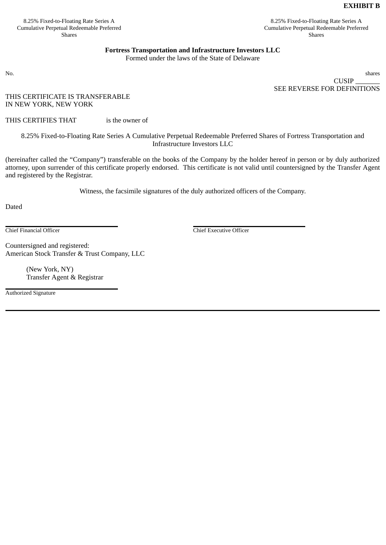# **EXHIBIT B**

8.25% Fixed-to-Floating Rate Series A Cumulative Perpetual Redeemable Preferred Shares

8.25% Fixed-to-Floating Rate Series A Cumulative Perpetual Redeemable Preferred Shares

### **Fortress Transportation and Infrastructure Investors LLC**

Formed under the laws of the State of Delaware

No. shares CUSIP SEE REVERSE FOR DEFINITIONS

THIS CERTIFICATE IS TRANSFERABLE IN NEW YORK, NEW YORK

THIS CERTIFIES THAT is the owner of

8.25% Fixed-to-Floating Rate Series A Cumulative Perpetual Redeemable Preferred Shares of Fortress Transportation and Infrastructure Investors LLC

(hereinafter called the "Company") transferable on the books of the Company by the holder hereof in person or by duly authorized attorney, upon surrender of this certificate properly endorsed. This certificate is not valid until countersigned by the Transfer Agent and registered by the Registrar.

Witness, the facsimile signatures of the duly authorized officers of the Company.

Dated

Chief Financial Officer Chief Executive Officer

Countersigned and registered: American Stock Transfer & Trust Company, LLC

> (New York, NY) Transfer Agent & Registrar

Authorized Signature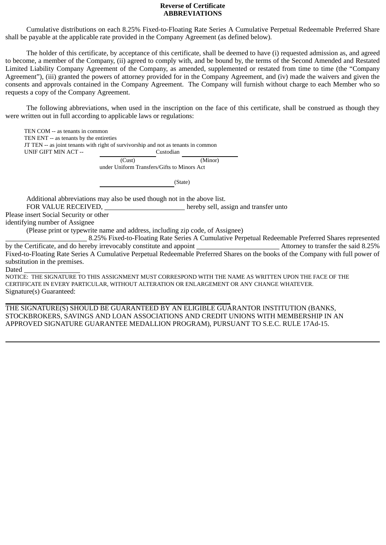### **Reverse of Certificate ABBREVIATIONS**

Cumulative distributions on each 8.25% Fixed-to-Floating Rate Series A Cumulative Perpetual Redeemable Preferred Share shall be payable at the applicable rate provided in the Company Agreement (as defined below).

The holder of this certificate, by acceptance of this certificate, shall be deemed to have (i) requested admission as, and agreed to become, a member of the Company, (ii) agreed to comply with, and be bound by, the terms of the Second Amended and Restated Limited Liability Company Agreement of the Company, as amended, supplemented or restated from time to time (the "Company Agreement"), (iii) granted the powers of attorney provided for in the Company Agreement, and (iv) made the waivers and given the consents and approvals contained in the Company Agreement. The Company will furnish without charge to each Member who so requests a copy of the Company Agreement.

The following abbreviations, when used in the inscription on the face of this certificate, shall be construed as though they were written out in full according to applicable laws or regulations:

TEN COM -- as tenants in common TEN ENT -- as tenants by the entireties JT TEN -- as joint tenants with right of survivorship and not as tenants in common UNIF GIFT MIN ACT -- Custodian

(Cust) (Minor) under Uniform Transfers/Gifts to Minors Act

(State)

Additional abbreviations may also be used though not in the above list.

FOR VALUE RECEIVED, hereby sell, assign and transfer unto

Please insert Social Security or other

identifying number of Assignee

(Please print or typewrite name and address, including zip code, of Assignee)

8.25% Fixed-to-Floating Rate Series A Cumulative Perpetual Redeemable Preferred Shares represented by the Certificate, and do hereby irrevocably constitute and appoint **Attorney to transfer the said 8.25%** Fixed-to-Floating Rate Series A Cumulative Perpetual Redeemable Preferred Shares on the books of the Company with full power of substitution in the premises.

**Dated** 

NOTICE: THE SIGNATURE TO THIS ASSIGNMENT MUST CORRESPOND WITH THE NAME AS WRITTEN UPON THE FACE OF THE CERTIFICATE IN EVERY PARTICULAR, WITHOUT ALTERATION OR ENLARGEMENT OR ANY CHANGE WHATEVER. Signature(s) Guaranteed:

THE SIGNATURE(S) SHOULD BE GUARANTEED BY AN ELIGIBLE GUARANTOR INSTITUTION (BANKS, STOCKBROKERS, SAVINGS AND LOAN ASSOCIATIONS AND CREDIT UNIONS WITH MEMBERSHIP IN AN APPROVED SIGNATURE GUARANTEE MEDALLION PROGRAM), PURSUANT TO S.E.C. RULE 17Ad-15.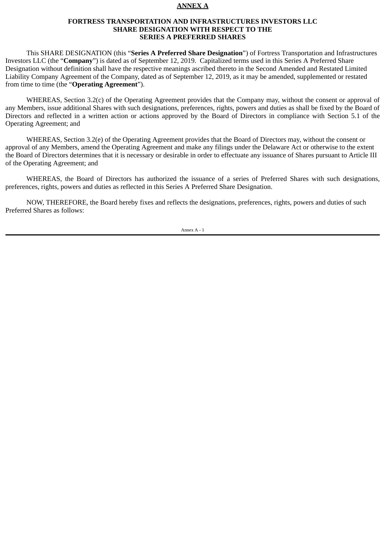#### **ANNEX A**

#### **FORTRESS TRANSPORTATION AND INFRASTRUCTURES INVESTORS LLC SHARE DESIGNATION WITH RESPECT TO THE SERIES A PREFERRED SHARES**

This SHARE DESIGNATION (this "**Series A Preferred Share Designation**") of Fortress Transportation and Infrastructures Investors LLC (the "**Company**") is dated as of September 12, 2019. Capitalized terms used in this Series A Preferred Share Designation without definition shall have the respective meanings ascribed thereto in the Second Amended and Restated Limited Liability Company Agreement of the Company, dated as of September 12, 2019, as it may be amended, supplemented or restated from time to time (the "**Operating Agreement**").

WHEREAS, Section 3.2(c) of the Operating Agreement provides that the Company may, without the consent or approval of any Members, issue additional Shares with such designations, preferences, rights, powers and duties as shall be fixed by the Board of Directors and reflected in a written action or actions approved by the Board of Directors in compliance with Section 5.1 of the Operating Agreement; and

WHEREAS, Section 3.2(e) of the Operating Agreement provides that the Board of Directors may, without the consent or approval of any Members, amend the Operating Agreement and make any filings under the Delaware Act or otherwise to the extent the Board of Directors determines that it is necessary or desirable in order to effectuate any issuance of Shares pursuant to Article III of the Operating Agreement; and

WHEREAS, the Board of Directors has authorized the issuance of a series of Preferred Shares with such designations, preferences, rights, powers and duties as reflected in this Series A Preferred Share Designation.

NOW, THEREFORE, the Board hereby fixes and reflects the designations, preferences, rights, powers and duties of such Preferred Shares as follows: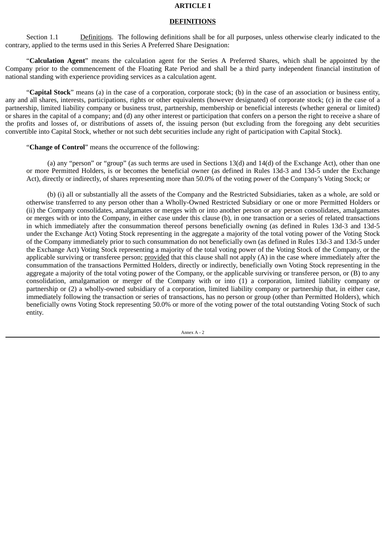### **ARTICLE I**

### **DEFINITIONS**

Section 1.1 Definitions. The following definitions shall be for all purposes, unless otherwise clearly indicated to the contrary, applied to the terms used in this Series A Preferred Share Designation:

"**Calculation Agent**" means the calculation agent for the Series A Preferred Shares, which shall be appointed by the Company prior to the commencement of the Floating Rate Period and shall be a third party independent financial institution of national standing with experience providing services as a calculation agent.

"**Capital Stock**" means (a) in the case of a corporation, corporate stock; (b) in the case of an association or business entity, any and all shares, interests, participations, rights or other equivalents (however designated) of corporate stock; (c) in the case of a partnership, limited liability company or business trust, partnership, membership or beneficial interests (whether general or limited) or shares in the capital of a company; and (d) any other interest or participation that confers on a person the right to receive a share of the profits and losses of, or distributions of assets of, the issuing person (but excluding from the foregoing any debt securities convertible into Capital Stock, whether or not such debt securities include any right of participation with Capital Stock).

"**Change of Control**" means the occurrence of the following:

(a) any "person" or "group" (as such terms are used in Sections 13(d) and 14(d) of the Exchange Act), other than one or more Permitted Holders, is or becomes the beneficial owner (as defined in Rules 13d-3 and 13d-5 under the Exchange Act), directly or indirectly, of shares representing more than 50.0% of the voting power of the Company's Voting Stock; or

(b) (i) all or substantially all the assets of the Company and the Restricted Subsidiaries, taken as a whole, are sold or otherwise transferred to any person other than a Wholly-Owned Restricted Subsidiary or one or more Permitted Holders or (ii) the Company consolidates, amalgamates or merges with or into another person or any person consolidates, amalgamates or merges with or into the Company, in either case under this clause (b), in one transaction or a series of related transactions in which immediately after the consummation thereof persons beneficially owning (as defined in Rules 13d-3 and 13d-5 under the Exchange Act) Voting Stock representing in the aggregate a majority of the total voting power of the Voting Stock of the Company immediately prior to such consummation do not beneficially own (as defined in Rules 13d-3 and 13d-5 under the Exchange Act) Voting Stock representing a majority of the total voting power of the Voting Stock of the Company, or the applicable surviving or transferee person; provided that this clause shall not apply  $(A)$  in the case where immediately after the consummation of the transactions Permitted Holders, directly or indirectly, beneficially own Voting Stock representing in the aggregate a majority of the total voting power of the Company, or the applicable surviving or transferee person, or (B) to any consolidation, amalgamation or merger of the Company with or into (1) a corporation, limited liability company or partnership or (2) a wholly-owned subsidiary of a corporation, limited liability company or partnership that, in either case, immediately following the transaction or series of transactions, has no person or group (other than Permitted Holders), which beneficially owns Voting Stock representing 50.0% or more of the voting power of the total outstanding Voting Stock of such entity.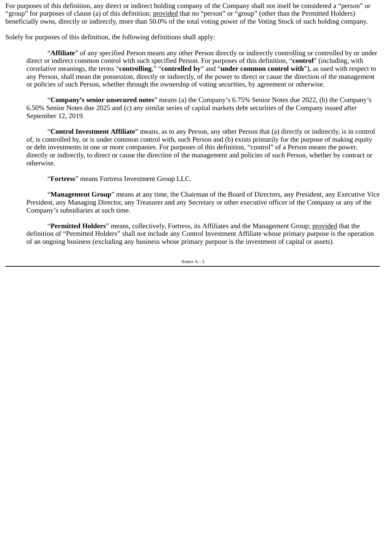For purposes of this definition, any direct or indirect holding company of the Company shall not itself be considered a "person" or "group" for purposes of clause (a) of this definition; provided that no "person" or "group" (other than the Permitted Holders) beneficially owns, directly or indirectly, more than 50.0% of the total voting power of the Voting Stock of such holding company.

Solely for purposes of this definition, the following definitions shall apply:

"**Affiliate**" of any specified Person means any other Person directly or indirectly controlling or controlled by or under direct or indirect common control with such specified Person. For purposes of this definition, "**control**" (including, with correlative meanings, the terms "**controlling**," "**controlled by**" and "**under common control with**"), as used with respect to any Person, shall mean the possession, directly or indirectly, of the power to direct or cause the direction of the management or policies of such Person, whether through the ownership of voting securities, by agreement or otherwise.

"**Company's senior unsecured notes**" means (a) the Company's 6.75% Senior Notes due 2022, (b) the Company's 6.50% Senior Notes due 2025 and (c) any similar series of capital markets debt securities of the Company issued after September 12, 2019.

"**Control Investment Affiliate**" means, as to any Person, any other Person that (a) directly or indirectly, is in control of, is controlled by, or is under common control with, such Person and (b) exists primarily for the purpose of making equity or debt investments in one or more companies. For purposes of this definition, "control" of a Person means the power, directly or indirectly, to direct or cause the direction of the management and policies of such Person, whether by contract or otherwise.

"**Fortress**" means Fortress Investment Group LLC.

"**Management Group**" means at any time, the Chairman of the Board of Directors, any President, any Executive Vice President, any Managing Director, any Treasurer and any Secretary or other executive officer of the Company or any of the Company's subsidiaries at such time.

"**Permitted Holders**" means, collectively, Fortress, its Affiliates and the Management Group; provided that the definition of "Permitted Holders" shall not include any Control Investment Affiliate whose primary purpose is the operation of an ongoing business (excluding any business whose primary purpose is the investment of capital or assets).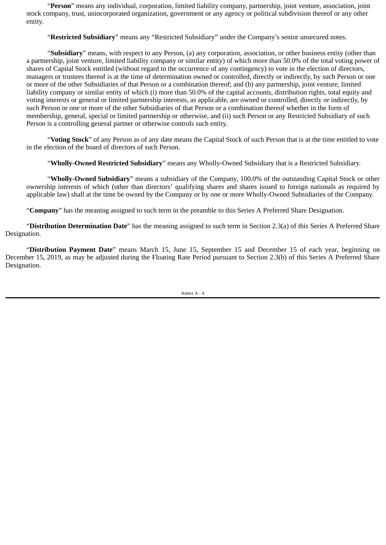"**Person**" means any individual, corporation, limited liability company, partnership, joint venture, association, joint stock company, trust, unincorporated organization, government or any agency or political subdivision thereof or any other entity.

"**Restricted Subsidiary**" means any "Restricted Subsidiary" under the Company's senior unsecured notes.

"**Subsidiary**" means, with respect to any Person, (a) any corporation, association, or other business entity (other than a partnership, joint venture, limited liability company or similar entity) of which more than 50.0% of the total voting power of shares of Capital Stock entitled (without regard to the occurrence of any contingency) to vote in the election of directors, managers or trustees thereof is at the time of determination owned or controlled, directly or indirectly, by such Person or one or more of the other Subsidiaries of that Person or a combination thereof; and (b) any partnership, joint venture, limited liability company or similar entity of which (i) more than 50.0% of the capital accounts, distribution rights, total equity and voting interests or general or limited partnership interests, as applicable, are owned or controlled, directly or indirectly, by such Person or one or more of the other Subsidiaries of that Person or a combination thereof whether in the form of membership, general, special or limited partnership or otherwise, and (ii) such Person or any Restricted Subsidiary of such Person is a controlling general partner or otherwise controls such entity.

"**Voting Stock**" of any Person as of any date means the Capital Stock of such Person that is at the time entitled to vote in the election of the board of directors of such Person.

"**Wholly-Owned Restricted Subsidiary**" means any Wholly-Owned Subsidiary that is a Restricted Subsidiary.

"**Wholly-Owned Subsidiary**" means a subsidiary of the Company, 100.0% of the outstanding Capital Stock or other ownership interests of which (other than directors' qualifying shares and shares issued to foreign nationals as required by applicable law) shall at the time be owned by the Company or by one or more Wholly-Owned Subsidiaries of the Company.

"**Company**" has the meaning assigned to such term in the preamble to this Series A Preferred Share Designation.

"**Distribution Determination Date**" has the meaning assigned to such term in Section 2.3(a) of this Series A Preferred Share Designation.

"**Distribution Payment Date**" means March 15, June 15, September 15 and December 15 of each year, beginning on December 15, 2019, as may be adjusted during the Floating Rate Period pursuant to Section 2.3(b) of this Series A Preferred Share Designation.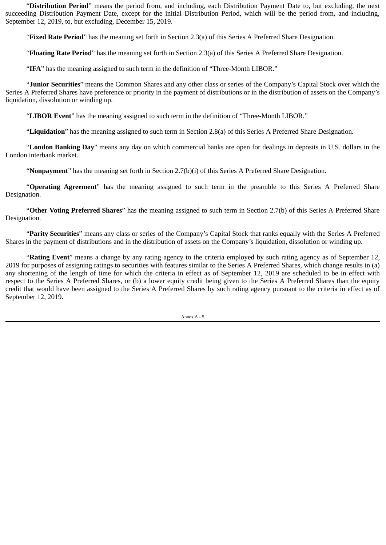"**Distribution Period**" means the period from, and including, each Distribution Payment Date to, but excluding, the next succeeding Distribution Payment Date, except for the initial Distribution Period, which will be the period from, and including, September 12, 2019, to, but excluding, December 15, 2019.

"**Fixed Rate Period**" has the meaning set forth in Section 2.3(a) of this Series A Preferred Share Designation.

"**Floating Rate Period**" has the meaning set forth in Section 2.3(a) of this Series A Preferred Share Designation.

"**IFA**" has the meaning assigned to such term in the definition of "Three-Month LIBOR."

"**Junior Securities**" means the Common Shares and any other class or series of the Company's Capital Stock over which the Series A Preferred Shares have preference or priority in the payment of distributions or in the distribution of assets on the Company's liquidation, dissolution or winding up.

"**LIBOR Event**" has the meaning assigned to such term in the definition of "Three-Month LIBOR."

"**Liquidation**" has the meaning assigned to such term in Section 2.8(a) of this Series A Preferred Share Designation.

"**London Banking Day**" means any day on which commercial banks are open for dealings in deposits in U.S. dollars in the London interbank market.

"**Nonpayment**" has the meaning set forth in Section 2.7(b)(i) of this Series A Preferred Share Designation.

"**Operating Agreement**" has the meaning assigned to such term in the preamble to this Series A Preferred Share Designation.

"**Other Voting Preferred Shares**" has the meaning assigned to such term in Section 2.7(b) of this Series A Preferred Share Designation.

"**Parity Securities**" means any class or series of the Company's Capital Stock that ranks equally with the Series A Preferred Shares in the payment of distributions and in the distribution of assets on the Company's liquidation, dissolution or winding up.

"**Rating Event**" means a change by any rating agency to the criteria employed by such rating agency as of September 12, 2019 for purposes of assigning ratings to securities with features similar to the Series A Preferred Shares, which change results in (a) any shortening of the length of time for which the criteria in effect as of September 12, 2019 are scheduled to be in effect with respect to the Series A Preferred Shares, or (b) a lower equity credit being given to the Series A Preferred Shares than the equity credit that would have been assigned to the Series A Preferred Shares by such rating agency pursuant to the criteria in effect as of September 12, 2019.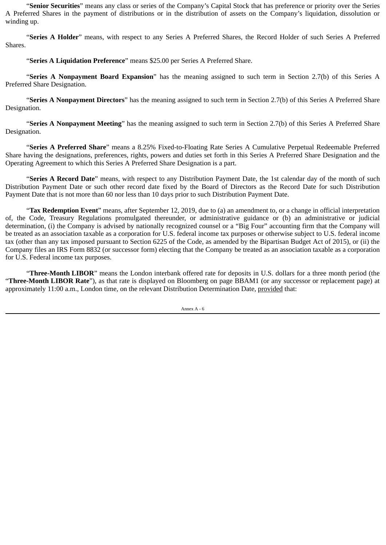"**Senior Securities**" means any class or series of the Company's Capital Stock that has preference or priority over the Series A Preferred Shares in the payment of distributions or in the distribution of assets on the Company's liquidation, dissolution or winding up.

"**Series A Holder**" means, with respect to any Series A Preferred Shares, the Record Holder of such Series A Preferred Shares.

"**Series A Liquidation Preference**" means \$25.00 per Series A Preferred Share.

"**Series A Nonpayment Board Expansion**" has the meaning assigned to such term in Section 2.7(b) of this Series A Preferred Share Designation.

"**Series A Nonpayment Directors**" has the meaning assigned to such term in Section 2.7(b) of this Series A Preferred Share Designation.

"**Series A Nonpayment Meeting**" has the meaning assigned to such term in Section 2.7(b) of this Series A Preferred Share Designation.

"**Series A Preferred Share**" means a 8.25% Fixed-to-Floating Rate Series A Cumulative Perpetual Redeemable Preferred Share having the designations, preferences, rights, powers and duties set forth in this Series A Preferred Share Designation and the Operating Agreement to which this Series A Preferred Share Designation is a part.

"**Series A Record Date**" means, with respect to any Distribution Payment Date, the 1st calendar day of the month of such Distribution Payment Date or such other record date fixed by the Board of Directors as the Record Date for such Distribution Payment Date that is not more than 60 nor less than 10 days prior to such Distribution Payment Date.

"**Tax Redemption Event**" means, after September 12, 2019, due to (a) an amendment to, or a change in official interpretation of, the Code, Treasury Regulations promulgated thereunder, or administrative guidance or (b) an administrative or judicial determination, (i) the Company is advised by nationally recognized counsel or a "Big Four" accounting firm that the Company will be treated as an association taxable as a corporation for U.S. federal income tax purposes or otherwise subject to U.S. federal income tax (other than any tax imposed pursuant to Section 6225 of the Code, as amended by the Bipartisan Budget Act of 2015), or (ii) the Company files an IRS Form 8832 (or successor form) electing that the Company be treated as an association taxable as a corporation for U.S. Federal income tax purposes.

"**Three-Month LIBOR**" means the London interbank offered rate for deposits in U.S. dollars for a three month period (the "**Three-Month LIBOR Rate**"), as that rate is displayed on Bloomberg on page BBAM1 (or any successor or replacement page) at approximately 11:00 a.m., London time, on the relevant Distribution Determination Date, provided that: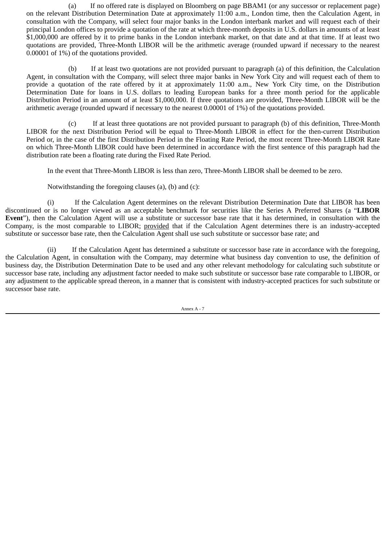(a) If no offered rate is displayed on Bloomberg on page BBAM1 (or any successor or replacement page) on the relevant Distribution Determination Date at approximately 11:00 a.m., London time, then the Calculation Agent, in consultation with the Company, will select four major banks in the London interbank market and will request each of their principal London offices to provide a quotation of the rate at which three-month deposits in U.S. dollars in amounts of at least \$1,000,000 are offered by it to prime banks in the London interbank market, on that date and at that time. If at least two quotations are provided, Three-Month LIBOR will be the arithmetic average (rounded upward if necessary to the nearest 0.00001 of 1%) of the quotations provided.

(b) If at least two quotations are not provided pursuant to paragraph (a) of this definition, the Calculation Agent, in consultation with the Company, will select three major banks in New York City and will request each of them to provide a quotation of the rate offered by it at approximately 11:00 a.m., New York City time, on the Distribution Determination Date for loans in U.S. dollars to leading European banks for a three month period for the applicable Distribution Period in an amount of at least \$1,000,000. If three quotations are provided, Three-Month LIBOR will be the arithmetic average (rounded upward if necessary to the nearest 0.00001 of 1%) of the quotations provided.

(c) If at least three quotations are not provided pursuant to paragraph (b) of this definition, Three-Month LIBOR for the next Distribution Period will be equal to Three-Month LIBOR in effect for the then-current Distribution Period or, in the case of the first Distribution Period in the Floating Rate Period, the most recent Three-Month LIBOR Rate on which Three-Month LIBOR could have been determined in accordance with the first sentence of this paragraph had the distribution rate been a floating rate during the Fixed Rate Period.

In the event that Three-Month LIBOR is less than zero, Three-Month LIBOR shall be deemed to be zero.

Notwithstanding the foregoing clauses (a), (b) and (c):

(i) If the Calculation Agent determines on the relevant Distribution Determination Date that LIBOR has been discontinued or is no longer viewed as an acceptable benchmark for securities like the Series A Preferred Shares (a "**LIBOR Event**"), then the Calculation Agent will use a substitute or successor base rate that it has determined, in consultation with the Company, is the most comparable to LIBOR; provided that if the Calculation Agent determines there is an industry-accepted substitute or successor base rate, then the Calculation Agent shall use such substitute or successor base rate; and

(ii) If the Calculation Agent has determined a substitute or successor base rate in accordance with the foregoing, the Calculation Agent, in consultation with the Company, may determine what business day convention to use, the definition of business day, the Distribution Determination Date to be used and any other relevant methodology for calculating such substitute or successor base rate, including any adjustment factor needed to make such substitute or successor base rate comparable to LIBOR, or any adjustment to the applicable spread thereon, in a manner that is consistent with industry-accepted practices for such substitute or successor base rate.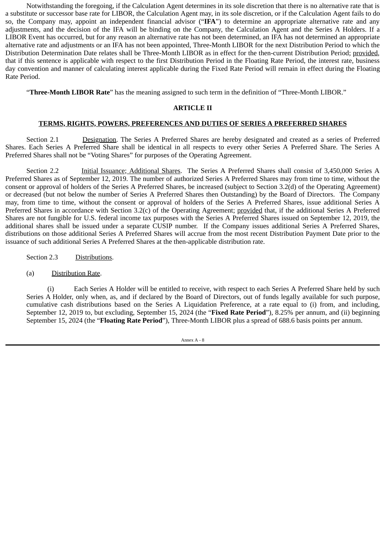Notwithstanding the foregoing, if the Calculation Agent determines in its sole discretion that there is no alternative rate that is a substitute or successor base rate for LIBOR, the Calculation Agent may, in its sole discretion, or if the Calculation Agent fails to do so, the Company may, appoint an independent financial advisor ("**IFA**") to determine an appropriate alternative rate and any adjustments, and the decision of the IFA will be binding on the Company, the Calculation Agent and the Series A Holders. If a LIBOR Event has occurred, but for any reason an alternative rate has not been determined, an IFA has not determined an appropriate alternative rate and adjustments or an IFA has not been appointed, Three-Month LIBOR for the next Distribution Period to which the Distribution Determination Date relates shall be Three-Month LIBOR as in effect for the then-current Distribution Period; provided, that if this sentence is applicable with respect to the first Distribution Period in the Floating Rate Period, the interest rate, business day convention and manner of calculating interest applicable during the Fixed Rate Period will remain in effect during the Floating Rate Period.

"**Three-Month LIBOR Rate**" has the meaning assigned to such term in the definition of "Three-Month LIBOR."

### **ARTICLE II**

### **TERMS, RIGHTS, POWERS, PREFERENCES AND DUTIES OF SERIES A PREFERRED SHARES**

Section 2.1 Designation. The Series A Preferred Shares are hereby designated and created as a series of Preferred Shares. Each Series A Preferred Share shall be identical in all respects to every other Series A Preferred Share. The Series A Preferred Shares shall not be "Voting Shares" for purposes of the Operating Agreement.

Section 2.2 Initial Issuance; Additional Shares. The Series A Preferred Shares shall consist of 3,450,000 Series A Preferred Shares as of September 12, 2019. The number of authorized Series A Preferred Shares may from time to time, without the consent or approval of holders of the Series A Preferred Shares, be increased (subject to Section 3.2(d) of the Operating Agreement) or decreased (but not below the number of Series A Preferred Shares then Outstanding) by the Board of Directors. The Company may, from time to time, without the consent or approval of holders of the Series A Preferred Shares, issue additional Series A Preferred Shares in accordance with Section 3.2(c) of the Operating Agreement; provided that, if the additional Series A Preferred Shares are not fungible for U.S. federal income tax purposes with the Series A Preferred Shares issued on September 12, 2019, the additional shares shall be issued under a separate CUSIP number. If the Company issues additional Series A Preferred Shares, distributions on those additional Series A Preferred Shares will accrue from the most recent Distribution Payment Date prior to the issuance of such additional Series A Preferred Shares at the then-applicable distribution rate.

Section 2.3 Distributions.

(a) Distribution Rate.

(i) Each Series A Holder will be entitled to receive, with respect to each Series A Preferred Share held by such Series A Holder, only when, as, and if declared by the Board of Directors, out of funds legally available for such purpose, cumulative cash distributions based on the Series A Liquidation Preference, at a rate equal to (i) from, and including, September 12, 2019 to, but excluding, September 15, 2024 (the "**Fixed Rate Period**"), 8.25% per annum, and (ii) beginning September 15, 2024 (the "**Floating Rate Period**"), Three-Month LIBOR plus a spread of 688.6 basis points per annum.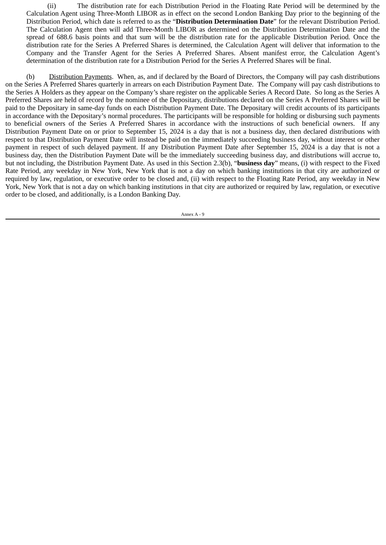(ii) The distribution rate for each Distribution Period in the Floating Rate Period will be determined by the Calculation Agent using Three-Month LIBOR as in effect on the second London Banking Day prior to the beginning of the Distribution Period, which date is referred to as the "**Distribution Determination Date**" for the relevant Distribution Period. The Calculation Agent then will add Three-Month LIBOR as determined on the Distribution Determination Date and the spread of 688.6 basis points and that sum will be the distribution rate for the applicable Distribution Period. Once the distribution rate for the Series A Preferred Shares is determined, the Calculation Agent will deliver that information to the Company and the Transfer Agent for the Series A Preferred Shares. Absent manifest error, the Calculation Agent's determination of the distribution rate for a Distribution Period for the Series A Preferred Shares will be final.

(b) Distribution Payments. When, as, and if declared by the Board of Directors, the Company will pay cash distributions on the Series A Preferred Shares quarterly in arrears on each Distribution Payment Date. The Company will pay cash distributions to the Series A Holders as they appear on the Company's share register on the applicable Series A Record Date. So long as the Series A Preferred Shares are held of record by the nominee of the Depositary, distributions declared on the Series A Preferred Shares will be paid to the Depositary in same-day funds on each Distribution Payment Date. The Depositary will credit accounts of its participants in accordance with the Depositary's normal procedures. The participants will be responsible for holding or disbursing such payments to beneficial owners of the Series A Preferred Shares in accordance with the instructions of such beneficial owners. If any Distribution Payment Date on or prior to September 15, 2024 is a day that is not a business day, then declared distributions with respect to that Distribution Payment Date will instead be paid on the immediately succeeding business day, without interest or other payment in respect of such delayed payment. If any Distribution Payment Date after September 15, 2024 is a day that is not a business day, then the Distribution Payment Date will be the immediately succeeding business day, and distributions will accrue to, but not including, the Distribution Payment Date. As used in this Section 2.3(b), "**business day**" means, (i) with respect to the Fixed Rate Period, any weekday in New York, New York that is not a day on which banking institutions in that city are authorized or required by law, regulation, or executive order to be closed and, (ii) with respect to the Floating Rate Period, any weekday in New York, New York that is not a day on which banking institutions in that city are authorized or required by law, regulation, or executive order to be closed, and additionally, is a London Banking Day.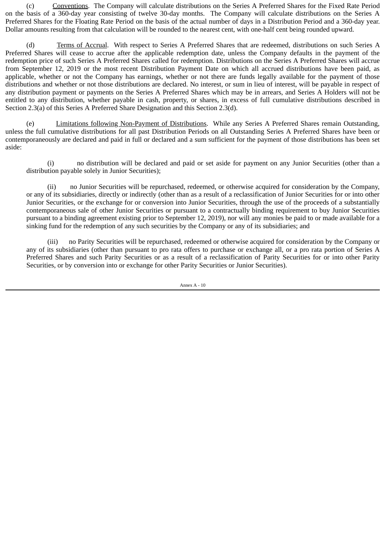(c) Conventions. The Company will calculate distributions on the Series A Preferred Shares for the Fixed Rate Period on the basis of a 360-day year consisting of twelve 30-day months. The Company will calculate distributions on the Series A Preferred Shares for the Floating Rate Period on the basis of the actual number of days in a Distribution Period and a 360-day year. Dollar amounts resulting from that calculation will be rounded to the nearest cent, with one-half cent being rounded upward.

(d) Terms of Accrual. With respect to Series A Preferred Shares that are redeemed, distributions on such Series A Preferred Shares will cease to accrue after the applicable redemption date, unless the Company defaults in the payment of the redemption price of such Series A Preferred Shares called for redemption. Distributions on the Series A Preferred Shares will accrue from September 12, 2019 or the most recent Distribution Payment Date on which all accrued distributions have been paid, as applicable, whether or not the Company has earnings, whether or not there are funds legally available for the payment of those distributions and whether or not those distributions are declared. No interest, or sum in lieu of interest, will be payable in respect of any distribution payment or payments on the Series A Preferred Shares which may be in arrears, and Series A Holders will not be entitled to any distribution, whether payable in cash, property, or shares, in excess of full cumulative distributions described in Section 2.3(a) of this Series A Preferred Share Designation and this Section 2.3(d).

(e) Limitations following Non-Payment of Distributions. While any Series A Preferred Shares remain Outstanding, unless the full cumulative distributions for all past Distribution Periods on all Outstanding Series A Preferred Shares have been or contemporaneously are declared and paid in full or declared and a sum sufficient for the payment of those distributions has been set aside:

(i) no distribution will be declared and paid or set aside for payment on any Junior Securities (other than a distribution payable solely in Junior Securities);

(ii) no Junior Securities will be repurchased, redeemed, or otherwise acquired for consideration by the Company, or any of its subsidiaries, directly or indirectly (other than as a result of a reclassification of Junior Securities for or into other Junior Securities, or the exchange for or conversion into Junior Securities, through the use of the proceeds of a substantially contemporaneous sale of other Junior Securities or pursuant to a contractually binding requirement to buy Junior Securities pursuant to a binding agreement existing prior to September 12, 2019), nor will any monies be paid to or made available for a sinking fund for the redemption of any such securities by the Company or any of its subsidiaries; and

(iii) no Parity Securities will be repurchased, redeemed or otherwise acquired for consideration by the Company or any of its subsidiaries (other than pursuant to pro rata offers to purchase or exchange all, or a pro rata portion of Series A Preferred Shares and such Parity Securities or as a result of a reclassification of Parity Securities for or into other Parity Securities, or by conversion into or exchange for other Parity Securities or Junior Securities).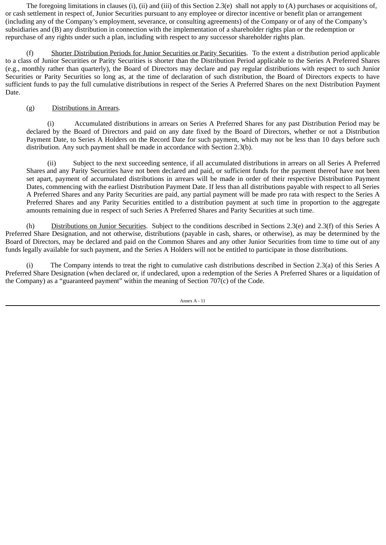The foregoing limitations in clauses (i), (ii) and (iii) of this Section 2.3(e) shall not apply to (A) purchases or acquisitions of, or cash settlement in respect of, Junior Securities pursuant to any employee or director incentive or benefit plan or arrangement (including any of the Company's employment, severance, or consulting agreements) of the Company or of any of the Company's subsidiaries and (B) any distribution in connection with the implementation of a shareholder rights plan or the redemption or repurchase of any rights under such a plan, including with respect to any successor shareholder rights plan.

(f) Shorter Distribution Periods for Junior Securities or Parity Securities. To the extent a distribution period applicable to a class of Junior Securities or Parity Securities is shorter than the Distribution Period applicable to the Series A Preferred Shares (e.g., monthly rather than quarterly), the Board of Directors may declare and pay regular distributions with respect to such Junior Securities or Parity Securities so long as, at the time of declaration of such distribution, the Board of Directors expects to have sufficient funds to pay the full cumulative distributions in respect of the Series A Preferred Shares on the next Distribution Payment Date.

# (g) Distributions in Arrears.

(i) Accumulated distributions in arrears on Series A Preferred Shares for any past Distribution Period may be declared by the Board of Directors and paid on any date fixed by the Board of Directors, whether or not a Distribution Payment Date, to Series A Holders on the Record Date for such payment, which may not be less than 10 days before such distribution. Any such payment shall be made in accordance with Section 2.3(b).

(ii) Subject to the next succeeding sentence, if all accumulated distributions in arrears on all Series A Preferred Shares and any Parity Securities have not been declared and paid, or sufficient funds for the payment thereof have not been set apart, payment of accumulated distributions in arrears will be made in order of their respective Distribution Payment Dates, commencing with the earliest Distribution Payment Date. If less than all distributions payable with respect to all Series A Preferred Shares and any Parity Securities are paid, any partial payment will be made pro rata with respect to the Series A Preferred Shares and any Parity Securities entitled to a distribution payment at such time in proportion to the aggregate amounts remaining due in respect of such Series A Preferred Shares and Parity Securities at such time.

(h) Distributions on Junior Securities. Subject to the conditions described in Sections 2.3(e) and 2.3(f) of this Series A Preferred Share Designation, and not otherwise, distributions (payable in cash, shares, or otherwise), as may be determined by the Board of Directors, may be declared and paid on the Common Shares and any other Junior Securities from time to time out of any funds legally available for such payment, and the Series A Holders will not be entitled to participate in those distributions.

(i) The Company intends to treat the right to cumulative cash distributions described in Section 2.3(a) of this Series A Preferred Share Designation (when declared or, if undeclared, upon a redemption of the Series A Preferred Shares or a liquidation of the Company) as a "guaranteed payment" within the meaning of Section 707(c) of the Code.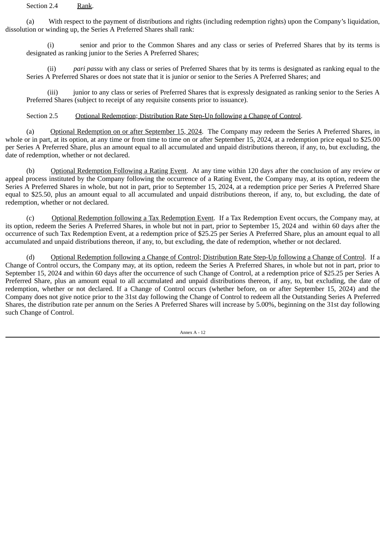Section 2.4 Rank.

(a) With respect to the payment of distributions and rights (including redemption rights) upon the Company's liquidation, dissolution or winding up, the Series A Preferred Shares shall rank:

(i) senior and prior to the Common Shares and any class or series of Preferred Shares that by its terms is designated as ranking junior to the Series A Preferred Shares;

(ii) *pari passu* with any class or series of Preferred Shares that by its terms is designated as ranking equal to the Series A Preferred Shares or does not state that it is junior or senior to the Series A Preferred Shares; and

(iii) junior to any class or series of Preferred Shares that is expressly designated as ranking senior to the Series A Preferred Shares (subject to receipt of any requisite consents prior to issuance).

Section 2.5 Optional Redemption; Distribution Rate Step-Up following a Change of Control.

(a) Optional Redemption on or after September 15, 2024. The Company may redeem the Series A Preferred Shares, in whole or in part, at its option, at any time or from time to time on or after September 15, 2024, at a redemption price equal to \$25.00 per Series A Preferred Share, plus an amount equal to all accumulated and unpaid distributions thereon, if any, to, but excluding, the date of redemption, whether or not declared.

(b) Optional Redemption Following a Rating Event. At any time within 120 days after the conclusion of any review or appeal process instituted by the Company following the occurrence of a Rating Event, the Company may, at its option, redeem the Series A Preferred Shares in whole, but not in part, prior to September 15, 2024, at a redemption price per Series A Preferred Share equal to \$25.50, plus an amount equal to all accumulated and unpaid distributions thereon, if any, to, but excluding, the date of redemption, whether or not declared.

(c) Optional Redemption following a Tax Redemption Event. If a Tax Redemption Event occurs, the Company may, at its option, redeem the Series A Preferred Shares, in whole but not in part, prior to September 15, 2024 and within 60 days after the occurrence of such Tax Redemption Event, at a redemption price of \$25.25 per Series A Preferred Share, plus an amount equal to all accumulated and unpaid distributions thereon, if any, to, but excluding, the date of redemption, whether or not declared.

(d) Optional Redemption following a Change of Control; Distribution Rate Step-Up following a Change of Control. If a Change of Control occurs, the Company may, at its option, redeem the Series A Preferred Shares, in whole but not in part, prior to September 15, 2024 and within 60 days after the occurrence of such Change of Control, at a redemption price of \$25.25 per Series A Preferred Share, plus an amount equal to all accumulated and unpaid distributions thereon, if any, to, but excluding, the date of redemption, whether or not declared. If a Change of Control occurs (whether before, on or after September 15, 2024) and the Company does not give notice prior to the 31st day following the Change of Control to redeem all the Outstanding Series A Preferred Shares, the distribution rate per annum on the Series A Preferred Shares will increase by 5.00%, beginning on the 31st day following such Change of Control.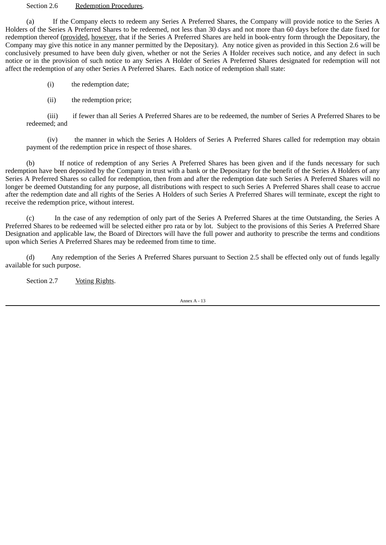#### Section 2.6 Redemption Procedures.

(a) If the Company elects to redeem any Series A Preferred Shares, the Company will provide notice to the Series A Holders of the Series A Preferred Shares to be redeemed, not less than 30 days and not more than 60 days before the date fixed for redemption thereof (provided, however, that if the Series A Preferred Shares are held in book-entry form through the Depositary, the Company may give this notice in any manner permitted by the Depositary). Any notice given as provided in this Section 2.6 will be conclusively presumed to have been duly given, whether or not the Series A Holder receives such notice, and any defect in such notice or in the provision of such notice to any Series A Holder of Series A Preferred Shares designated for redemption will not affect the redemption of any other Series A Preferred Shares. Each notice of redemption shall state:

(i) the redemption date;

(ii) the redemption price;

(iii) if fewer than all Series A Preferred Shares are to be redeemed, the number of Series A Preferred Shares to be redeemed; and

(iv) the manner in which the Series A Holders of Series A Preferred Shares called for redemption may obtain payment of the redemption price in respect of those shares.

(b) If notice of redemption of any Series A Preferred Shares has been given and if the funds necessary for such redemption have been deposited by the Company in trust with a bank or the Depositary for the benefit of the Series A Holders of any Series A Preferred Shares so called for redemption, then from and after the redemption date such Series A Preferred Shares will no longer be deemed Outstanding for any purpose, all distributions with respect to such Series A Preferred Shares shall cease to accrue after the redemption date and all rights of the Series A Holders of such Series A Preferred Shares will terminate, except the right to receive the redemption price, without interest.

(c) In the case of any redemption of only part of the Series A Preferred Shares at the time Outstanding, the Series A Preferred Shares to be redeemed will be selected either pro rata or by lot. Subject to the provisions of this Series A Preferred Share Designation and applicable law, the Board of Directors will have the full power and authority to prescribe the terms and conditions upon which Series A Preferred Shares may be redeemed from time to time.

(d) Any redemption of the Series A Preferred Shares pursuant to Section 2.5 shall be effected only out of funds legally available for such purpose.

Section 2.7 Voting Rights.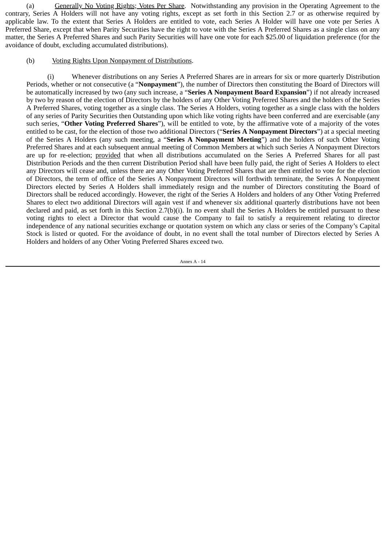(a) Generally No Voting Rights; Votes Per Share. Notwithstanding any provision in the Operating Agreement to the contrary, Series A Holders will not have any voting rights, except as set forth in this Section 2.7 or as otherwise required by applicable law. To the extent that Series A Holders are entitled to vote, each Series A Holder will have one vote per Series A Preferred Share, except that when Parity Securities have the right to vote with the Series A Preferred Shares as a single class on any matter, the Series A Preferred Shares and such Parity Securities will have one vote for each \$25.00 of liquidation preference (for the avoidance of doubt, excluding accumulated distributions).

# (b) Voting Rights Upon Nonpayment of Distributions.

(i) Whenever distributions on any Series A Preferred Shares are in arrears for six or more quarterly Distribution Periods, whether or not consecutive (a "**Nonpayment**"), the number of Directors then constituting the Board of Directors will be automatically increased by two (any such increase, a "**Series A Nonpayment Board Expansion**") if not already increased by two by reason of the election of Directors by the holders of any Other Voting Preferred Shares and the holders of the Series A Preferred Shares, voting together as a single class. The Series A Holders, voting together as a single class with the holders of any series of Parity Securities then Outstanding upon which like voting rights have been conferred and are exercisable (any such series, "**Other Voting Preferred Shares**"), will be entitled to vote, by the affirmative vote of a majority of the votes entitled to be cast, for the election of those two additional Directors ("**Series A Nonpayment Directors**") at a special meeting of the Series A Holders (any such meeting, a "**Series A Nonpayment Meeting**") and the holders of such Other Voting Preferred Shares and at each subsequent annual meeting of Common Members at which such Series A Nonpayment Directors are up for re-election; provided that when all distributions accumulated on the Series A Preferred Shares for all past Distribution Periods and the then current Distribution Period shall have been fully paid, the right of Series A Holders to elect any Directors will cease and, unless there are any Other Voting Preferred Shares that are then entitled to vote for the election of Directors, the term of office of the Series A Nonpayment Directors will forthwith terminate, the Series A Nonpayment Directors elected by Series A Holders shall immediately resign and the number of Directors constituting the Board of Directors shall be reduced accordingly. However, the right of the Series A Holders and holders of any Other Voting Preferred Shares to elect two additional Directors will again vest if and whenever six additional quarterly distributions have not been declared and paid, as set forth in this Section 2.7(b)(i). In no event shall the Series A Holders be entitled pursuant to these voting rights to elect a Director that would cause the Company to fail to satisfy a requirement relating to director independence of any national securities exchange or quotation system on which any class or series of the Company's Capital Stock is listed or quoted. For the avoidance of doubt, in no event shall the total number of Directors elected by Series A Holders and holders of any Other Voting Preferred Shares exceed two.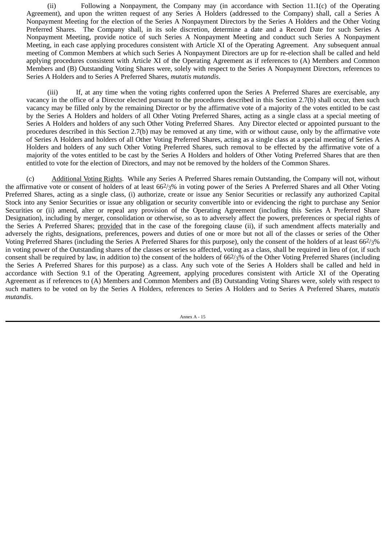(ii) Following a Nonpayment, the Company may (in accordance with Section 11.1(c) of the Operating Agreement), and upon the written request of any Series A Holders (addressed to the Company) shall, call a Series A Nonpayment Meeting for the election of the Series A Nonpayment Directors by the Series A Holders and the Other Voting Preferred Shares. The Company shall, in its sole discretion, determine a date and a Record Date for such Series A Nonpayment Meeting, provide notice of such Series A Nonpayment Meeting and conduct such Series A Nonpayment Meeting, in each case applying procedures consistent with Article XI of the Operating Agreement. Any subsequent annual meeting of Common Members at which such Series A Nonpayment Directors are up for re-election shall be called and held applying procedures consistent with Article XI of the Operating Agreement as if references to (A) Members and Common Members and (B) Outstanding Voting Shares were, solely with respect to the Series A Nonpayment Directors, references to Series A Holders and to Series A Preferred Shares, *mutatis mutandis*.

(iii) If, at any time when the voting rights conferred upon the Series A Preferred Shares are exercisable, any vacancy in the office of a Director elected pursuant to the procedures described in this Section 2.7(b) shall occur, then such vacancy may be filled only by the remaining Director or by the affirmative vote of a majority of the votes entitled to be cast by the Series A Holders and holders of all Other Voting Preferred Shares, acting as a single class at a special meeting of Series A Holders and holders of any such Other Voting Preferred Shares. Any Director elected or appointed pursuant to the procedures described in this Section 2.7(b) may be removed at any time, with or without cause, only by the affirmative vote of Series A Holders and holders of all Other Voting Preferred Shares, acting as a single class at a special meeting of Series A Holders and holders of any such Other Voting Preferred Shares, such removal to be effected by the affirmative vote of a majority of the votes entitled to be cast by the Series A Holders and holders of Other Voting Preferred Shares that are then entitled to vote for the election of Directors, and may not be removed by the holders of the Common Shares.

(c) Additional Voting Rights. While any Series A Preferred Shares remain Outstanding, the Company will not, without the affirmative vote or consent of holders of at least  $66\frac{2}{3}\%$  in voting power of the Series A Preferred Shares and all Other Voting Preferred Shares, acting as a single class, (i) authorize, create or issue any Senior Securities or reclassify any authorized Capital Stock into any Senior Securities or issue any obligation or security convertible into or evidencing the right to purchase any Senior Securities or (ii) amend, alter or repeal any provision of the Operating Agreement (including this Series A Preferred Share Designation), including by merger, consolidation or otherwise, so as to adversely affect the powers, preferences or special rights of the Series A Preferred Shares; provided that in the case of the foregoing clause (ii), if such amendment affects materially and adversely the rights, designations, preferences, powers and duties of one or more but not all of the classes or series of the Other Voting Preferred Shares (including the Series A Preferred Shares for this purpose), only the consent of the holders of at least 662/3% in voting power of the Outstanding shares of the classes or series so affected, voting as a class, shall be required in lieu of (or, if such consent shall be required by law, in addition to) the consent of the holders of 662/3% of the Other Voting Preferred Shares (including the Series A Preferred Shares for this purpose) as a class. Any such vote of the Series A Holders shall be called and held in accordance with Section 9.1 of the Operating Agreement, applying procedures consistent with Article XI of the Operating Agreement as if references to (A) Members and Common Members and (B) Outstanding Voting Shares were, solely with respect to such matters to be voted on by the Series A Holders, references to Series A Holders and to Series A Preferred Shares, *mutatis mutandis*.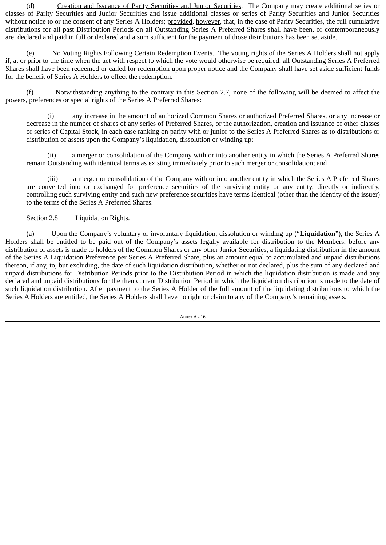(d) Creation and Issuance of Parity Securities and Junior Securities. The Company may create additional series or classes of Parity Securities and Junior Securities and issue additional classes or series of Parity Securities and Junior Securities without notice to or the consent of any Series A Holders; provided, however, that, in the case of Parity Securities, the full cumulative distributions for all past Distribution Periods on all Outstanding Series A Preferred Shares shall have been, or contemporaneously are, declared and paid in full or declared and a sum sufficient for the payment of those distributions has been set aside.

(e) No Voting Rights Following Certain Redemption Events. The voting rights of the Series A Holders shall not apply if, at or prior to the time when the act with respect to which the vote would otherwise be required, all Outstanding Series A Preferred Shares shall have been redeemed or called for redemption upon proper notice and the Company shall have set aside sufficient funds for the benefit of Series A Holders to effect the redemption.

(f) Notwithstanding anything to the contrary in this Section 2.7, none of the following will be deemed to affect the powers, preferences or special rights of the Series A Preferred Shares:

(i) any increase in the amount of authorized Common Shares or authorized Preferred Shares, or any increase or decrease in the number of shares of any series of Preferred Shares, or the authorization, creation and issuance of other classes or series of Capital Stock, in each case ranking on parity with or junior to the Series A Preferred Shares as to distributions or distribution of assets upon the Company's liquidation, dissolution or winding up;

(ii) a merger or consolidation of the Company with or into another entity in which the Series A Preferred Shares remain Outstanding with identical terms as existing immediately prior to such merger or consolidation; and

(iii) a merger or consolidation of the Company with or into another entity in which the Series A Preferred Shares are converted into or exchanged for preference securities of the surviving entity or any entity, directly or indirectly, controlling such surviving entity and such new preference securities have terms identical (other than the identity of the issuer) to the terms of the Series A Preferred Shares.

# Section 2.8 Liquidation Rights.

(a) Upon the Company's voluntary or involuntary liquidation, dissolution or winding up ("**Liquidation**"), the Series A Holders shall be entitled to be paid out of the Company's assets legally available for distribution to the Members, before any distribution of assets is made to holders of the Common Shares or any other Junior Securities, a liquidating distribution in the amount of the Series A Liquidation Preference per Series A Preferred Share, plus an amount equal to accumulated and unpaid distributions thereon, if any, to, but excluding, the date of such liquidation distribution, whether or not declared, plus the sum of any declared and unpaid distributions for Distribution Periods prior to the Distribution Period in which the liquidation distribution is made and any declared and unpaid distributions for the then current Distribution Period in which the liquidation distribution is made to the date of such liquidation distribution. After payment to the Series A Holder of the full amount of the liquidating distributions to which the Series A Holders are entitled, the Series A Holders shall have no right or claim to any of the Company's remaining assets.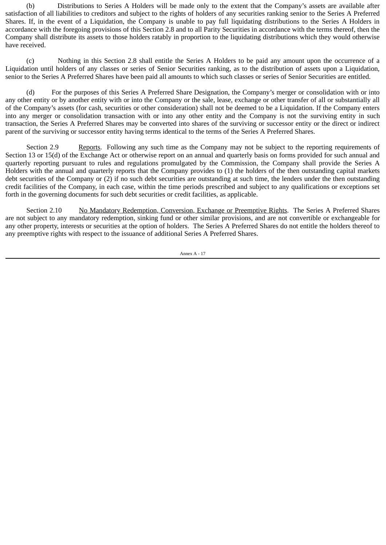(b) Distributions to Series A Holders will be made only to the extent that the Company's assets are available after satisfaction of all liabilities to creditors and subject to the rights of holders of any securities ranking senior to the Series A Preferred Shares. If, in the event of a Liquidation, the Company is unable to pay full liquidating distributions to the Series A Holders in accordance with the foregoing provisions of this Section 2.8 and to all Parity Securities in accordance with the terms thereof, then the Company shall distribute its assets to those holders ratably in proportion to the liquidating distributions which they would otherwise have received.

(c) Nothing in this Section 2.8 shall entitle the Series A Holders to be paid any amount upon the occurrence of a Liquidation until holders of any classes or series of Senior Securities ranking, as to the distribution of assets upon a Liquidation, senior to the Series A Preferred Shares have been paid all amounts to which such classes or series of Senior Securities are entitled.

(d) For the purposes of this Series A Preferred Share Designation, the Company's merger or consolidation with or into any other entity or by another entity with or into the Company or the sale, lease, exchange or other transfer of all or substantially all of the Company's assets (for cash, securities or other consideration) shall not be deemed to be a Liquidation. If the Company enters into any merger or consolidation transaction with or into any other entity and the Company is not the surviving entity in such transaction, the Series A Preferred Shares may be converted into shares of the surviving or successor entity or the direct or indirect parent of the surviving or successor entity having terms identical to the terms of the Series A Preferred Shares.

Section 2.9 Reports. Following any such time as the Company may not be subject to the reporting requirements of Section 13 or 15(d) of the Exchange Act or otherwise report on an annual and quarterly basis on forms provided for such annual and quarterly reporting pursuant to rules and regulations promulgated by the Commission, the Company shall provide the Series A Holders with the annual and quarterly reports that the Company provides to (1) the holders of the then outstanding capital markets debt securities of the Company or (2) if no such debt securities are outstanding at such time, the lenders under the then outstanding credit facilities of the Company, in each case, within the time periods prescribed and subject to any qualifications or exceptions set forth in the governing documents for such debt securities or credit facilities, as applicable.

Section 2.10 No Mandatory Redemption, Conversion, Exchange or Preemptive Rights. The Series A Preferred Shares are not subject to any mandatory redemption, sinking fund or other similar provisions, and are not convertible or exchangeable for any other property, interests or securities at the option of holders. The Series A Preferred Shares do not entitle the holders thereof to any preemptive rights with respect to the issuance of additional Series A Preferred Shares.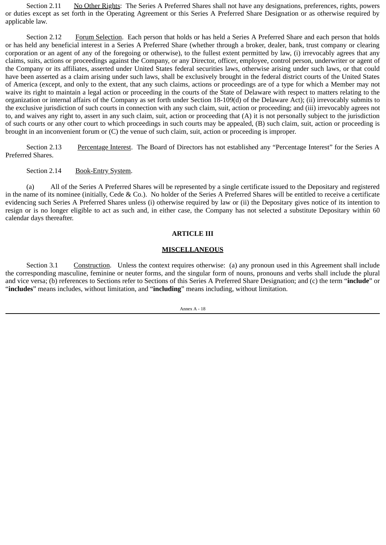Section 2.11 No Other Rights: The Series A Preferred Shares shall not have any designations, preferences, rights, powers or duties except as set forth in the Operating Agreement or this Series A Preferred Share Designation or as otherwise required by applicable law.

Section 2.12 Forum Selection. Each person that holds or has held a Series A Preferred Share and each person that holds or has held any beneficial interest in a Series A Preferred Share (whether through a broker, dealer, bank, trust company or clearing corporation or an agent of any of the foregoing or otherwise), to the fullest extent permitted by law, (i) irrevocably agrees that any claims, suits, actions or proceedings against the Company, or any Director, officer, employee, control person, underwriter or agent of the Company or its affiliates, asserted under United States federal securities laws, otherwise arising under such laws, or that could have been asserted as a claim arising under such laws, shall be exclusively brought in the federal district courts of the United States of America (except, and only to the extent, that any such claims, actions or proceedings are of a type for which a Member may not waive its right to maintain a legal action or proceeding in the courts of the State of Delaware with respect to matters relating to the organization or internal affairs of the Company as set forth under Section 18-109(d) of the Delaware Act); (ii) irrevocably submits to the exclusive jurisdiction of such courts in connection with any such claim, suit, action or proceeding; and (iii) irrevocably agrees not to, and waives any right to, assert in any such claim, suit, action or proceeding that (A) it is not personally subject to the jurisdiction of such courts or any other court to which proceedings in such courts may be appealed, (B) such claim, suit, action or proceeding is brought in an inconvenient forum or (C) the venue of such claim, suit, action or proceeding is improper.

Section 2.13 Percentage Interest. The Board of Directors has not established any "Percentage Interest" for the Series A Preferred Shares.

Section 2.14 Book-Entry System.

(a) All of the Series A Preferred Shares will be represented by a single certificate issued to the Depositary and registered in the name of its nominee (initially, Cede & Co.). No holder of the Series A Preferred Shares will be entitled to receive a certificate evidencing such Series A Preferred Shares unless (i) otherwise required by law or (ii) the Depositary gives notice of its intention to resign or is no longer eligible to act as such and, in either case, the Company has not selected a substitute Depositary within 60 calendar days thereafter.

#### **ARTICLE III**

#### **MISCELLANEOUS**

Section 3.1 Construction. Unless the context requires otherwise: (a) any pronoun used in this Agreement shall include the corresponding masculine, feminine or neuter forms, and the singular form of nouns, pronouns and verbs shall include the plural and vice versa; (b) references to Sections refer to Sections of this Series A Preferred Share Designation; and (c) the term "**include**" or "**includes**" means includes, without limitation, and "**including**" means including, without limitation.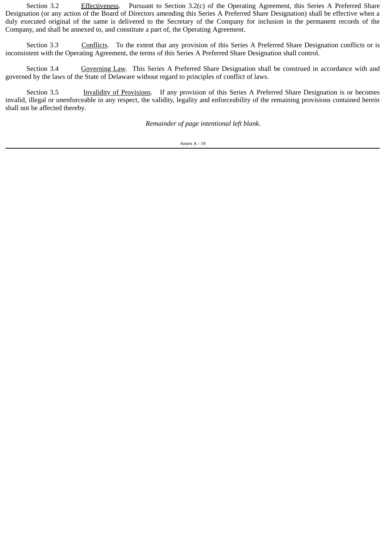Section 3.2 Effectiveness. Pursuant to Section 3.2(c) of the Operating Agreement, this Series A Preferred Share Designation (or any action of the Board of Directors amending this Series A Preferred Share Designation) shall be effective when a duly executed original of the same is delivered to the Secretary of the Company for inclusion in the permanent records of the Company, and shall be annexed to, and constitute a part of, the Operating Agreement.

Section 3.3 Conflicts. To the extent that any provision of this Series A Preferred Share Designation conflicts or is inconsistent with the Operating Agreement, the terms of this Series A Preferred Share Designation shall control.

Section 3.4 Governing Law. This Series A Preferred Share Designation shall be construed in accordance with and governed by the laws of the State of Delaware without regard to principles of conflict of laws.

Section 3.5 Invalidity of Provisions. If any provision of this Series A Preferred Share Designation is or becomes invalid, illegal or unenforceable in any respect, the validity, legality and enforceability of the remaining provisions contained herein shall not be affected thereby.

*Remainder of page intentional left blank.*